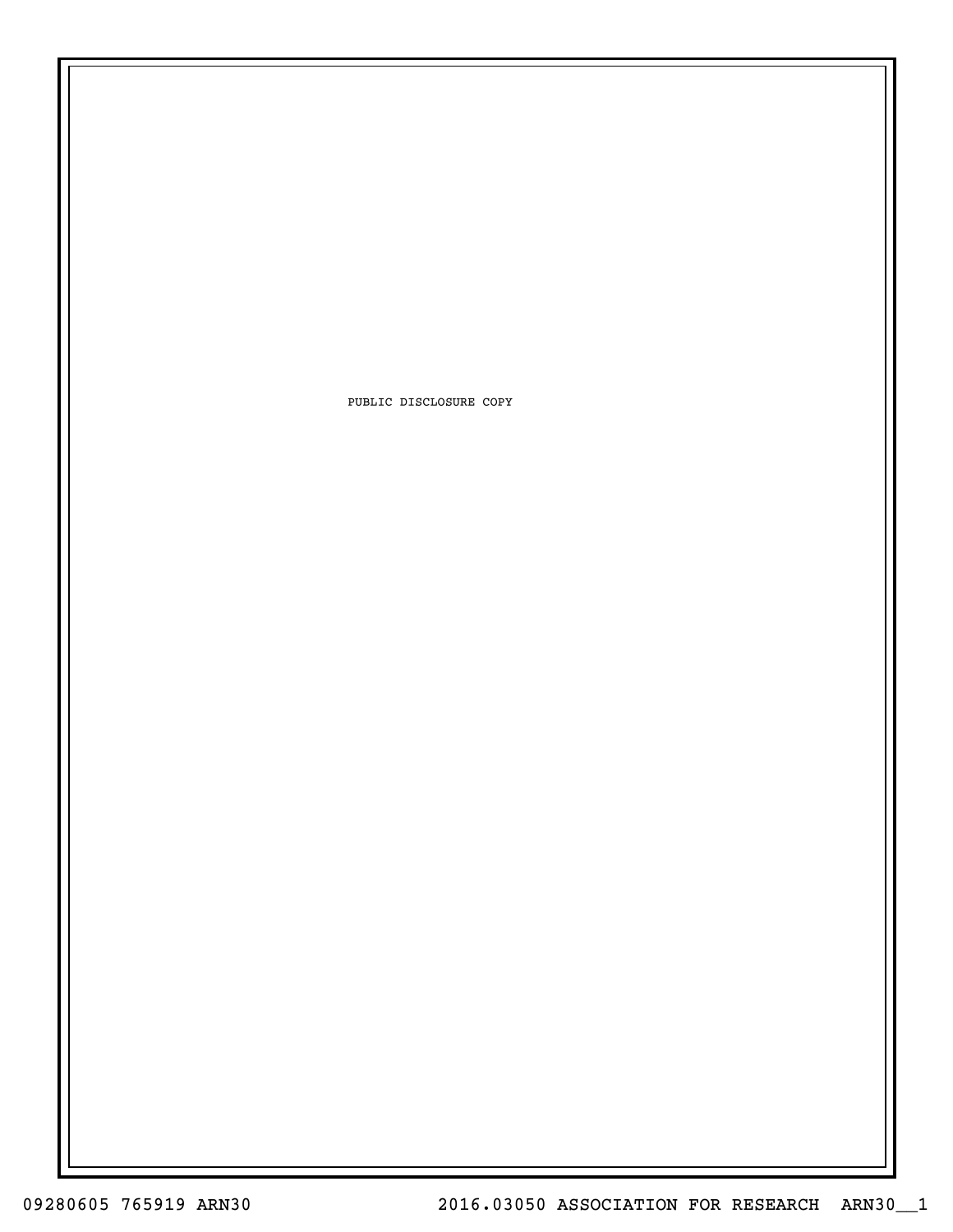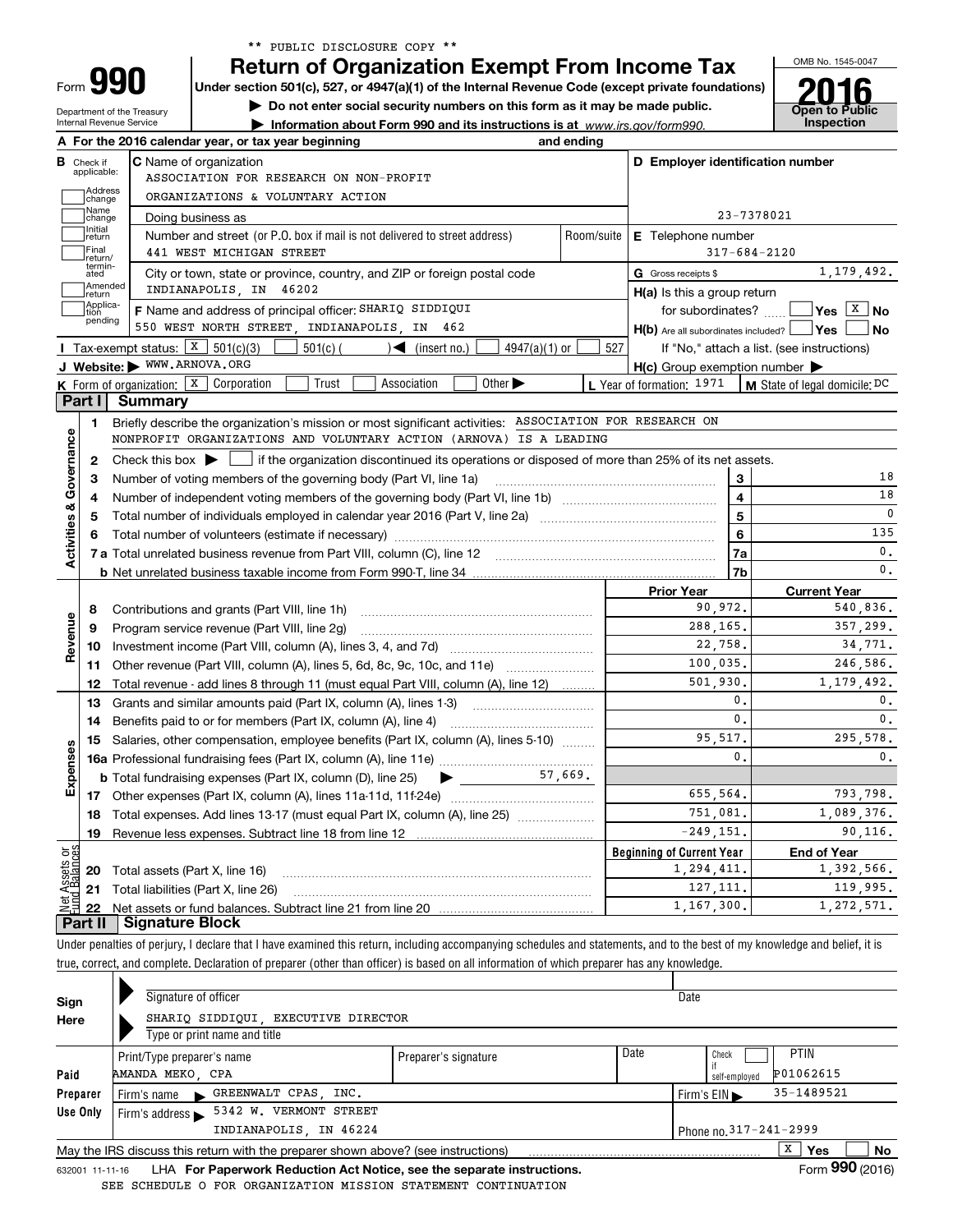| ** PUBLIC DISCLOSURE COPY ** |  |  |  |  |  |  |
|------------------------------|--|--|--|--|--|--|
|------------------------------|--|--|--|--|--|--|

Department of the Treasury Internal Revenue Service

**990**

Form

OMB No. 1545-0047 **Return of Organization Exempt From Income Tax**

**Under section 501(c), 527, or 4947(a)(1) of the Internal Revenue Code (except private foundations)**

**| Do not enter social security numbers on this form as it may be made public.**

**| Information about Form 990 and its instructions is at www.irs.gov/form990.** | Inspection

**Open to Public 2016**

| <b>B</b> Check if<br>applicable: | <b>C</b> Name of organization                                                                                                           |                                                 | D Employer identification number                 |                                            |  |  |
|----------------------------------|-----------------------------------------------------------------------------------------------------------------------------------------|-------------------------------------------------|--------------------------------------------------|--------------------------------------------|--|--|
| Address                          | ASSOCIATION FOR RESEARCH ON NON-PROFIT                                                                                                  |                                                 |                                                  |                                            |  |  |
| change<br>Name                   | ORGANIZATIONS & VOLUNTARY ACTION                                                                                                        |                                                 |                                                  |                                            |  |  |
| change<br>Initial                | Doing business as                                                                                                                       |                                                 |                                                  | 23-7378021                                 |  |  |
| return<br>Final                  | Number and street (or P.O. box if mail is not delivered to street address)<br>441 WEST MICHIGAN STREET                                  | Room/suite                                      | E Telephone number<br>$317 - 684 - 2120$         |                                            |  |  |
| return/<br>termin-               |                                                                                                                                         |                                                 | G Gross receipts \$                              | 1,179,492.                                 |  |  |
| ated<br>Amended                  | City or town, state or province, country, and ZIP or foreign postal code<br>INDIANAPOLIS, IN 46202                                      |                                                 |                                                  |                                            |  |  |
| return<br>Applica-               | F Name and address of principal officer: SHARIQ SIDDIQUI                                                                                |                                                 | $H(a)$ is this a group return                    | for subordinates? $\Box$ Yes $X$ No        |  |  |
| tion<br>pending                  | 550 WEST NORTH STREET, INDIANAPOLIS, IN 462                                                                                             |                                                 | $H(b)$ Are all subordinates included? $\Box$ Yes | ∣No                                        |  |  |
|                                  | Tax-exempt status: $\boxed{\text{X}}$ 501(c)(3)<br>$501(c)$ (<br>$4947(a)(1)$ or<br>$\sqrt{\frac{1}{1}}$ (insert no.)                   | 527                                             |                                                  | If "No," attach a list. (see instructions) |  |  |
|                                  | J Website: WWW.ARNOVA.ORG                                                                                                               |                                                 | H(c) Group exemption number                      |                                            |  |  |
|                                  | <b>K</b> Form of organization: $\boxed{\textbf{X}}$ Corporation<br>Association<br>Other $\blacktriangleright$<br>Trust                  |                                                 | L Year of formation: 1971                        | M State of legal domicile: DC              |  |  |
| Part I                           | <b>Summary</b>                                                                                                                          |                                                 |                                                  |                                            |  |  |
| 1                                | Briefly describe the organization's mission or most significant activities: ASSOCIATION FOR RESEARCH ON                                 |                                                 |                                                  |                                            |  |  |
|                                  | NONPROFIT ORGANIZATIONS AND VOLUNTARY ACTION (ARNOVA) IS A LEADING                                                                      |                                                 |                                                  |                                            |  |  |
| 2                                | Check this box $\blacktriangleright$<br>if the organization discontinued its operations or disposed of more than 25% of its net assets. |                                                 |                                                  |                                            |  |  |
| З                                | Number of voting members of the governing body (Part VI, line 1a)                                                                       |                                                 | 3                                                | 18                                         |  |  |
| 4                                |                                                                                                                                         |                                                 | 4                                                | 18                                         |  |  |
| 5                                |                                                                                                                                         | 5                                               | $\mathbf 0$                                      |                                            |  |  |
| 6                                |                                                                                                                                         | 6                                               | 135                                              |                                            |  |  |
|                                  |                                                                                                                                         | 7a                                              | 0.                                               |                                            |  |  |
|                                  |                                                                                                                                         |                                                 | 7b                                               | $\mathbf{0}$ .                             |  |  |
|                                  |                                                                                                                                         |                                                 | <b>Prior Year</b>                                | <b>Current Year</b>                        |  |  |
| 8                                | Contributions and grants (Part VIII, line 1h)                                                                                           | 90,972.                                         | 540,836.                                         |                                            |  |  |
| 9                                | Program service revenue (Part VIII, line 2g)                                                                                            | 288,165.                                        | 357,299.                                         |                                            |  |  |
| 10                               |                                                                                                                                         |                                                 | 22,758.                                          | 34,771.                                    |  |  |
| 11                               | Other revenue (Part VIII, column (A), lines 5, 6d, 8c, 9c, 10c, and 11e)                                                                |                                                 | 100,035.                                         | 246,586.                                   |  |  |
| 12                               | Total revenue - add lines 8 through 11 (must equal Part VIII, column (A), line 12)                                                      |                                                 | 501,930.                                         | 1,179,492.                                 |  |  |
| 13                               | Grants and similar amounts paid (Part IX, column (A), lines 1-3)                                                                        |                                                 | 0.                                               | 0.                                         |  |  |
| 14                               | Benefits paid to or for members (Part IX, column (A), line 4)                                                                           |                                                 | $\mathbf{0}$ .                                   | 0.                                         |  |  |
| 15                               | Salaries, other compensation, employee benefits (Part IX, column (A), lines 5-10)                                                       |                                                 | 95,517.                                          | 295,578.                                   |  |  |
|                                  |                                                                                                                                         |                                                 | $\mathbf{0}$ .                                   | $\mathbf{0}$ .                             |  |  |
|                                  |                                                                                                                                         |                                                 |                                                  |                                            |  |  |
| 17                               |                                                                                                                                         |                                                 | 655,564.                                         | 793,798.                                   |  |  |
| 18                               | Total expenses. Add lines 13-17 (must equal Part IX, column (A), line 25)                                                               | 751,081.                                        | 1,089,376.                                       |                                            |  |  |
| 19                               | Revenue less expenses. Subtract line 18 from line 12                                                                                    |                                                 | $-249, 151.$                                     | 90,116.                                    |  |  |
|                                  |                                                                                                                                         |                                                 | <b>Beginning of Current Year</b>                 | <b>End of Year</b><br>1,392,566.           |  |  |
| 20                               | Total assets (Part X, line 16)                                                                                                          | 1,294,411.<br>127, 111.                         | 119,995.                                         |                                            |  |  |
|                                  |                                                                                                                                         | Total liabilities (Part X, line 26)<br>21<br>22 |                                                  |                                            |  |  |
|                                  |                                                                                                                                         |                                                 | 1,167,300.                                       | 1,272,571.                                 |  |  |

|          |                                                                                                     | Signature of officer                                                | Date                 |      |                                  |             |  |  |  |  |  |
|----------|-----------------------------------------------------------------------------------------------------|---------------------------------------------------------------------|----------------------|------|----------------------------------|-------------|--|--|--|--|--|
| Sign     |                                                                                                     |                                                                     |                      |      |                                  |             |  |  |  |  |  |
| Here     |                                                                                                     | SHARIQ SIDDIQUI, EXECUTIVE DIRECTOR<br>Type or print name and title |                      |      |                                  |             |  |  |  |  |  |
|          |                                                                                                     | Print/Type preparer's name                                          | Preparer's signature | Date | Check                            | <b>PTIN</b> |  |  |  |  |  |
| Paid     |                                                                                                     | AMANDA MEKO, CPA                                                    |                      |      | self-employed                    | P01062615   |  |  |  |  |  |
| Preparer |                                                                                                     | Firm's name GREENWALT CPAS, INC.                                    |                      |      | Firm's $EIN \blacktriangleright$ | 35-1489521  |  |  |  |  |  |
| Use Only |                                                                                                     | 5342 W. VERMONT STREET<br>Firm's address $\blacktriangleright$      |                      |      |                                  |             |  |  |  |  |  |
|          | INDIANAPOLIS, IN 46224<br>Phone no. 317-241-2999                                                    |                                                                     |                      |      |                                  |             |  |  |  |  |  |
|          | x<br>Yes<br>No<br>May the IRS discuss this return with the preparer shown above? (see instructions) |                                                                     |                      |      |                                  |             |  |  |  |  |  |
|          | $000 \div 100$                                                                                      |                                                                     |                      |      |                                  |             |  |  |  |  |  |

632001 11-11-16 **For Paperwork Reduction Act Notice, see the separate instructions.** LHA Form (2016) SEE SCHEDULE O FOR ORGANIZATION MISSION STATEMENT CONTINUATION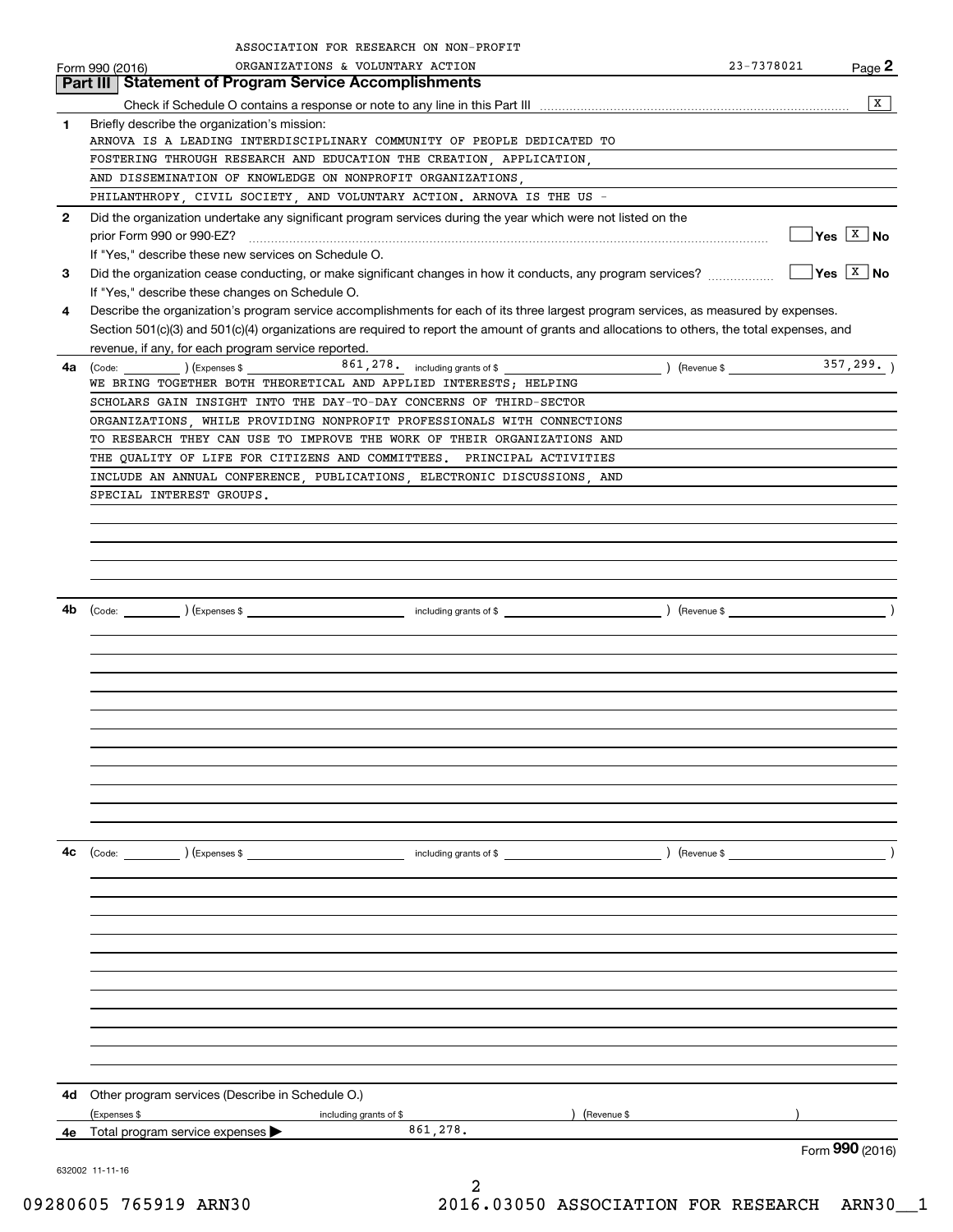|              | ASSOCIATION FOR RESEARCH ON NON-PROFIT                                                                                                                              |                                                                                                                                                                                                                                                                                                                                                                                                                                                                                                |                             |
|--------------|---------------------------------------------------------------------------------------------------------------------------------------------------------------------|------------------------------------------------------------------------------------------------------------------------------------------------------------------------------------------------------------------------------------------------------------------------------------------------------------------------------------------------------------------------------------------------------------------------------------------------------------------------------------------------|-----------------------------|
|              | ORGANIZATIONS & VOLUNTARY ACTION<br>Form 990 (2016)                                                                                                                 | 23-7378021                                                                                                                                                                                                                                                                                                                                                                                                                                                                                     | Page 2                      |
|              | <b>Statement of Program Service Accomplishments</b><br>Part III                                                                                                     |                                                                                                                                                                                                                                                                                                                                                                                                                                                                                                |                             |
|              |                                                                                                                                                                     |                                                                                                                                                                                                                                                                                                                                                                                                                                                                                                | X                           |
| 1            | Briefly describe the organization's mission:<br>ARNOVA IS A LEADING INTERDISCIPLINARY COMMUNITY OF PEOPLE DEDICATED TO                                              |                                                                                                                                                                                                                                                                                                                                                                                                                                                                                                |                             |
|              | FOSTERING THROUGH RESEARCH AND EDUCATION THE CREATION, APPLICATION,                                                                                                 |                                                                                                                                                                                                                                                                                                                                                                                                                                                                                                |                             |
|              | AND DISSEMINATION OF KNOWLEDGE ON NONPROFIT ORGANIZATIONS,                                                                                                          |                                                                                                                                                                                                                                                                                                                                                                                                                                                                                                |                             |
|              | PHILANTHROPY, CIVIL SOCIETY, AND VOLUNTARY ACTION. ARNOVA IS THE US -                                                                                               |                                                                                                                                                                                                                                                                                                                                                                                                                                                                                                |                             |
| $\mathbf{2}$ | Did the organization undertake any significant program services during the year which were not listed on the                                                        |                                                                                                                                                                                                                                                                                                                                                                                                                                                                                                |                             |
|              |                                                                                                                                                                     |                                                                                                                                                                                                                                                                                                                                                                                                                                                                                                | $\sqrt{}$ Yes $\sqrt{X}$ No |
|              | If "Yes." describe these new services on Schedule O.                                                                                                                |                                                                                                                                                                                                                                                                                                                                                                                                                                                                                                |                             |
| 3            | Did the organization cease conducting, or make significant changes in how it conducts, any program services?                                                        |                                                                                                                                                                                                                                                                                                                                                                                                                                                                                                | $\sqrt{\frac{X}{X}}$ No     |
|              | If "Yes," describe these changes on Schedule O.                                                                                                                     |                                                                                                                                                                                                                                                                                                                                                                                                                                                                                                |                             |
| 4            | Describe the organization's program service accomplishments for each of its three largest program services, as measured by expenses.                                |                                                                                                                                                                                                                                                                                                                                                                                                                                                                                                |                             |
|              | Section 501(c)(3) and 501(c)(4) organizations are required to report the amount of grants and allocations to others, the total expenses, and                        |                                                                                                                                                                                                                                                                                                                                                                                                                                                                                                |                             |
|              | revenue, if any, for each program service reported.                                                                                                                 |                                                                                                                                                                                                                                                                                                                                                                                                                                                                                                |                             |
| 4a           | 861, 278. including grants of \$<br>$\text{(Code:} \qquad \qquad \text{)} \text{ (Express } $$<br>WE BRING TOGETHER BOTH THEORETICAL AND APPLIED INTERESTS; HELPING |                                                                                                                                                                                                                                                                                                                                                                                                                                                                                                |                             |
|              | SCHOLARS GAIN INSIGHT INTO THE DAY-TO-DAY CONCERNS OF THIRD-SECTOR                                                                                                  |                                                                                                                                                                                                                                                                                                                                                                                                                                                                                                |                             |
|              | ORGANIZATIONS, WHILE PROVIDING NONPROFIT PROFESSIONALS WITH CONNECTIONS                                                                                             |                                                                                                                                                                                                                                                                                                                                                                                                                                                                                                |                             |
|              | TO RESEARCH THEY CAN USE TO IMPROVE THE WORK OF THEIR ORGANIZATIONS AND                                                                                             |                                                                                                                                                                                                                                                                                                                                                                                                                                                                                                |                             |
|              | THE OUALITY OF LIFE FOR CITIZENS AND COMMITTEES. PRINCIPAL ACTIVITIES                                                                                               |                                                                                                                                                                                                                                                                                                                                                                                                                                                                                                |                             |
|              | INCLUDE AN ANNUAL CONFERENCE, PUBLICATIONS, ELECTRONIC DISCUSSIONS, AND                                                                                             |                                                                                                                                                                                                                                                                                                                                                                                                                                                                                                |                             |
|              | SPECIAL INTEREST GROUPS.                                                                                                                                            |                                                                                                                                                                                                                                                                                                                                                                                                                                                                                                |                             |
|              |                                                                                                                                                                     |                                                                                                                                                                                                                                                                                                                                                                                                                                                                                                |                             |
|              |                                                                                                                                                                     |                                                                                                                                                                                                                                                                                                                                                                                                                                                                                                |                             |
|              |                                                                                                                                                                     |                                                                                                                                                                                                                                                                                                                                                                                                                                                                                                |                             |
|              |                                                                                                                                                                     |                                                                                                                                                                                                                                                                                                                                                                                                                                                                                                |                             |
|              |                                                                                                                                                                     |                                                                                                                                                                                                                                                                                                                                                                                                                                                                                                |                             |
| 4b           | (Code: <u>Code:</u> etc. ) (Expenses \$                                                                                                                             |                                                                                                                                                                                                                                                                                                                                                                                                                                                                                                |                             |
|              |                                                                                                                                                                     |                                                                                                                                                                                                                                                                                                                                                                                                                                                                                                |                             |
|              |                                                                                                                                                                     |                                                                                                                                                                                                                                                                                                                                                                                                                                                                                                |                             |
|              |                                                                                                                                                                     |                                                                                                                                                                                                                                                                                                                                                                                                                                                                                                |                             |
|              |                                                                                                                                                                     |                                                                                                                                                                                                                                                                                                                                                                                                                                                                                                |                             |
|              |                                                                                                                                                                     |                                                                                                                                                                                                                                                                                                                                                                                                                                                                                                |                             |
|              |                                                                                                                                                                     |                                                                                                                                                                                                                                                                                                                                                                                                                                                                                                |                             |
|              |                                                                                                                                                                     |                                                                                                                                                                                                                                                                                                                                                                                                                                                                                                |                             |
|              |                                                                                                                                                                     |                                                                                                                                                                                                                                                                                                                                                                                                                                                                                                |                             |
|              |                                                                                                                                                                     |                                                                                                                                                                                                                                                                                                                                                                                                                                                                                                |                             |
|              |                                                                                                                                                                     |                                                                                                                                                                                                                                                                                                                                                                                                                                                                                                |                             |
|              |                                                                                                                                                                     |                                                                                                                                                                                                                                                                                                                                                                                                                                                                                                |                             |
| 4c           |                                                                                                                                                                     | $\left.\begin{array}{ccc}\n\text{Revenue } \$ & \text{Im } \mathcal{L} \\ \text{Im } \mathcal{L} & \text{Im } \mathcal{L} \\ \text{Im } \mathcal{L} & \text{Im } \mathcal{L} \\ \text{Im } \mathcal{L} & \text{Im } \mathcal{L} \\ \text{Im } \mathcal{L} & \text{Im } \mathcal{L} \\ \text{Im } \mathcal{L} & \text{Im } \mathcal{L} \\ \text{Im } \mathcal{L} & \text{Im } \mathcal{L} \\ \text{Im } \mathcal{L} & \text{Im } \mathcal{L} \\ \text{Im } \mathcal{L} & \text{Im } \mathcal{L$ |                             |
|              |                                                                                                                                                                     |                                                                                                                                                                                                                                                                                                                                                                                                                                                                                                |                             |
|              |                                                                                                                                                                     |                                                                                                                                                                                                                                                                                                                                                                                                                                                                                                |                             |
|              |                                                                                                                                                                     |                                                                                                                                                                                                                                                                                                                                                                                                                                                                                                |                             |
|              |                                                                                                                                                                     |                                                                                                                                                                                                                                                                                                                                                                                                                                                                                                |                             |
|              |                                                                                                                                                                     |                                                                                                                                                                                                                                                                                                                                                                                                                                                                                                |                             |
|              |                                                                                                                                                                     |                                                                                                                                                                                                                                                                                                                                                                                                                                                                                                |                             |
|              |                                                                                                                                                                     |                                                                                                                                                                                                                                                                                                                                                                                                                                                                                                |                             |
|              |                                                                                                                                                                     |                                                                                                                                                                                                                                                                                                                                                                                                                                                                                                |                             |
|              |                                                                                                                                                                     |                                                                                                                                                                                                                                                                                                                                                                                                                                                                                                |                             |
|              |                                                                                                                                                                     |                                                                                                                                                                                                                                                                                                                                                                                                                                                                                                |                             |
|              |                                                                                                                                                                     |                                                                                                                                                                                                                                                                                                                                                                                                                                                                                                |                             |
|              | 4d Other program services (Describe in Schedule O.)                                                                                                                 |                                                                                                                                                                                                                                                                                                                                                                                                                                                                                                |                             |
|              | ) (Revenue \$<br>(Expenses \$<br>including grants of \$                                                                                                             |                                                                                                                                                                                                                                                                                                                                                                                                                                                                                                |                             |
|              | 861,278.<br>4e Total program service expenses $\blacktriangleright$                                                                                                 |                                                                                                                                                                                                                                                                                                                                                                                                                                                                                                |                             |
|              |                                                                                                                                                                     |                                                                                                                                                                                                                                                                                                                                                                                                                                                                                                | Form 990 (2016)             |
|              | 632002 11-11-16                                                                                                                                                     |                                                                                                                                                                                                                                                                                                                                                                                                                                                                                                |                             |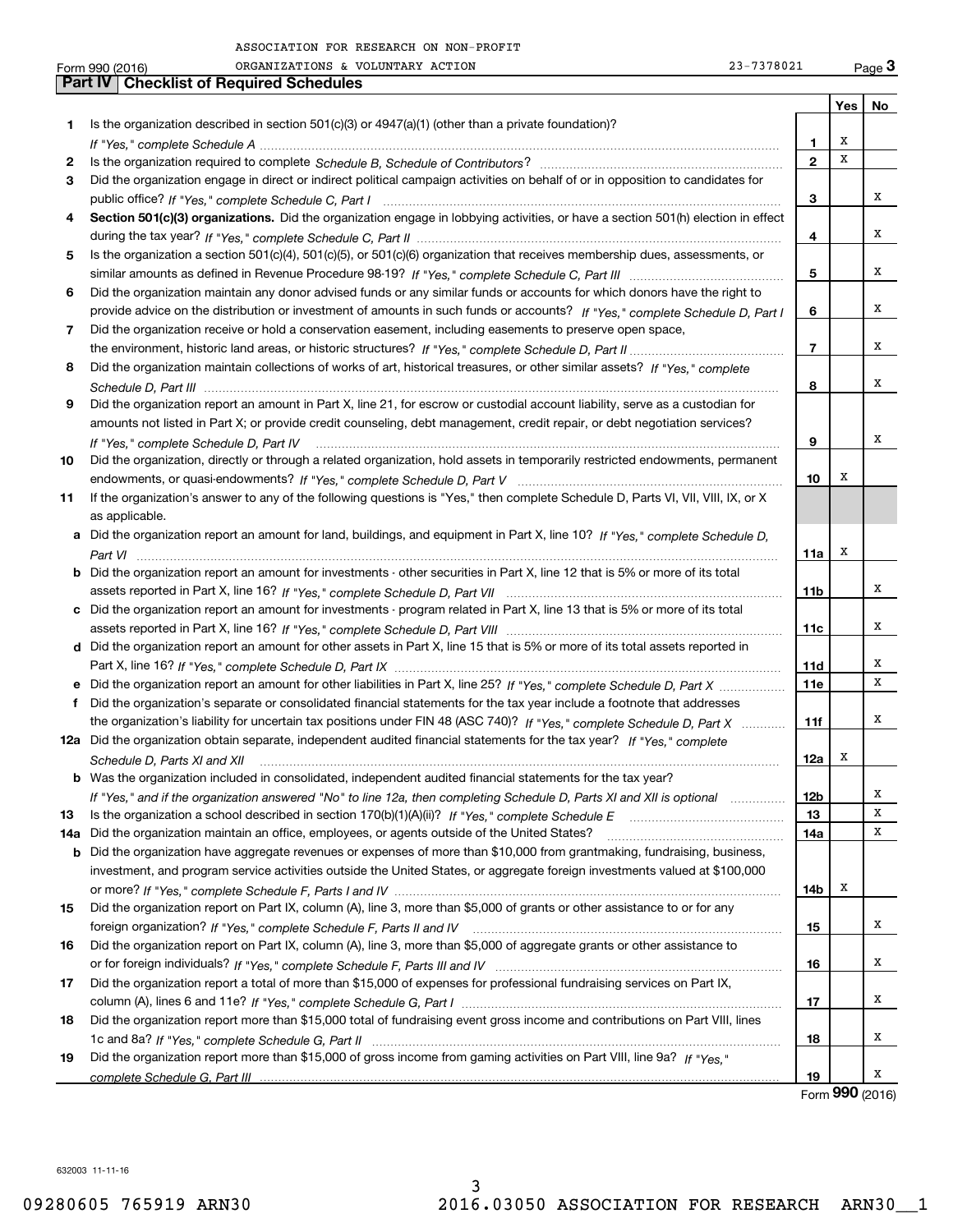|     | 23-7378021<br>ORGANIZATIONS & VOLUNTARY ACTION<br>Form 990 (2016)                                                                    |                |                 | Page $3$ |
|-----|--------------------------------------------------------------------------------------------------------------------------------------|----------------|-----------------|----------|
|     | <b>Part IV   Checklist of Required Schedules</b>                                                                                     |                |                 |          |
|     |                                                                                                                                      |                | Yes             | No       |
| 1.  | Is the organization described in section $501(c)(3)$ or $4947(a)(1)$ (other than a private foundation)?                              |                |                 |          |
|     |                                                                                                                                      | 1              | х               |          |
| 2   |                                                                                                                                      | $\mathbf{2}$   | x               |          |
| 3   | Did the organization engage in direct or indirect political campaign activities on behalf of or in opposition to candidates for      |                |                 |          |
|     |                                                                                                                                      | 3              |                 | х        |
|     | Section 501(c)(3) organizations. Did the organization engage in lobbying activities, or have a section 501(h) election in effect     |                |                 |          |
|     |                                                                                                                                      | 4              |                 | х        |
| 5   | Is the organization a section 501(c)(4), 501(c)(5), or 501(c)(6) organization that receives membership dues, assessments, or         |                |                 |          |
|     |                                                                                                                                      | 5              |                 | х        |
| 6   | Did the organization maintain any donor advised funds or any similar funds or accounts for which donors have the right to            |                |                 |          |
|     | provide advice on the distribution or investment of amounts in such funds or accounts? If "Yes," complete Schedule D, Part I         | 6              |                 | х        |
|     |                                                                                                                                      |                |                 |          |
| 7   | Did the organization receive or hold a conservation easement, including easements to preserve open space,                            |                |                 | х        |
|     |                                                                                                                                      | $\overline{7}$ |                 |          |
| 8   | Did the organization maintain collections of works of art, historical treasures, or other similar assets? If "Yes," complete         |                |                 |          |
|     |                                                                                                                                      | 8              |                 | х        |
| 9   | Did the organization report an amount in Part X, line 21, for escrow or custodial account liability, serve as a custodian for        |                |                 |          |
|     | amounts not listed in Part X; or provide credit counseling, debt management, credit repair, or debt negotiation services?            |                |                 |          |
|     |                                                                                                                                      | 9              |                 | х        |
| 10  | Did the organization, directly or through a related organization, hold assets in temporarily restricted endowments, permanent        |                |                 |          |
|     |                                                                                                                                      | 10             | X               |          |
| 11  | If the organization's answer to any of the following questions is "Yes," then complete Schedule D, Parts VI, VII, VIII, IX, or X     |                |                 |          |
|     | as applicable.                                                                                                                       |                |                 |          |
|     | a Did the organization report an amount for land, buildings, and equipment in Part X, line 10? If "Yes," complete Schedule D,        |                |                 |          |
|     |                                                                                                                                      | 11a            | х               |          |
|     | <b>b</b> Did the organization report an amount for investments - other securities in Part X, line 12 that is 5% or more of its total |                |                 |          |
|     |                                                                                                                                      | 11b            |                 | х        |
|     | c Did the organization report an amount for investments - program related in Part X, line 13 that is 5% or more of its total         |                |                 |          |
|     |                                                                                                                                      | 11c            |                 | х        |
|     | d Did the organization report an amount for other assets in Part X, line 15 that is 5% or more of its total assets reported in       |                |                 |          |
|     |                                                                                                                                      | <b>11d</b>     |                 | х        |
|     | e Did the organization report an amount for other liabilities in Part X, line 25? If "Yes," complete Schedule D, Part X              | <b>11e</b>     |                 | x        |
| f   | Did the organization's separate or consolidated financial statements for the tax year include a footnote that addresses              |                |                 |          |
|     | the organization's liability for uncertain tax positions under FIN 48 (ASC 740)? If "Yes," complete Schedule D, Part X               | 11f            |                 | х        |
|     | 12a Did the organization obtain separate, independent audited financial statements for the tax year? If "Yes," complete              |                |                 |          |
|     | Schedule D, Parts XI and XII                                                                                                         | 12a            | х               |          |
|     | <b>b</b> Was the organization included in consolidated, independent audited financial statements for the tax year?                   |                |                 |          |
|     |                                                                                                                                      | 12b            |                 | x        |
|     | If "Yes," and if the organization answered "No" to line 12a, then completing Schedule D, Parts XI and XII is optional                | 13             |                 | х        |
| 13  |                                                                                                                                      |                |                 | х        |
| 14a | Did the organization maintain an office, employees, or agents outside of the United States?                                          | 14a            |                 |          |
| b   | Did the organization have aggregate revenues or expenses of more than \$10,000 from grantmaking, fundraising, business,              |                |                 |          |
|     | investment, and program service activities outside the United States, or aggregate foreign investments valued at \$100,000           |                |                 |          |
|     |                                                                                                                                      | 14b            | х               |          |
| 15  | Did the organization report on Part IX, column (A), line 3, more than \$5,000 of grants or other assistance to or for any            |                |                 |          |
|     |                                                                                                                                      | 15             |                 | х        |
| 16  | Did the organization report on Part IX, column (A), line 3, more than \$5,000 of aggregate grants or other assistance to             |                |                 |          |
|     |                                                                                                                                      | 16             |                 | х        |
| 17  | Did the organization report a total of more than \$15,000 of expenses for professional fundraising services on Part IX,              |                |                 |          |
|     |                                                                                                                                      | 17             |                 | х        |
| 18  | Did the organization report more than \$15,000 total of fundraising event gross income and contributions on Part VIII, lines         |                |                 |          |
|     |                                                                                                                                      | 18             |                 | х        |
| 19  | Did the organization report more than \$15,000 of gross income from gaming activities on Part VIII, line 9a? If "Yes."               |                |                 |          |
|     |                                                                                                                                      | 19             |                 | х        |
|     |                                                                                                                                      |                | Form 990 (2016) |          |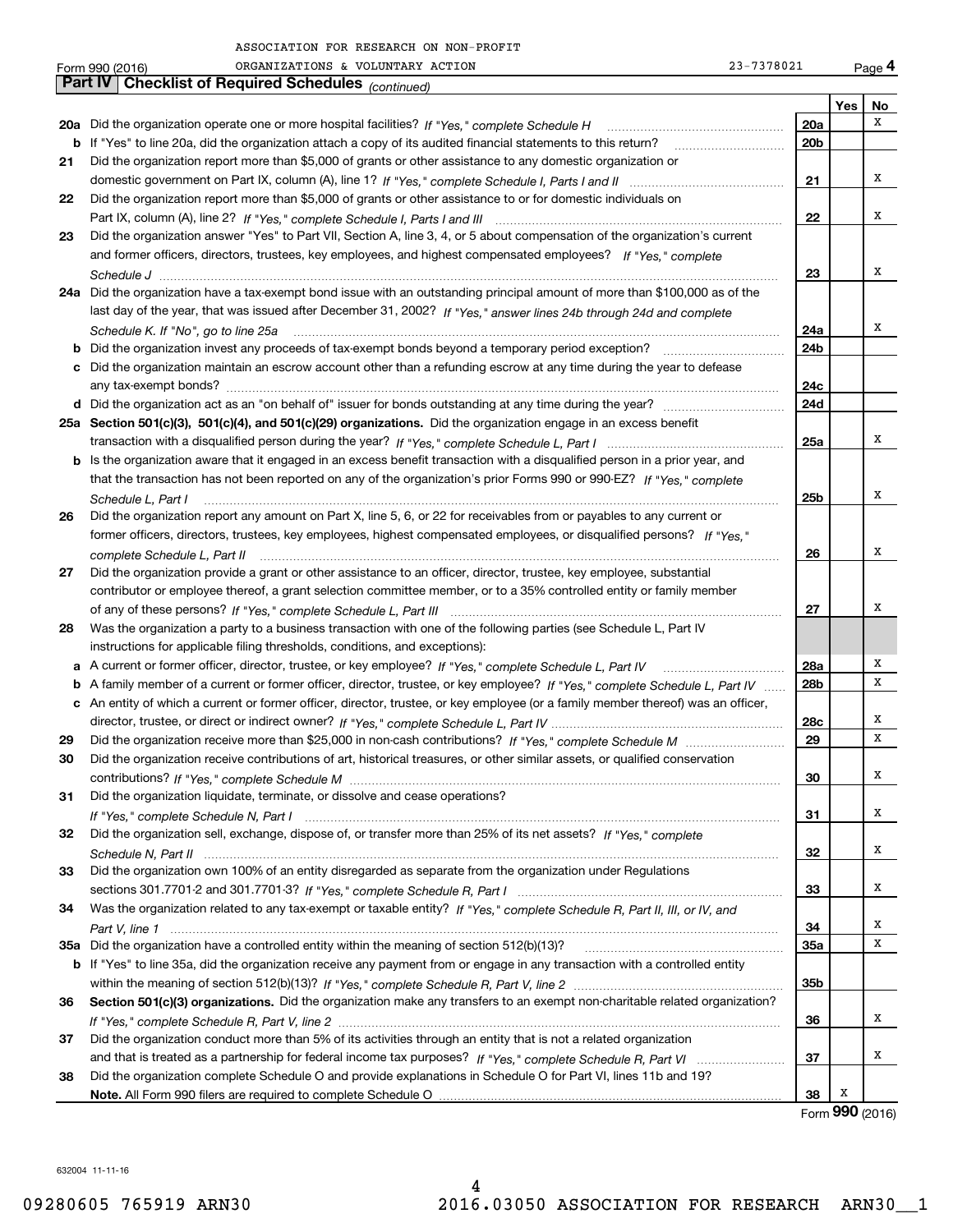|     | 23-7378021<br>ORGANIZATIONS & VOLUNTARY ACTION<br>Form 990 (2016)                                                                        |     |     | Page 4          |
|-----|------------------------------------------------------------------------------------------------------------------------------------------|-----|-----|-----------------|
|     | Part IV<br><b>Checklist of Required Schedules</b> (continued)                                                                            |     |     |                 |
|     |                                                                                                                                          |     | Yes | No              |
|     | 20a Did the organization operate one or more hospital facilities? If "Yes," complete Schedule H                                          | 20a |     | х               |
| b   | If "Yes" to line 20a, did the organization attach a copy of its audited financial statements to this return?                             | 20b |     |                 |
| 21  | Did the organization report more than \$5,000 of grants or other assistance to any domestic organization or                              |     |     |                 |
|     |                                                                                                                                          | 21  |     | X               |
| 22  | Did the organization report more than \$5,000 of grants or other assistance to or for domestic individuals on                            |     |     |                 |
|     |                                                                                                                                          | 22  |     | х               |
| 23  | Did the organization answer "Yes" to Part VII, Section A, line 3, 4, or 5 about compensation of the organization's current               |     |     |                 |
|     | and former officers, directors, trustees, key employees, and highest compensated employees? If "Yes," complete                           |     |     |                 |
|     |                                                                                                                                          | 23  |     | X               |
|     | 24a Did the organization have a tax-exempt bond issue with an outstanding principal amount of more than \$100,000 as of the              |     |     |                 |
|     | last day of the year, that was issued after December 31, 2002? If "Yes," answer lines 24b through 24d and complete                       |     |     |                 |
|     |                                                                                                                                          | 24a |     | X               |
|     | Schedule K. If "No", go to line 25a<br>Did the organization invest any proceeds of tax-exempt bonds beyond a temporary period exception? | 24b |     |                 |
| b   | c Did the organization maintain an escrow account other than a refunding escrow at any time during the year to defease                   |     |     |                 |
|     |                                                                                                                                          | 24c |     |                 |
|     |                                                                                                                                          |     |     |                 |
|     |                                                                                                                                          | 24d |     |                 |
|     | 25a Section 501(c)(3), 501(c)(4), and 501(c)(29) organizations. Did the organization engage in an excess benefit                         |     |     | X               |
|     |                                                                                                                                          | 25a |     |                 |
| b   | Is the organization aware that it engaged in an excess benefit transaction with a disqualified person in a prior year, and               |     |     |                 |
|     | that the transaction has not been reported on any of the organization's prior Forms 990 or 990-EZ? If "Yes," complete                    |     |     | X               |
|     | Schedule L, Part I                                                                                                                       | 25b |     |                 |
| 26  | Did the organization report any amount on Part X, line 5, 6, or 22 for receivables from or payables to any current or                    |     |     |                 |
|     | former officers, directors, trustees, key employees, highest compensated employees, or disqualified persons? If "Yes."                   |     |     |                 |
|     | complete Schedule L, Part II <i>maching and a complete Schedule L</i> , Part II and a complete Schedule L, Part II                       | 26  |     | X               |
| 27  | Did the organization provide a grant or other assistance to an officer, director, trustee, key employee, substantial                     |     |     |                 |
|     | contributor or employee thereof, a grant selection committee member, or to a 35% controlled entity or family member                      |     |     | х               |
|     |                                                                                                                                          | 27  |     |                 |
| 28  | Was the organization a party to a business transaction with one of the following parties (see Schedule L, Part IV                        |     |     |                 |
|     | instructions for applicable filing thresholds, conditions, and exceptions):                                                              |     |     | Χ               |
|     | a A current or former officer, director, trustee, or key employee? If "Yes," complete Schedule L, Part IV                                | 28a |     | х               |
|     | b A family member of a current or former officer, director, trustee, or key employee? If "Yes," complete Schedule L, Part IV             | 28b |     |                 |
|     | c An entity of which a current or former officer, director, trustee, or key employee (or a family member thereof) was an officer,        |     |     |                 |
|     |                                                                                                                                          | 28c |     | X<br>х          |
| 29  |                                                                                                                                          | 29  |     |                 |
| 30  | Did the organization receive contributions of art, historical treasures, or other similar assets, or qualified conservation              |     |     |                 |
|     |                                                                                                                                          | 30  |     | х               |
| 31  | Did the organization liquidate, terminate, or dissolve and cease operations?                                                             |     |     |                 |
|     |                                                                                                                                          | 31  |     | x               |
| 32  | Did the organization sell, exchange, dispose of, or transfer more than 25% of its net assets? If "Yes," complete                         |     |     |                 |
|     |                                                                                                                                          | 32  |     | x               |
| 33  | Did the organization own 100% of an entity disregarded as separate from the organization under Regulations                               |     |     |                 |
|     |                                                                                                                                          | 33  |     | x               |
| 34  | Was the organization related to any tax-exempt or taxable entity? If "Yes," complete Schedule R, Part II, III, or IV, and                |     |     |                 |
|     |                                                                                                                                          | 34  |     | х               |
| 35a | Did the organization have a controlled entity within the meaning of section 512(b)(13)?                                                  | 35a |     | х               |
|     | b If "Yes" to line 35a, did the organization receive any payment from or engage in any transaction with a controlled entity              |     |     |                 |
|     |                                                                                                                                          | 35b |     |                 |
| 36  | Section 501(c)(3) organizations. Did the organization make any transfers to an exempt non-charitable related organization?               |     |     |                 |
|     |                                                                                                                                          | 36  |     | X               |
| 37  | Did the organization conduct more than 5% of its activities through an entity that is not a related organization                         |     |     |                 |
|     |                                                                                                                                          | 37  |     | x               |
| 38  | Did the organization complete Schedule O and provide explanations in Schedule O for Part VI, lines 11b and 19?                           |     |     |                 |
|     |                                                                                                                                          | 38  | х   |                 |
|     |                                                                                                                                          |     |     | Form 990 (2016) |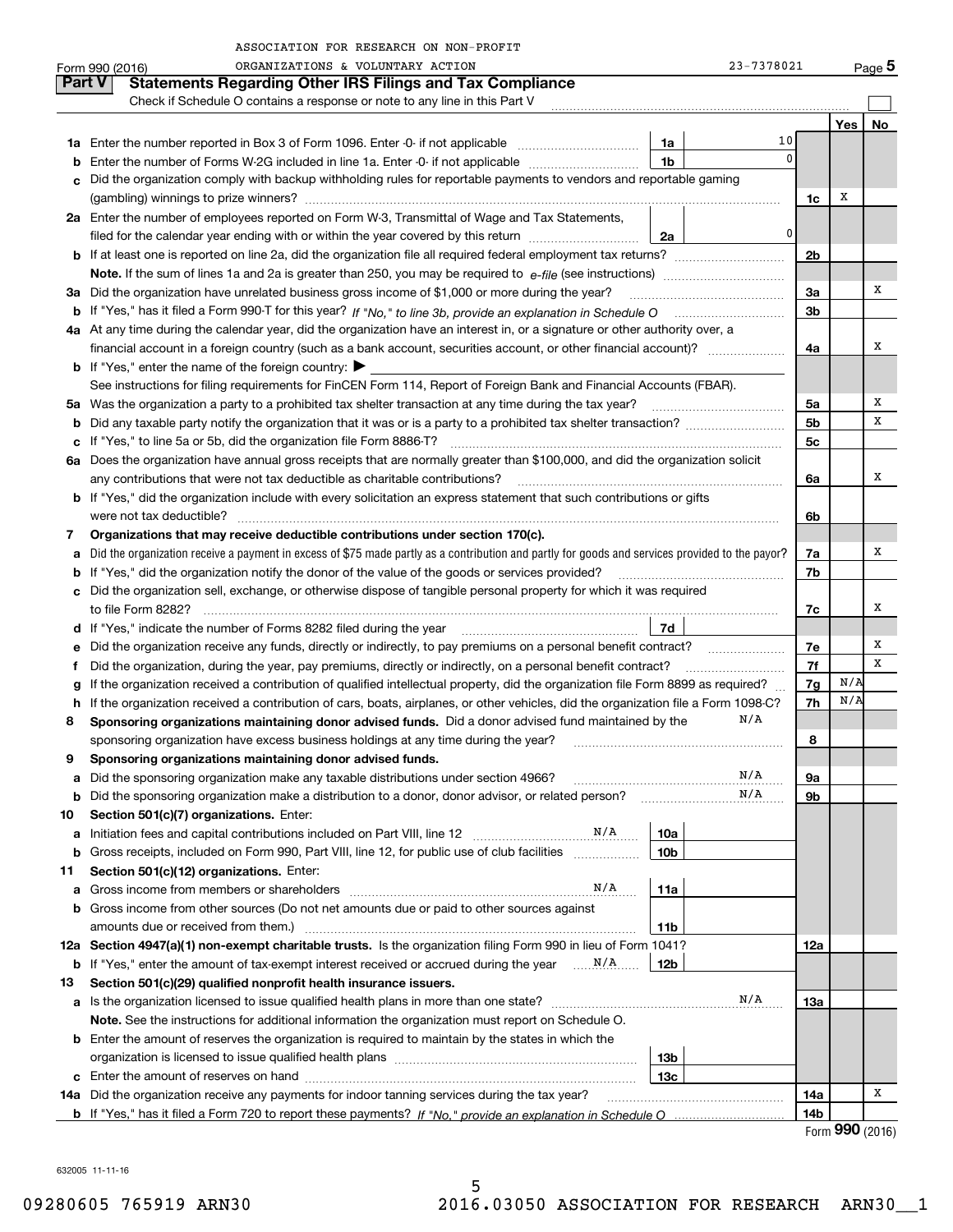|    | ORGANIZATIONS & VOLUNTARY ACTION<br>Form 990 (2016)                                                                                                                                                                            |                 | 23-7378021  |                |     | Page 5 |
|----|--------------------------------------------------------------------------------------------------------------------------------------------------------------------------------------------------------------------------------|-----------------|-------------|----------------|-----|--------|
|    | <b>Part V</b><br><b>Statements Regarding Other IRS Filings and Tax Compliance</b>                                                                                                                                              |                 |             |                |     |        |
|    | Check if Schedule O contains a response or note to any line in this Part V                                                                                                                                                     |                 |             |                |     |        |
|    |                                                                                                                                                                                                                                |                 |             |                | Yes | No     |
|    |                                                                                                                                                                                                                                | 1a              | 10          |                |     |        |
| b  | Enter the number of Forms W-2G included in line 1a. Enter -0- if not applicable                                                                                                                                                | 1b              | $\mathbf 0$ |                |     |        |
| c  | Did the organization comply with backup withholding rules for reportable payments to vendors and reportable gaming                                                                                                             |                 |             | 1c             | х   |        |
|    | 2a Enter the number of employees reported on Form W-3, Transmittal of Wage and Tax Statements,                                                                                                                                 |                 |             |                |     |        |
|    | filed for the calendar year ending with or within the year covered by this return                                                                                                                                              |                 | 0           |                |     |        |
|    |                                                                                                                                                                                                                                | 2a              |             | 2 <sub>b</sub> |     |        |
|    |                                                                                                                                                                                                                                |                 |             |                |     |        |
|    | 3a Did the organization have unrelated business gross income of \$1,000 or more during the year?                                                                                                                               |                 |             | 3a             |     | x      |
|    |                                                                                                                                                                                                                                |                 |             | 3b             |     |        |
|    | 4a At any time during the calendar year, did the organization have an interest in, or a signature or other authority over, a                                                                                                   |                 |             |                |     |        |
|    | financial account in a foreign country (such as a bank account, securities account, or other financial account)?                                                                                                               |                 |             | 4a             |     | х      |
|    | <b>b</b> If "Yes," enter the name of the foreign country: $\blacktriangleright$                                                                                                                                                |                 |             |                |     |        |
|    | See instructions for filing requirements for FinCEN Form 114, Report of Foreign Bank and Financial Accounts (FBAR).                                                                                                            |                 |             |                |     |        |
| 5a | Was the organization a party to a prohibited tax shelter transaction at any time during the tax year?                                                                                                                          |                 |             | 5a             |     | х      |
| b  |                                                                                                                                                                                                                                |                 |             | 5 <sub>b</sub> |     | х      |
|    | c If "Yes," to line 5a or 5b, did the organization file Form 8886-T?                                                                                                                                                           |                 |             | 5c             |     |        |
|    | 6a Does the organization have annual gross receipts that are normally greater than \$100,000, and did the organization solicit                                                                                                 |                 |             |                |     |        |
|    | any contributions that were not tax deductible as charitable contributions?                                                                                                                                                    |                 |             | 6a             |     | х      |
|    | <b>b</b> If "Yes," did the organization include with every solicitation an express statement that such contributions or gifts                                                                                                  |                 |             |                |     |        |
|    |                                                                                                                                                                                                                                |                 |             | 6b             |     |        |
| 7  | Organizations that may receive deductible contributions under section 170(c).                                                                                                                                                  |                 |             |                |     |        |
| a  | Did the organization receive a payment in excess of \$75 made partly as a contribution and partly for goods and services provided to the payor?                                                                                |                 |             | 7a             |     | x      |
| b  | If "Yes," did the organization notify the donor of the value of the goods or services provided?                                                                                                                                |                 |             | 7b             |     |        |
|    | c Did the organization sell, exchange, or otherwise dispose of tangible personal property for which it was required                                                                                                            |                 |             |                |     |        |
|    |                                                                                                                                                                                                                                |                 |             | 7c             |     | x      |
|    | d If "Yes," indicate the number of Forms 8282 filed during the year manufactured in the set of the set of the set of the set of the set of the set of the set of the set of the set of the set of the set of the set of the se | 7d              |             |                |     |        |
| е  | Did the organization receive any funds, directly or indirectly, to pay premiums on a personal benefit contract?                                                                                                                |                 |             | 7e             |     | Х      |
| f  | Did the organization, during the year, pay premiums, directly or indirectly, on a personal benefit contract?                                                                                                                   |                 |             | 7f             |     | Х      |
| g  | If the organization received a contribution of qualified intellectual property, did the organization file Form 8899 as required?                                                                                               |                 |             | 7g             | N/A |        |
| h  | If the organization received a contribution of cars, boats, airplanes, or other vehicles, did the organization file a Form 1098-C?                                                                                             |                 |             | 7h             | N/A |        |
| 8  | Sponsoring organizations maintaining donor advised funds. Did a donor advised fund maintained by the                                                                                                                           |                 | N/A         |                |     |        |
|    | sponsoring organization have excess business holdings at any time during the year?                                                                                                                                             |                 |             | 8              |     |        |
|    | Sponsoring organizations maintaining donor advised funds.                                                                                                                                                                      |                 |             |                |     |        |
| a  | Did the sponsoring organization make any taxable distributions under section 4966?                                                                                                                                             |                 | N/A         | 9а             |     |        |
| b  | Did the sponsoring organization make a distribution to a donor, donor advisor, or related person?                                                                                                                              |                 | N/A         | 9b             |     |        |
| 10 | Section 501(c)(7) organizations. Enter:                                                                                                                                                                                        |                 |             |                |     |        |
| а  |                                                                                                                                                                                                                                | 10a             |             |                |     |        |
| b  | Gross receipts, included on Form 990, Part VIII, line 12, for public use of club facilities                                                                                                                                    | 10 <sub>b</sub> |             |                |     |        |
| 11 | Section 501(c)(12) organizations. Enter:                                                                                                                                                                                       |                 |             |                |     |        |
| a  | N/A<br>Gross income from members or shareholders                                                                                                                                                                               | 11a             |             |                |     |        |
| b  | Gross income from other sources (Do not net amounts due or paid to other sources against                                                                                                                                       |                 |             |                |     |        |
|    | amounts due or received from them.)                                                                                                                                                                                            | 11b             |             |                |     |        |
|    | 12a Section 4947(a)(1) non-exempt charitable trusts. Is the organization filing Form 990 in lieu of Form 1041?                                                                                                                 |                 |             | 12a            |     |        |
|    |                                                                                                                                                                                                                                | 12b             |             |                |     |        |
| 13 | Section 501(c)(29) qualified nonprofit health insurance issuers.                                                                                                                                                               |                 |             |                |     |        |
| а  | Is the organization licensed to issue qualified health plans in more than one state?                                                                                                                                           |                 | N/A         | 13а            |     |        |
|    | Note. See the instructions for additional information the organization must report on Schedule O.                                                                                                                              |                 |             |                |     |        |
| b  | Enter the amount of reserves the organization is required to maintain by the states in which the                                                                                                                               |                 |             |                |     |        |
|    |                                                                                                                                                                                                                                | 13 <sub>b</sub> |             |                |     |        |
| c  |                                                                                                                                                                                                                                | 13 <sub>c</sub> |             |                |     |        |
|    | 14a Did the organization receive any payments for indoor tanning services during the tax year?                                                                                                                                 |                 |             | 14a            |     | x      |
|    |                                                                                                                                                                                                                                |                 |             | 14b            |     |        |

|  | Form 990 (2016) |  |
|--|-----------------|--|
|--|-----------------|--|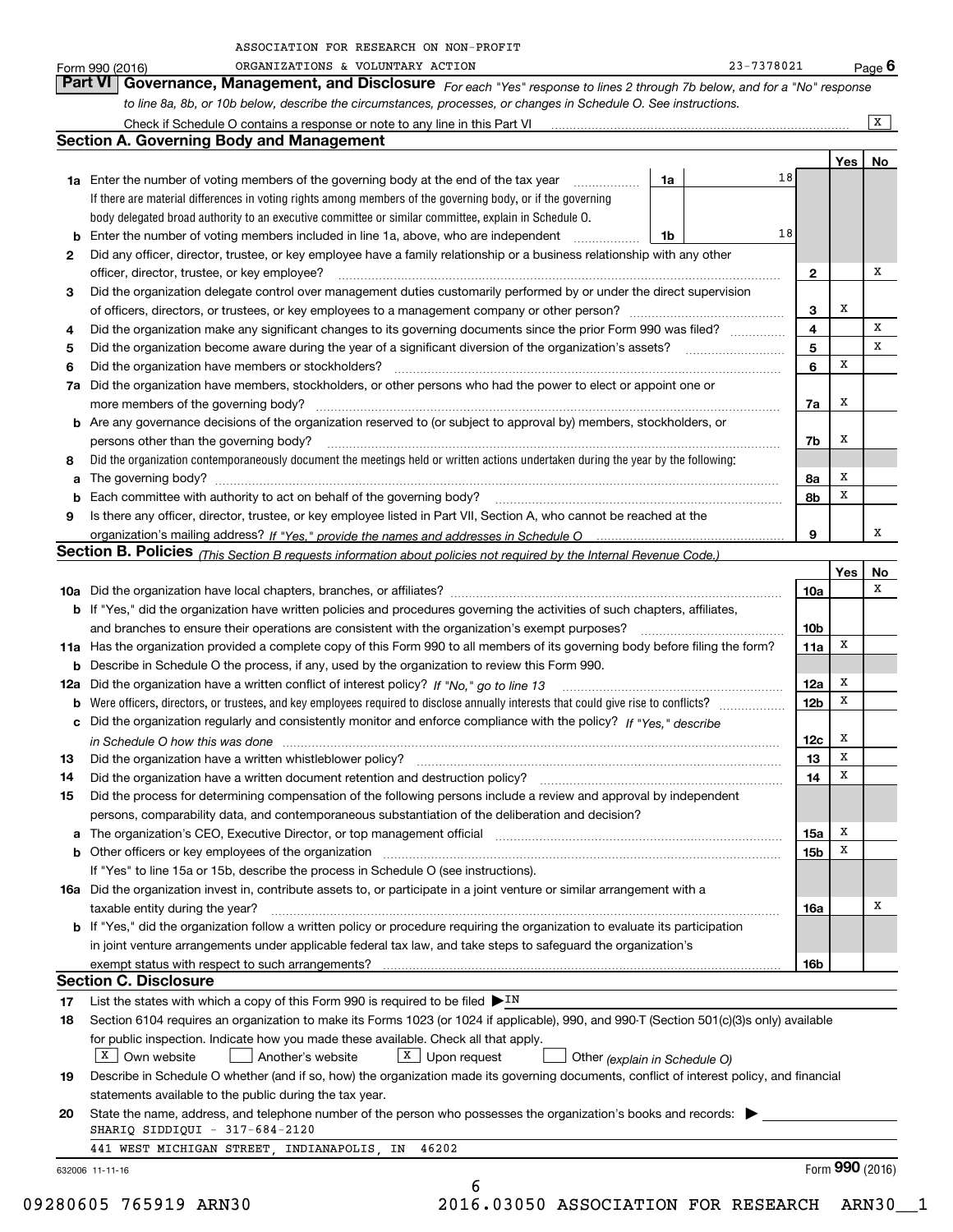|    | ORGANIZATIONS & VOLUNTARY ACTION<br>Form 990 (2016)                                                                                                                                                                                |    | 23-7378021 |                        |     | Page $6$        |
|----|------------------------------------------------------------------------------------------------------------------------------------------------------------------------------------------------------------------------------------|----|------------|------------------------|-----|-----------------|
|    | Governance, Management, and Disclosure For each "Yes" response to lines 2 through 7b below, and for a "No" response<br><b>Part VI</b>                                                                                              |    |            |                        |     |                 |
|    | to line 8a, 8b, or 10b below, describe the circumstances, processes, or changes in Schedule O. See instructions.                                                                                                                   |    |            |                        |     |                 |
|    |                                                                                                                                                                                                                                    |    |            |                        |     | X               |
|    | <b>Section A. Governing Body and Management</b>                                                                                                                                                                                    |    |            |                        |     |                 |
|    |                                                                                                                                                                                                                                    |    |            |                        | Yes | No              |
|    | <b>1a</b> Enter the number of voting members of the governing body at the end of the tax year <i>manumum</i>                                                                                                                       | 1a | 18         |                        |     |                 |
|    | If there are material differences in voting rights among members of the governing body, or if the governing                                                                                                                        |    |            |                        |     |                 |
|    | body delegated broad authority to an executive committee or similar committee, explain in Schedule O.                                                                                                                              |    |            |                        |     |                 |
|    | <b>b</b> Enter the number of voting members included in line 1a, above, who are independent                                                                                                                                        | 1b | 18         |                        |     |                 |
| 2  | Did any officer, director, trustee, or key employee have a family relationship or a business relationship with any other                                                                                                           |    |            |                        |     |                 |
|    | officer, director, trustee, or key employee?                                                                                                                                                                                       |    |            | $\mathbf{2}$           |     | x               |
| 3  | Did the organization delegate control over management duties customarily performed by or under the direct supervision                                                                                                              |    |            |                        |     |                 |
|    |                                                                                                                                                                                                                                    |    |            | 3                      | х   |                 |
| 4  | Did the organization make any significant changes to its governing documents since the prior Form 990 was filed?                                                                                                                   |    |            | 4                      |     | х               |
| 5  |                                                                                                                                                                                                                                    |    |            | 5                      |     | x               |
| 6  | Did the organization have members or stockholders?                                                                                                                                                                                 |    |            | 6                      | х   |                 |
|    | 7a Did the organization have members, stockholders, or other persons who had the power to elect or appoint one or                                                                                                                  |    |            |                        |     |                 |
|    | more members of the governing body?                                                                                                                                                                                                |    |            | 7a                     | x   |                 |
|    | <b>b</b> Are any governance decisions of the organization reserved to (or subject to approval by) members, stockholders, or                                                                                                        |    |            |                        |     |                 |
|    | persons other than the governing body?                                                                                                                                                                                             |    |            | 7b                     | х   |                 |
| 8  | Did the organization contemporaneously document the meetings held or written actions undertaken during the year by the following:                                                                                                  |    |            |                        |     |                 |
|    |                                                                                                                                                                                                                                    |    |            | 8a                     | X   |                 |
|    | <b>b</b> Each committee with authority to act on behalf of the governing body?                                                                                                                                                     |    |            | 8b                     | X   |                 |
| 9  | Is there any officer, director, trustee, or key employee listed in Part VII, Section A, who cannot be reached at the                                                                                                               |    |            |                        |     |                 |
|    |                                                                                                                                                                                                                                    |    |            | 9                      |     | х               |
|    | Section B. Policies (This Section B requests information about policies not required by the Internal Revenue Code.)                                                                                                                |    |            |                        |     |                 |
|    |                                                                                                                                                                                                                                    |    |            |                        | Yes | No<br>х         |
|    |                                                                                                                                                                                                                                    |    |            | 10a                    |     |                 |
|    | b If "Yes," did the organization have written policies and procedures governing the activities of such chapters, affiliates,                                                                                                       |    |            |                        |     |                 |
|    | and branches to ensure their operations are consistent with the organization's exempt purposes?<br>11a Has the organization provided a complete copy of this Form 990 to all members of its governing body before filing the form? |    |            | 10 <sub>b</sub><br>11a | х   |                 |
|    | <b>b</b> Describe in Schedule O the process, if any, used by the organization to review this Form 990.                                                                                                                             |    |            |                        |     |                 |
|    | 12a Did the organization have a written conflict of interest policy? If "No," go to line 13                                                                                                                                        |    |            | 12a                    | X   |                 |
|    |                                                                                                                                                                                                                                    |    |            | 12 <sub>b</sub>        | x   |                 |
|    | c Did the organization regularly and consistently monitor and enforce compliance with the policy? If "Yes," describe                                                                                                               |    |            |                        |     |                 |
|    |                                                                                                                                                                                                                                    |    |            | 12c                    | х   |                 |
| 13 | Did the organization have a written whistleblower policy?                                                                                                                                                                          |    |            | 13                     | x   |                 |
| 14 | Did the organization have a written document retention and destruction policy?                                                                                                                                                     |    |            | 14                     | X   |                 |
| 15 | Did the process for determining compensation of the following persons include a review and approval by independent                                                                                                                 |    |            |                        |     |                 |
|    | persons, comparability data, and contemporaneous substantiation of the deliberation and decision?                                                                                                                                  |    |            |                        |     |                 |
| а  | The organization's CEO, Executive Director, or top management official manufactured content of the organization's CEO, Executive Director, or top management official                                                              |    |            | 15a                    | X   |                 |
|    | b Other officers or key employees of the organization entitled and contain the control of the organization entropy of the organization                                                                                             |    |            | 15 <sub>b</sub>        | х   |                 |
|    | If "Yes" to line 15a or 15b, describe the process in Schedule O (see instructions).                                                                                                                                                |    |            |                        |     |                 |
|    | 16a Did the organization invest in, contribute assets to, or participate in a joint venture or similar arrangement with a                                                                                                          |    |            |                        |     |                 |
|    | taxable entity during the year?                                                                                                                                                                                                    |    |            | 16a                    |     | х               |
|    | <b>b</b> If "Yes," did the organization follow a written policy or procedure requiring the organization to evaluate its participation                                                                                              |    |            |                        |     |                 |
|    | in joint venture arrangements under applicable federal tax law, and take steps to safeguard the organization's                                                                                                                     |    |            |                        |     |                 |
|    |                                                                                                                                                                                                                                    |    |            | 16b                    |     |                 |
|    | <b>Section C. Disclosure</b>                                                                                                                                                                                                       |    |            |                        |     |                 |
| 17 | List the states with which a copy of this Form 990 is required to be filed $\blacktriangleright$ IN                                                                                                                                |    |            |                        |     |                 |
| 18 | Section 6104 requires an organization to make its Forms 1023 (or 1024 if applicable), 990, and 990-T (Section 501(c)(3)s only) available                                                                                           |    |            |                        |     |                 |
|    | for public inspection. Indicate how you made these available. Check all that apply.                                                                                                                                                |    |            |                        |     |                 |
|    | X Own website<br>Another's website<br>$X$ Upon request<br>Other (explain in Schedule O)                                                                                                                                            |    |            |                        |     |                 |
| 19 | Describe in Schedule O whether (and if so, how) the organization made its governing documents, conflict of interest policy, and financial                                                                                          |    |            |                        |     |                 |
|    | statements available to the public during the tax year.                                                                                                                                                                            |    |            |                        |     |                 |
| 20 | State the name, address, and telephone number of the person who possesses the organization's books and records:                                                                                                                    |    |            |                        |     |                 |
|    | SHARIQ SIDDIQUI - 317-684-2120<br>441 WEST MICHIGAN STREET, INDIANAPOLIS, IN<br>46202                                                                                                                                              |    |            |                        |     |                 |
|    |                                                                                                                                                                                                                                    |    |            |                        |     | Form 990 (2016) |
|    | 632006 11-11-16<br>6                                                                                                                                                                                                               |    |            |                        |     |                 |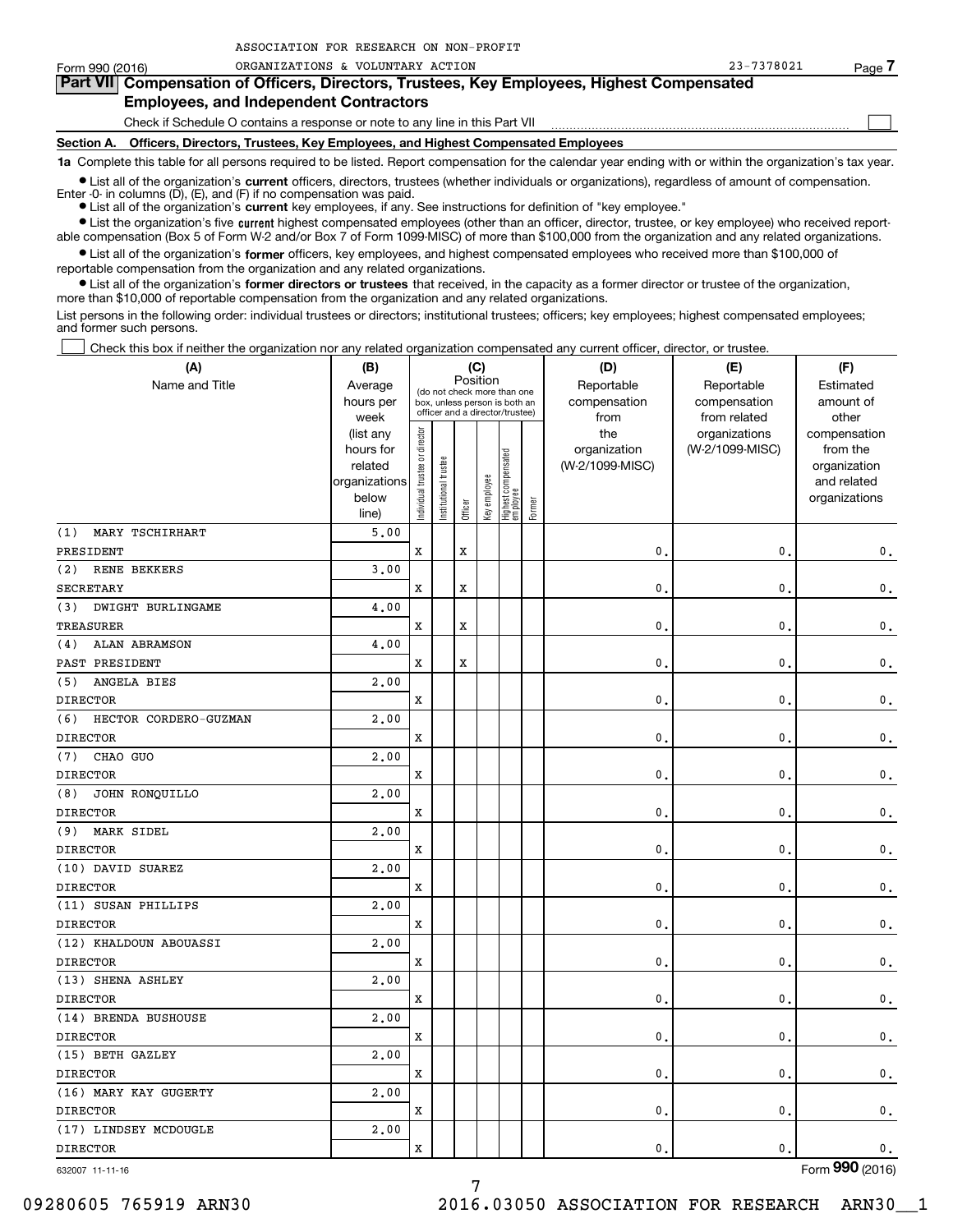| Form 990 (2016)                                                                                                                                            | ORGANIZATIONS & VOLUNTARY ACTION                                                           | 23-7378021 | Page / |  |  |  |  |  |  |
|------------------------------------------------------------------------------------------------------------------------------------------------------------|--------------------------------------------------------------------------------------------|------------|--------|--|--|--|--|--|--|
| Part VII Compensation of Officers, Directors, Trustees, Key Employees, Highest Compensated                                                                 |                                                                                            |            |        |  |  |  |  |  |  |
| <b>Employees, and Independent Contractors</b>                                                                                                              |                                                                                            |            |        |  |  |  |  |  |  |
|                                                                                                                                                            | Check if Schedule O contains a response or note to any line in this Part VII               |            |        |  |  |  |  |  |  |
|                                                                                                                                                            | Section A. Officers, Directors, Trustees, Key Employees, and Highest Compensated Employees |            |        |  |  |  |  |  |  |
| 1a Complete this table for all persons required to be listed. Report compensation for the calendar year ending with or within the organization's tax year. |                                                                                            |            |        |  |  |  |  |  |  |

**•** List all of the organization's current officers, directors, trustees (whether individuals or organizations), regardless of amount of compensation.

**current**  Enter -0- in columns (D), (E), and (F) if no compensation was paid. ● List all of the organization's current key employees, if any. See instructions for definition of "key employee."

ASSOCIATION FOR RESEARCH ON NON-PROFIT

**•** List the organization's five current highest compensated employees (other than an officer, director, trustee, or key employee) who received report-

 $\bullet$  List all of the organization's **former** officers, key employees, and highest compensated employees who received more than \$100,000 of able compensation (Box 5 of Form W-2 and/or Box 7 of Form 1099-MISC) of more than \$100,000 from the organization and any related organizations. reportable compensation from the organization and any related organizations.

**•** List all of the organization's former directors or trustees that received, in the capacity as a former director or trustee of the organization, more than \$10,000 of reportable compensation from the organization and any related organizations.

List persons in the following order: individual trustees or directors; institutional trustees; officers; key employees; highest compensated employees; and former such persons.

Check this box if neither the organization nor any related organization compensated any current officer, director, or trustee.

| (A)                             | (B)               |                                |                                                                  |             | (C)          |                                   |                      | (D)                          | (E)                | (F)             |               |              |
|---------------------------------|-------------------|--------------------------------|------------------------------------------------------------------|-------------|--------------|-----------------------------------|----------------------|------------------------------|--------------------|-----------------|---------------|--------------|
| Name and Title                  | Average           |                                | Position<br>(do not check more than one                          |             | Reportable   | Reportable                        | Estimated            |                              |                    |                 |               |              |
|                                 | hours per<br>week |                                | box, unless person is both an<br>officer and a director/trustee) |             |              |                                   | compensation<br>from | compensation<br>from related | amount of<br>other |                 |               |              |
|                                 | (list any         |                                |                                                                  |             |              |                                   |                      |                              |                    | the             | organizations | compensation |
|                                 | hours for         |                                |                                                                  |             |              |                                   |                      | organization                 | (W-2/1099-MISC)    | from the        |               |              |
|                                 | related           |                                |                                                                  |             |              |                                   |                      | (W-2/1099-MISC)              |                    | organization    |               |              |
|                                 | organizations     |                                |                                                                  |             |              |                                   |                      |                              |                    | and related     |               |              |
|                                 | below<br>line)    | Individual trustee or director | Institutional trustee                                            | Officer     | Key employee | Highest compensated<br>  employee | Former               |                              |                    | organizations   |               |              |
| MARY TSCHIRHART<br>(1)          | 5.00              |                                |                                                                  |             |              |                                   |                      |                              |                    |                 |               |              |
| PRESIDENT                       |                   | X                              |                                                                  | X           |              |                                   |                      | 0.                           | $\mathbf{0}$ .     | $\mathbf 0$ .   |               |              |
| RENE BEKKERS<br>(2)             | 3.00              |                                |                                                                  |             |              |                                   |                      |                              |                    |                 |               |              |
| <b>SECRETARY</b>                |                   | X                              |                                                                  | X           |              |                                   |                      | $\mathbf{0}$                 | $\mathbf{0}$ .     | $\mathsf{0}\,.$ |               |              |
| <b>DWIGHT BURLINGAME</b><br>(3) | 4,00              |                                |                                                                  |             |              |                                   |                      |                              |                    |                 |               |              |
| <b>TREASURER</b>                |                   | X                              |                                                                  | X           |              |                                   |                      | $\mathbf{0}$ .               | $\mathbf{0}$ .     | $\mathsf{0}\,.$ |               |              |
| <b>ALAN ABRAMSON</b><br>(4)     | 4,00              |                                |                                                                  |             |              |                                   |                      |                              |                    |                 |               |              |
| PAST PRESIDENT                  |                   | X                              |                                                                  | $\mathbf x$ |              |                                   |                      | $\mathbf{0}$ .               | $\mathbf{0}$ .     | 0.              |               |              |
| ANGELA BIES<br>(5)              | 2,00              |                                |                                                                  |             |              |                                   |                      |                              |                    |                 |               |              |
| <b>DIRECTOR</b>                 |                   | X                              |                                                                  |             |              |                                   |                      | 0.                           | $\mathbf{0}$ .     | 0.              |               |              |
| HECTOR CORDERO-GUZMAN<br>(6)    | 2,00              |                                |                                                                  |             |              |                                   |                      |                              |                    |                 |               |              |
| <b>DIRECTOR</b>                 |                   | X                              |                                                                  |             |              |                                   |                      | 0.                           | $\mathbf{0}$ .     | 0.              |               |              |
| CHAO GUO<br>(7)                 | 2,00              |                                |                                                                  |             |              |                                   |                      |                              |                    |                 |               |              |
| <b>DIRECTOR</b>                 |                   | X                              |                                                                  |             |              |                                   |                      | 0.                           | $\mathbf{0}$ .     | $\mathbf 0$ .   |               |              |
| JOHN RONQUILLO<br>(8)           | 2,00              |                                |                                                                  |             |              |                                   |                      |                              |                    |                 |               |              |
| <b>DIRECTOR</b>                 |                   | X                              |                                                                  |             |              |                                   |                      | 0.                           | $\mathbf{0}$ .     | $\mathsf{0}\,.$ |               |              |
| MARK SIDEL<br>(9)               | 2,00              |                                |                                                                  |             |              |                                   |                      |                              |                    |                 |               |              |
| <b>DIRECTOR</b>                 |                   | X                              |                                                                  |             |              |                                   |                      | 0.                           | $\mathbf{0}$ .     | $\mathsf{0}\,.$ |               |              |
| (10) DAVID SUAREZ               | 2,00              |                                |                                                                  |             |              |                                   |                      |                              |                    |                 |               |              |
| <b>DIRECTOR</b>                 |                   | X                              |                                                                  |             |              |                                   |                      | $\mathbf{0}$                 | $\mathbf{0}$ .     | $\mathbf 0$ .   |               |              |
| (11) SUSAN PHILLIPS             | 2,00              |                                |                                                                  |             |              |                                   |                      |                              |                    |                 |               |              |
| <b>DIRECTOR</b>                 |                   | X                              |                                                                  |             |              |                                   |                      | 0.                           | $\mathbf{0}$ .     | $\mathbf{0}$ .  |               |              |
| (12) KHALDOUN ABOUASSI          | 2,00              |                                |                                                                  |             |              |                                   |                      |                              |                    |                 |               |              |
| <b>DIRECTOR</b>                 |                   | X                              |                                                                  |             |              |                                   |                      | $\mathbf{0}$                 | $\mathbf{0}$ .     | $\mathbf 0$ .   |               |              |
| (13) SHENA ASHLEY               | 2.00              |                                |                                                                  |             |              |                                   |                      |                              |                    |                 |               |              |
| <b>DIRECTOR</b>                 |                   | X                              |                                                                  |             |              |                                   |                      | $\mathbf{0}$ .               | $\mathbf{0}$ .     | $\mathsf{0}\,.$ |               |              |
| (14) BRENDA BUSHOUSE            | 2,00              |                                |                                                                  |             |              |                                   |                      |                              |                    |                 |               |              |
| <b>DIRECTOR</b>                 |                   | X                              |                                                                  |             |              |                                   |                      | $\mathbf{0}$                 | $\mathbf{0}$ .     | $\mathbf{0}$ .  |               |              |
| (15) BETH GAZLEY                | 2.00              |                                |                                                                  |             |              |                                   |                      |                              |                    |                 |               |              |
| <b>DIRECTOR</b>                 |                   | X                              |                                                                  |             |              |                                   |                      | $\mathbf{0}$ .               | $\mathbf{0}$ .     | $\mathbf{0}$ .  |               |              |
| (16) MARY KAY GUGERTY           | 2.00              |                                |                                                                  |             |              |                                   |                      |                              |                    |                 |               |              |
| <b>DIRECTOR</b>                 |                   | X                              |                                                                  |             |              |                                   |                      | $\mathbf{0}$                 | $\mathbf{0}$ .     | $\mathsf{0}\,.$ |               |              |
| (17) LINDSEY MCDOUGLE           | 2.00              |                                |                                                                  |             |              |                                   |                      |                              |                    |                 |               |              |
| <b>DIRECTOR</b>                 |                   | X                              |                                                                  |             |              |                                   |                      | $\mathbf{0}$ .               | $\mathbf{0}$ .     | $\mathbf 0$ .   |               |              |

632007 11-11-16

Form (2016) **990**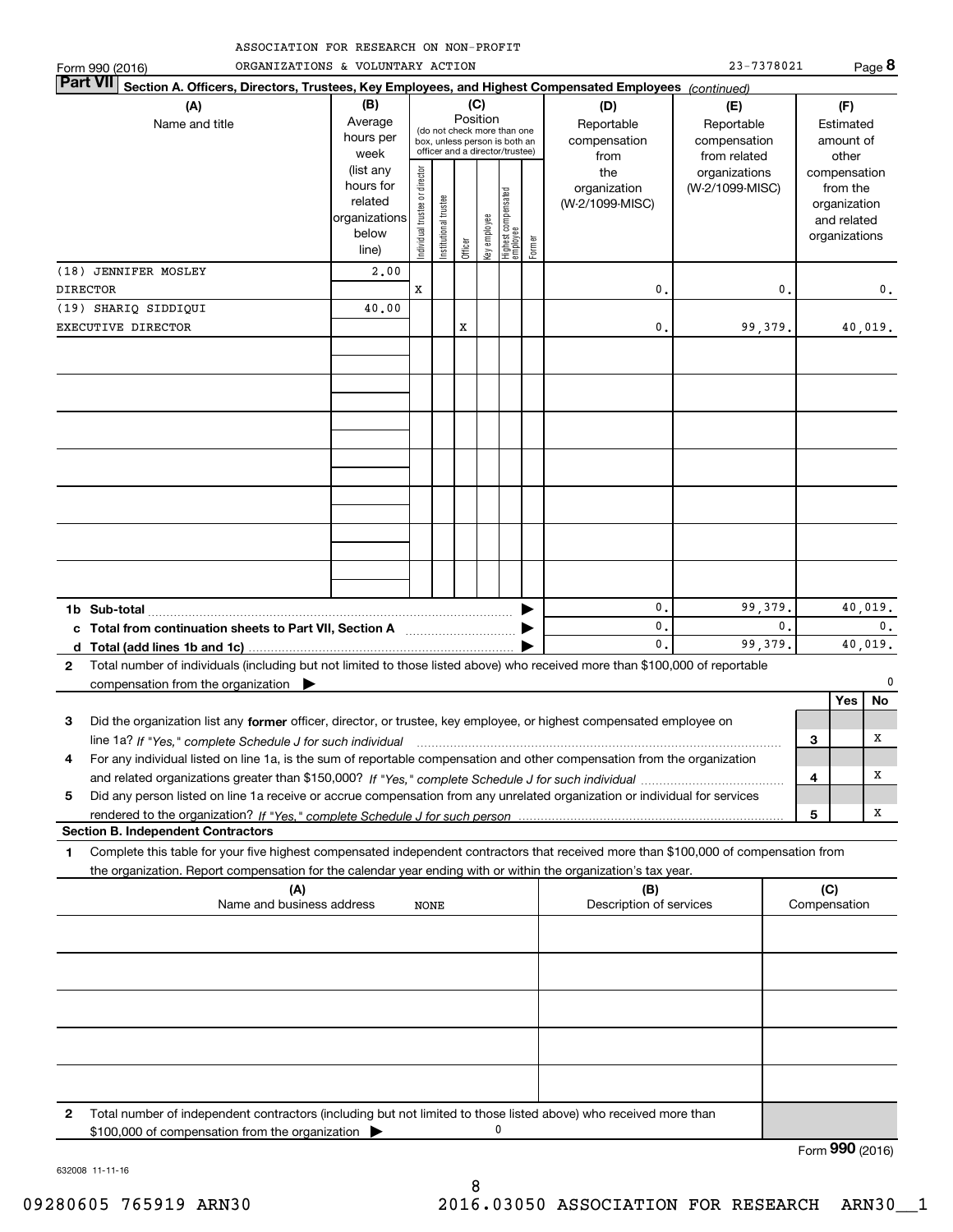| ASSOCIATION FOR RESEARCH ON NON-PROFIT |  |
|----------------------------------------|--|
|----------------------------------------|--|

| ORGANIZATIONS & VOLUNTARY ACTION<br>Form 990 (2016)                                                                                                                                                                                                         | CIAIIUN FUR RESEARCH UN NUN-FRUFII                                                                                                                                     |                               |                       |         |              |                                 |        |                                           | 23-7378021                                        |    |     |                                                                          | Page 8                    |
|-------------------------------------------------------------------------------------------------------------------------------------------------------------------------------------------------------------------------------------------------------------|------------------------------------------------------------------------------------------------------------------------------------------------------------------------|-------------------------------|-----------------------|---------|--------------|---------------------------------|--------|-------------------------------------------|---------------------------------------------------|----|-----|--------------------------------------------------------------------------|---------------------------|
| <b>Part VII</b><br>Section A. Officers, Directors, Trustees, Key Employees, and Highest Compensated Employees (continued)                                                                                                                                   |                                                                                                                                                                        |                               |                       |         |              |                                 |        |                                           |                                                   |    |     |                                                                          |                           |
| (A)<br>Name and title                                                                                                                                                                                                                                       | (C)<br>(B)<br>Position<br>Average<br>(do not check more than one<br>hours per<br>box, unless person is both an<br>officer and a director/trustee)<br>week<br>(list any |                               |                       |         |              |                                 |        | (D)<br>Reportable<br>compensation<br>from | (E)<br>Reportable<br>compensation<br>from related |    |     | (F)<br>Estimated<br>amount of<br>other                                   |                           |
|                                                                                                                                                                                                                                                             | hours for<br>related<br>organizations<br>below<br>line)                                                                                                                | ndividual trustee or director | Institutional trustee | Officer | Key employee | Highest compensated<br>employee | Former | the<br>organization<br>(W-2/1099-MISC)    | organizations<br>(W-2/1099-MISC)                  |    |     | compensation<br>from the<br>organization<br>and related<br>organizations |                           |
| (18) JENNIFER MOSLEY<br><b>DIRECTOR</b>                                                                                                                                                                                                                     | 2,00                                                                                                                                                                   | x                             |                       |         |              |                                 |        | 0.                                        |                                                   | 0. |     |                                                                          | 0.                        |
| (19) SHARIQ SIDDIQUI<br>EXECUTIVE DIRECTOR                                                                                                                                                                                                                  | 40.00                                                                                                                                                                  |                               |                       | x       |              |                                 |        | 0.                                        | 99,379.                                           |    |     |                                                                          | 40,019.                   |
|                                                                                                                                                                                                                                                             |                                                                                                                                                                        |                               |                       |         |              |                                 |        |                                           |                                                   |    |     |                                                                          |                           |
|                                                                                                                                                                                                                                                             |                                                                                                                                                                        |                               |                       |         |              |                                 |        |                                           |                                                   |    |     |                                                                          |                           |
|                                                                                                                                                                                                                                                             |                                                                                                                                                                        |                               |                       |         |              |                                 |        |                                           |                                                   |    |     |                                                                          |                           |
|                                                                                                                                                                                                                                                             |                                                                                                                                                                        |                               |                       |         |              |                                 |        |                                           |                                                   |    |     |                                                                          |                           |
|                                                                                                                                                                                                                                                             |                                                                                                                                                                        |                               |                       |         |              |                                 |        |                                           |                                                   |    |     |                                                                          |                           |
|                                                                                                                                                                                                                                                             |                                                                                                                                                                        |                               |                       |         |              |                                 |        |                                           |                                                   |    |     |                                                                          |                           |
| 1b Sub-total                                                                                                                                                                                                                                                |                                                                                                                                                                        |                               |                       |         |              |                                 |        | 0.                                        | 99,379.                                           |    |     |                                                                          | 40,019.                   |
| c Total from continuation sheets to Part VII, Section A <b>Constanting to Part VII</b> , Section A                                                                                                                                                          |                                                                                                                                                                        |                               |                       |         |              |                                 |        | 0.<br>$\mathbf{0}$ .                      | 99,379.                                           | 0. |     |                                                                          | $\mathbf{0}$ .<br>40,019. |
| Total number of individuals (including but not limited to those listed above) who received more than \$100,000 of reportable<br>$\mathbf{2}$                                                                                                                |                                                                                                                                                                        |                               |                       |         |              |                                 |        |                                           |                                                   |    |     |                                                                          |                           |
| compensation from the organization $\blacktriangleright$                                                                                                                                                                                                    |                                                                                                                                                                        |                               |                       |         |              |                                 |        |                                           |                                                   |    |     |                                                                          | $\Omega$                  |
|                                                                                                                                                                                                                                                             |                                                                                                                                                                        |                               |                       |         |              |                                 |        |                                           |                                                   |    |     | Yes                                                                      | No                        |
| Did the organization list any former officer, director, or trustee, key employee, or highest compensated employee on<br>3                                                                                                                                   |                                                                                                                                                                        |                               |                       |         |              |                                 |        |                                           |                                                   |    |     |                                                                          | х                         |
| For any individual listed on line 1a, is the sum of reportable compensation and other compensation from the organization<br>4                                                                                                                               |                                                                                                                                                                        |                               |                       |         |              |                                 |        |                                           |                                                   |    | 3   |                                                                          |                           |
|                                                                                                                                                                                                                                                             |                                                                                                                                                                        |                               |                       |         |              |                                 |        |                                           |                                                   |    | 4   |                                                                          | х                         |
| Did any person listed on line 1a receive or accrue compensation from any unrelated organization or individual for services<br>5                                                                                                                             |                                                                                                                                                                        |                               |                       |         |              |                                 |        |                                           |                                                   |    |     |                                                                          |                           |
|                                                                                                                                                                                                                                                             |                                                                                                                                                                        |                               |                       |         |              |                                 |        |                                           |                                                   |    | 5   |                                                                          | x                         |
| <b>Section B. Independent Contractors</b>                                                                                                                                                                                                                   |                                                                                                                                                                        |                               |                       |         |              |                                 |        |                                           |                                                   |    |     |                                                                          |                           |
| Complete this table for your five highest compensated independent contractors that received more than \$100,000 of compensation from<br>1<br>the organization. Report compensation for the calendar year ending with or within the organization's tax year. |                                                                                                                                                                        |                               |                       |         |              |                                 |        |                                           |                                                   |    |     |                                                                          |                           |
| (A)                                                                                                                                                                                                                                                         |                                                                                                                                                                        |                               |                       |         |              |                                 |        | (B)                                       |                                                   |    | (C) |                                                                          |                           |
| Name and business address                                                                                                                                                                                                                                   |                                                                                                                                                                        | NONE                          |                       |         |              |                                 |        | Description of services                   |                                                   |    |     | Compensation                                                             |                           |
|                                                                                                                                                                                                                                                             |                                                                                                                                                                        |                               |                       |         |              |                                 |        |                                           |                                                   |    |     |                                                                          |                           |
|                                                                                                                                                                                                                                                             |                                                                                                                                                                        |                               |                       |         |              |                                 |        |                                           |                                                   |    |     |                                                                          |                           |
|                                                                                                                                                                                                                                                             |                                                                                                                                                                        |                               |                       |         |              |                                 |        |                                           |                                                   |    |     |                                                                          |                           |

\$100,000 of compensation from the organization  $\blacktriangleright$ 

**2**

Form (2016) **990**

0

Total number of independent contractors (including but not limited to those listed above) who received more than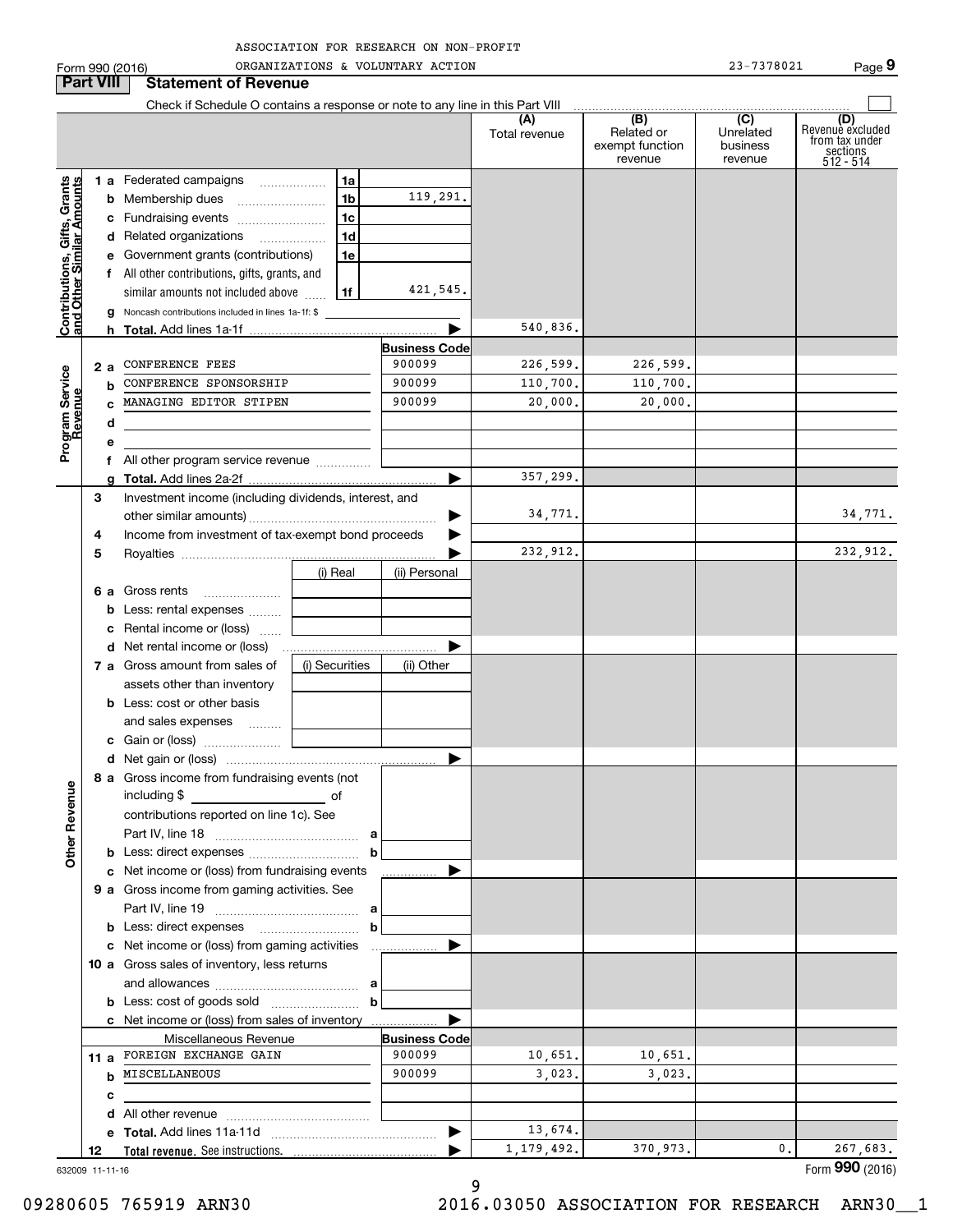| ASSOCIATION FOR RESEARCH ON NON-PROFIT |  |  |
|----------------------------------------|--|--|
|                                        |  |  |

|                                            |                           | Form 990 (2016)                                                               |                | ORGANIZATIONS & VOLUNTARY ACTION |                      |                                                 | 23-7378021                              | Page 9                                                             |
|--------------------------------------------|---------------------------|-------------------------------------------------------------------------------|----------------|----------------------------------|----------------------|-------------------------------------------------|-----------------------------------------|--------------------------------------------------------------------|
|                                            | <b>Part VIII</b>          | <b>Statement of Revenue</b>                                                   |                |                                  |                      |                                                 |                                         |                                                                    |
|                                            |                           | Check if Schedule O contains a response or note to any line in this Part VIII |                |                                  |                      |                                                 |                                         |                                                                    |
|                                            |                           |                                                                               |                |                                  | (A)<br>Total revenue | (B)<br>Related or<br>exempt function<br>revenue | (C)<br>Unrelated<br>business<br>revenue | (D)<br>Revenue excluded<br>from tax under<br>sections<br>512 - 514 |
|                                            |                           | <b>1 a</b> Federated campaigns                                                | 1a             |                                  |                      |                                                 |                                         |                                                                    |
|                                            |                           |                                                                               | 1 <sub>b</sub> | 119,291.                         |                      |                                                 |                                         |                                                                    |
|                                            |                           | c Fundraising events                                                          | 1c             |                                  |                      |                                                 |                                         |                                                                    |
| $rac{G}{d}$ . $rac{A}{d}$                  |                           | d Related organizations                                                       | 1 <sub>d</sub> |                                  |                      |                                                 |                                         |                                                                    |
|                                            |                           | e Government grants (contributions)                                           | 1e             |                                  |                      |                                                 |                                         |                                                                    |
|                                            |                           | f All other contributions, gifts, grants, and                                 |                |                                  |                      |                                                 |                                         |                                                                    |
|                                            |                           | similar amounts not included above  1f                                        |                | 421,545.                         |                      |                                                 |                                         |                                                                    |
| <b>Contributions, (</b><br>and Other Simil |                           | g Noncash contributions included in lines 1a-1f: \$                           |                |                                  |                      |                                                 |                                         |                                                                    |
|                                            |                           |                                                                               |                |                                  | 540,836.             |                                                 |                                         |                                                                    |
|                                            |                           |                                                                               |                | <b>Business Code</b>             |                      |                                                 |                                         |                                                                    |
|                                            | 2 a                       | <b>CONFERENCE FEES</b>                                                        | 900099         | 226,599.                         | 226,599.             |                                                 |                                         |                                                                    |
|                                            | b                         | CONFERENCE SPONSORSHIP                                                        |                | 900099                           | 110,700.             | 110,700.                                        |                                         |                                                                    |
| Program Service<br>Revenue                 |                           | MANAGING EDITOR STIPEN                                                        |                | 900099                           | 20,000.              | 20,000.                                         |                                         |                                                                    |
|                                            | d                         |                                                                               |                |                                  |                      |                                                 |                                         |                                                                    |
|                                            | e                         |                                                                               |                |                                  |                      |                                                 |                                         |                                                                    |
|                                            |                           |                                                                               |                |                                  |                      |                                                 |                                         |                                                                    |
|                                            |                           | f All other program service revenue                                           |                |                                  | 357,299.             |                                                 |                                         |                                                                    |
|                                            | 3                         | Investment income (including dividends, interest, and                         |                |                                  |                      |                                                 |                                         |                                                                    |
|                                            |                           |                                                                               |                | ▶                                | 34,771.              |                                                 |                                         | 34,771.                                                            |
|                                            | 4                         | Income from investment of tax-exempt bond proceeds                            |                |                                  |                      |                                                 |                                         |                                                                    |
|                                            | 5                         |                                                                               |                |                                  | 232,912.             |                                                 |                                         | 232,912.                                                           |
|                                            |                           |                                                                               | (i) Real       | (ii) Personal                    |                      |                                                 |                                         |                                                                    |
|                                            |                           | 6 a Gross rents                                                               |                |                                  |                      |                                                 |                                         |                                                                    |
|                                            |                           | <b>b</b> Less: rental expenses                                                |                |                                  |                      |                                                 |                                         |                                                                    |
|                                            |                           |                                                                               |                |                                  |                      |                                                 |                                         |                                                                    |
|                                            | c Rental income or (loss) |                                                                               |                |                                  |                      |                                                 |                                         |                                                                    |
|                                            |                           |                                                                               | (i) Securities |                                  |                      |                                                 |                                         |                                                                    |
|                                            |                           | 7 a Gross amount from sales of                                                |                | (ii) Other                       |                      |                                                 |                                         |                                                                    |
|                                            |                           | assets other than inventory<br><b>b</b> Less: cost or other basis             |                |                                  |                      |                                                 |                                         |                                                                    |
|                                            |                           |                                                                               |                |                                  |                      |                                                 |                                         |                                                                    |
|                                            |                           | and sales expenses                                                            |                |                                  |                      |                                                 |                                         |                                                                    |
|                                            |                           | c Gain or (loss)                                                              |                |                                  |                      |                                                 |                                         |                                                                    |
|                                            |                           | 8 a Gross income from fundraising events (not                                 |                |                                  |                      |                                                 |                                         |                                                                    |
|                                            |                           |                                                                               |                |                                  |                      |                                                 |                                         |                                                                    |
|                                            |                           | contributions reported on line 1c). See                                       |                |                                  |                      |                                                 |                                         |                                                                    |
| <b>Other Revenue</b>                       |                           |                                                                               |                |                                  |                      |                                                 |                                         |                                                                    |
|                                            |                           |                                                                               |                |                                  |                      |                                                 |                                         |                                                                    |
|                                            |                           | c Net income or (loss) from fundraising events                                |                |                                  |                      |                                                 |                                         |                                                                    |
|                                            |                           | 9 a Gross income from gaming activities. See                                  |                |                                  |                      |                                                 |                                         |                                                                    |
|                                            |                           |                                                                               |                |                                  |                      |                                                 |                                         |                                                                    |
|                                            |                           | <b>b</b> Less: direct expenses <b>b</b>                                       |                |                                  |                      |                                                 |                                         |                                                                    |
|                                            |                           | c Net income or (loss) from gaming activities                                 |                |                                  |                      |                                                 |                                         |                                                                    |
|                                            |                           | 10 a Gross sales of inventory, less returns                                   |                |                                  |                      |                                                 |                                         |                                                                    |
|                                            |                           |                                                                               |                |                                  |                      |                                                 |                                         |                                                                    |
|                                            |                           |                                                                               | b              |                                  |                      |                                                 |                                         |                                                                    |
|                                            |                           | c Net income or (loss) from sales of inventory                                |                |                                  |                      |                                                 |                                         |                                                                    |
|                                            |                           | Miscellaneous Revenue                                                         |                | <b>Business Code</b>             |                      |                                                 |                                         |                                                                    |
|                                            |                           | 11 a FOREIGN EXCHANGE GAIN                                                    |                | 900099                           | 10,651.              | 10,651.                                         |                                         |                                                                    |
|                                            |                           | <b>b</b> MISCELLANEOUS                                                        |                | 900099                           | 3,023.               | 3,023.                                          |                                         |                                                                    |
|                                            | с                         |                                                                               |                |                                  |                      |                                                 |                                         |                                                                    |
|                                            |                           |                                                                               |                |                                  |                      |                                                 |                                         |                                                                    |
|                                            |                           |                                                                               |                | ▶                                | 13,674.              |                                                 |                                         |                                                                    |
|                                            | 12                        |                                                                               |                |                                  | 1, 179, 492.         | 370,973.                                        | $\mathbf{0}$ .                          | 267,683.                                                           |
|                                            | 632009 11-11-16           |                                                                               |                |                                  |                      |                                                 |                                         | Form 990 (2016)                                                    |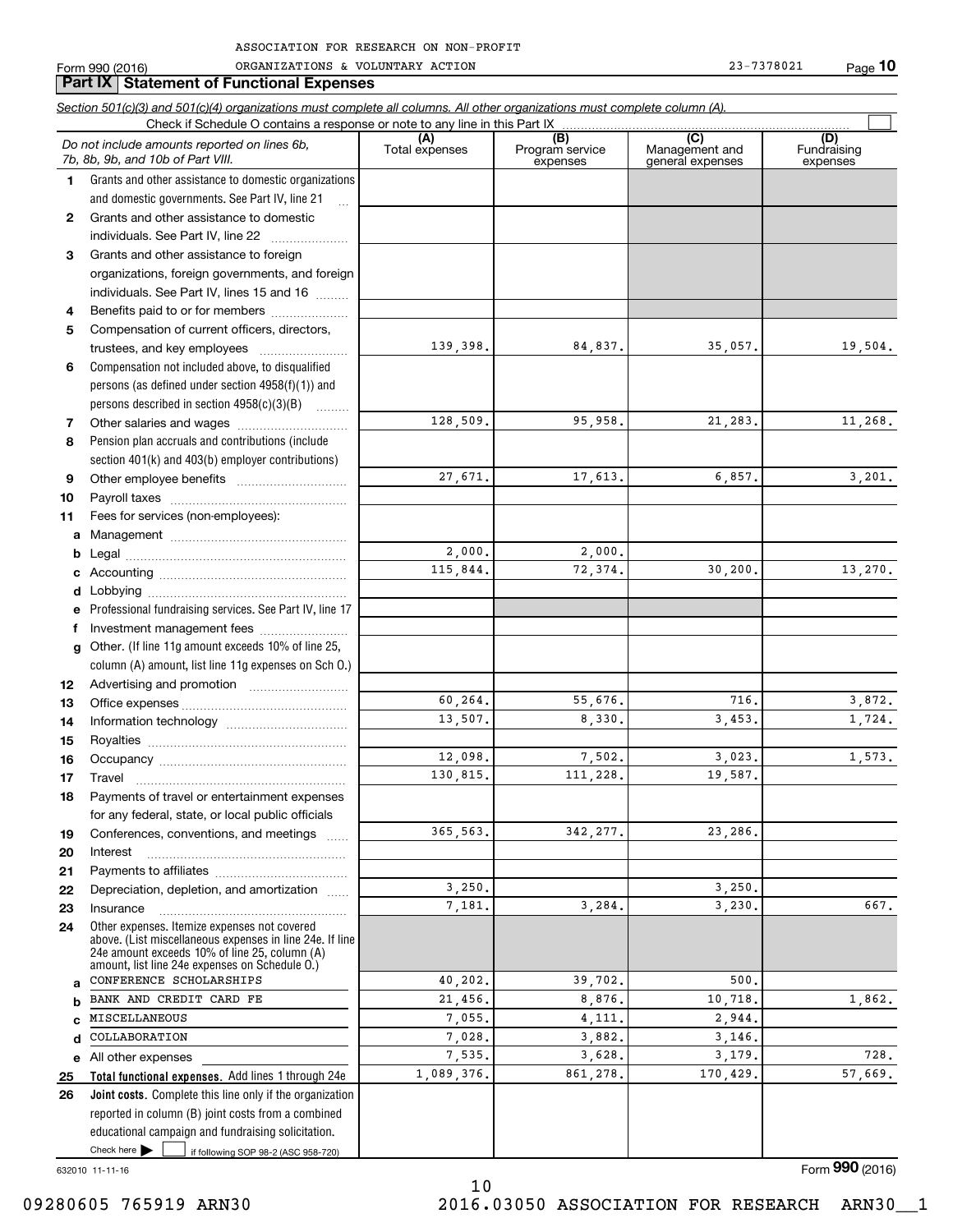| 990 (2016) | ACTION<br>ORGANIZATIONS<br>VOLUNTARY<br>៷ | 78021 |
|------------|-------------------------------------------|-------|
| orm        |                                           | Page  |

|              | Section 501(c)(3) and 501(c)(4) organizations must complete all columns. All other organizations must complete column (A).                                  |                       |                                    |                                           |                                |
|--------------|-------------------------------------------------------------------------------------------------------------------------------------------------------------|-----------------------|------------------------------------|-------------------------------------------|--------------------------------|
|              | Check if Schedule O contains a response or note to any line in this Part IX                                                                                 |                       |                                    |                                           |                                |
|              | Do not include amounts reported on lines 6b,<br>7b, 8b, 9b, and 10b of Part VIII.                                                                           | (A)<br>Total expenses | (B)<br>Program service<br>expenses | (C)<br>Management and<br>general expenses | (D)<br>Fundraising<br>expenses |
| 1.           | Grants and other assistance to domestic organizations                                                                                                       |                       |                                    |                                           |                                |
|              | and domestic governments. See Part IV, line 21                                                                                                              |                       |                                    |                                           |                                |
| $\mathbf{2}$ | Grants and other assistance to domestic                                                                                                                     |                       |                                    |                                           |                                |
|              | individuals. See Part IV, line 22                                                                                                                           |                       |                                    |                                           |                                |
| 3            | Grants and other assistance to foreign                                                                                                                      |                       |                                    |                                           |                                |
|              | organizations, foreign governments, and foreign                                                                                                             |                       |                                    |                                           |                                |
|              | individuals. See Part IV, lines 15 and 16                                                                                                                   |                       |                                    |                                           |                                |
| 4            | Benefits paid to or for members                                                                                                                             |                       |                                    |                                           |                                |
| 5            | Compensation of current officers, directors,                                                                                                                |                       |                                    |                                           |                                |
|              |                                                                                                                                                             | 139,398.              | 84,837.                            | 35,057.                                   | 19,504.                        |
| 6            | Compensation not included above, to disqualified                                                                                                            |                       |                                    |                                           |                                |
|              | persons (as defined under section $4958(f)(1)$ ) and                                                                                                        |                       |                                    |                                           |                                |
|              | persons described in section $4958(c)(3)(B)$                                                                                                                |                       |                                    |                                           |                                |
| 7            |                                                                                                                                                             | 128,509.              | 95,958.                            | 21,283.                                   | 11,268.                        |
| 8            | Pension plan accruals and contributions (include                                                                                                            |                       |                                    |                                           |                                |
|              | section 401(k) and 403(b) employer contributions)                                                                                                           |                       |                                    |                                           |                                |
| 9            |                                                                                                                                                             | 27,671.               | 17,613.                            | 6,857.                                    | 3,201.                         |
| 10           |                                                                                                                                                             |                       |                                    |                                           |                                |
| 11           | Fees for services (non-employees):                                                                                                                          |                       |                                    |                                           |                                |
| a            |                                                                                                                                                             |                       |                                    |                                           |                                |
| b            |                                                                                                                                                             | 2,000.                | 2,000.                             |                                           |                                |
| с            |                                                                                                                                                             | 115,844.              | 72,374.                            | 30, 200.                                  | 13,270.                        |
| d            |                                                                                                                                                             |                       |                                    |                                           |                                |
| е            | Professional fundraising services. See Part IV, line 17                                                                                                     |                       |                                    |                                           |                                |
| f            | Investment management fees                                                                                                                                  |                       |                                    |                                           |                                |
|              | Other. (If line 11g amount exceeds 10% of line 25,                                                                                                          |                       |                                    |                                           |                                |
| g            |                                                                                                                                                             |                       |                                    |                                           |                                |
|              | column (A) amount, list line 11g expenses on Sch O.)                                                                                                        |                       |                                    |                                           |                                |
| 12           |                                                                                                                                                             | 60,264.               | 55,676.                            | 716.                                      | 3,872.                         |
| 13           |                                                                                                                                                             | 13,507.               | 8,330.                             | 3.453.                                    | 1,724.                         |
| 14           |                                                                                                                                                             |                       |                                    |                                           |                                |
| 15           |                                                                                                                                                             | 12,098.               | 7,502.                             | 3,023.                                    | 1,573.                         |
| 16<br>17     |                                                                                                                                                             | 130,815.              | 111,228.                           | 19,587.                                   |                                |
| 18           | Payments of travel or entertainment expenses                                                                                                                |                       |                                    |                                           |                                |
|              | for any federal, state, or local public officials                                                                                                           |                       |                                    |                                           |                                |
| 19           | Conferences, conventions, and meetings                                                                                                                      | 365,563.              | 342, 277.                          | 23,286.                                   |                                |
| 20           | Interest                                                                                                                                                    |                       |                                    |                                           |                                |
| 21           |                                                                                                                                                             |                       |                                    |                                           |                                |
| 22           | Depreciation, depletion, and amortization                                                                                                                   | 3,250.                |                                    | 3,250.                                    |                                |
| 23           | Insurance                                                                                                                                                   | 7,181.                | 3,284.                             | 3,230.                                    | 667.                           |
| 24           | Other expenses. Itemize expenses not covered                                                                                                                |                       |                                    |                                           |                                |
|              | above. (List miscellaneous expenses in line 24e. If line<br>24e amount exceeds 10% of line 25, column (A)<br>amount, list line 24e expenses on Schedule O.) |                       |                                    |                                           |                                |
| a            | CONFERENCE SCHOLARSHIPS                                                                                                                                     | 40,202.               | 39,702.                            | 500.                                      |                                |
| b            | BANK AND CREDIT CARD FE                                                                                                                                     | 21,456.               | 8,876.                             | 10,718.                                   | 1,862.                         |
| C            | MISCELLANEOUS                                                                                                                                               | 7,055.                | 4,111.                             | 2,944.                                    |                                |
| d            | COLLABORATION                                                                                                                                               | 7,028.                | 3,882.                             | 3,146.                                    |                                |
| е            | All other expenses                                                                                                                                          | 7,535.                | 3,628.                             | 3,179.                                    | 728.                           |
| 25           | Total functional expenses. Add lines 1 through 24e                                                                                                          | 1,089,376.            | 861,278.                           | 170,429.                                  | 57,669.                        |
| 26           | Joint costs. Complete this line only if the organization                                                                                                    |                       |                                    |                                           |                                |
|              | reported in column (B) joint costs from a combined                                                                                                          |                       |                                    |                                           |                                |
|              | educational campaign and fundraising solicitation.                                                                                                          |                       |                                    |                                           |                                |
|              | Check here $\blacktriangleright$<br>if following SOP 98-2 (ASC 958-720)                                                                                     |                       |                                    |                                           |                                |

10

632010 11-11-16

Form (2016) **990**

09280605 765919 ARN30 2016.03050 ASSOCIATION FOR RESEARCH ARN30\_\_1

**Part IX Statement of Functional Expenses**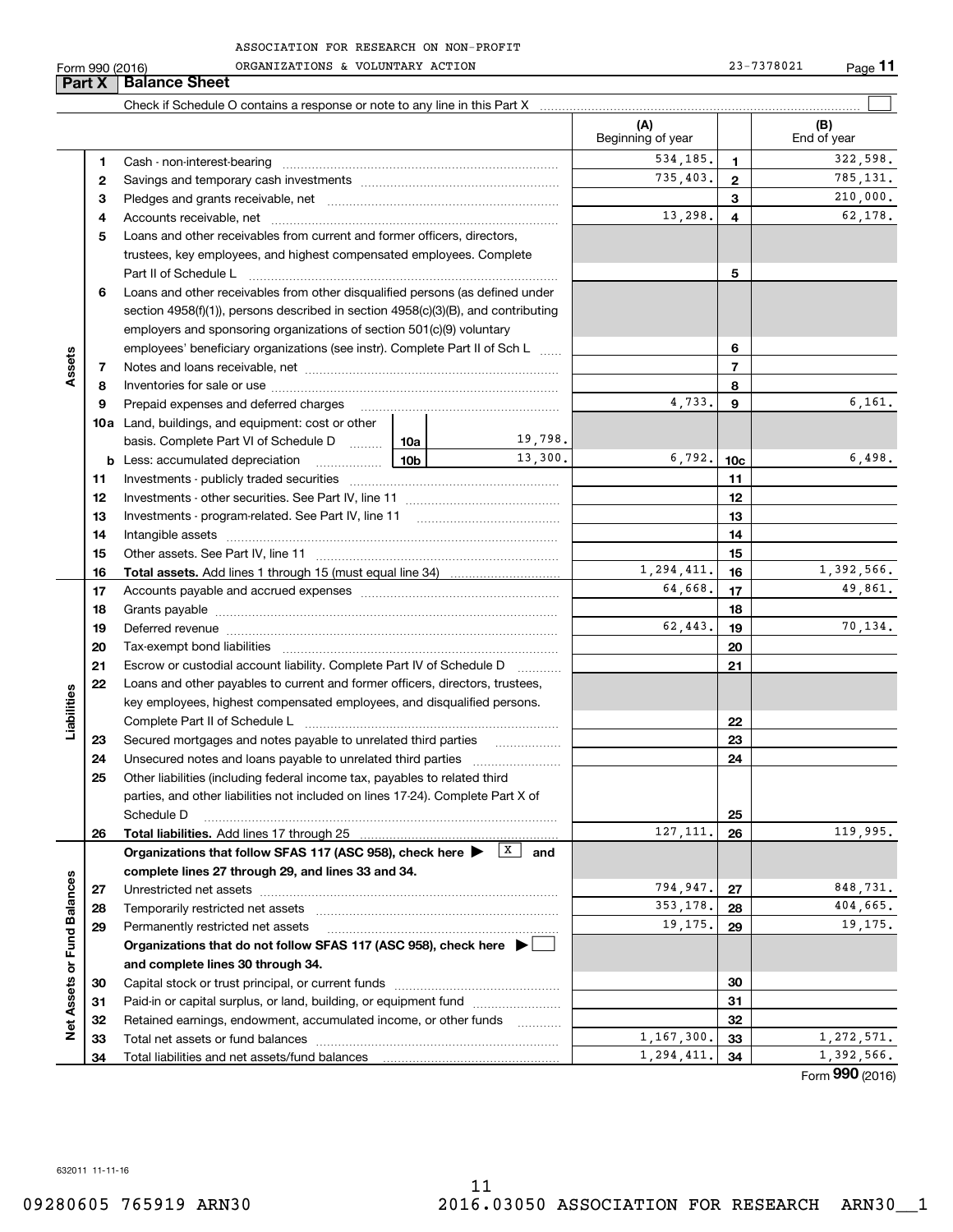Form 990 (2016) Page ORGANIZATIONS & VOLUNTARY ACTION 23-7378021

**Part X Balance Sheet**

|                             |    |                                                                                                                                                                                                                                | (A)<br>Beginning of year |                 | (B)<br>End of year |
|-----------------------------|----|--------------------------------------------------------------------------------------------------------------------------------------------------------------------------------------------------------------------------------|--------------------------|-----------------|--------------------|
|                             | 1  |                                                                                                                                                                                                                                | 534,185.                 | 1               | 322,598.           |
|                             | 2  |                                                                                                                                                                                                                                | 735,403.                 | $\mathbf{2}$    | 785,131.           |
|                             | з  |                                                                                                                                                                                                                                |                          | 3               | 210,000.           |
|                             | 4  |                                                                                                                                                                                                                                | 13,298.                  | 4               | 62,178.            |
|                             | 5  | Loans and other receivables from current and former officers, directors,                                                                                                                                                       |                          |                 |                    |
|                             |    | trustees, key employees, and highest compensated employees. Complete                                                                                                                                                           |                          |                 |                    |
|                             |    |                                                                                                                                                                                                                                |                          | 5               |                    |
|                             | 6  | Loans and other receivables from other disqualified persons (as defined under                                                                                                                                                  |                          |                 |                    |
|                             |    | section $4958(f)(1)$ , persons described in section $4958(c)(3)(B)$ , and contributing                                                                                                                                         |                          |                 |                    |
|                             |    | employers and sponsoring organizations of section 501(c)(9) voluntary                                                                                                                                                          |                          |                 |                    |
|                             |    | employees' beneficiary organizations (see instr). Complete Part II of Sch L                                                                                                                                                    |                          | 6               |                    |
| Assets                      | 7  |                                                                                                                                                                                                                                |                          | $\overline{7}$  |                    |
|                             | 8  |                                                                                                                                                                                                                                |                          | 8               |                    |
|                             | 9  | Prepaid expenses and deferred charges                                                                                                                                                                                          | 4,733.                   | 9               | 6,161.             |
|                             |    | <b>10a</b> Land, buildings, and equipment: cost or other                                                                                                                                                                       |                          |                 |                    |
|                             |    | 19,798.<br>basis. Complete Part VI of Schedule D  10a                                                                                                                                                                          |                          |                 |                    |
|                             |    | 13,300.<br><b>b</b> Less: accumulated depreciation                                                                                                                                                                             | 6,792.                   | 10 <sub>c</sub> | 6,498.             |
|                             | 11 |                                                                                                                                                                                                                                |                          | 11              |                    |
|                             | 12 |                                                                                                                                                                                                                                |                          | 12              |                    |
|                             | 13 |                                                                                                                                                                                                                                |                          | 13              |                    |
|                             | 14 |                                                                                                                                                                                                                                |                          | 14              |                    |
|                             | 15 |                                                                                                                                                                                                                                |                          | 15              |                    |
|                             | 16 |                                                                                                                                                                                                                                | 1,294,411.               | 16              | 1,392,566.         |
|                             | 17 |                                                                                                                                                                                                                                | 64,668.                  | 17              | 49,861.            |
|                             | 18 |                                                                                                                                                                                                                                |                          | 18              |                    |
|                             | 19 | Deferred revenue manual contracts and contracts are contracted and contract and contract are contracted and contract are contracted and contract are contracted and contract are contracted and contract are contracted and co | 62,443.                  | 19              | 70,134.            |
|                             | 20 |                                                                                                                                                                                                                                |                          | 20              |                    |
|                             | 21 | Escrow or custodial account liability. Complete Part IV of Schedule D                                                                                                                                                          |                          | 21              |                    |
|                             | 22 | Loans and other payables to current and former officers, directors, trustees,                                                                                                                                                  |                          |                 |                    |
| Liabilities                 |    | key employees, highest compensated employees, and disqualified persons.                                                                                                                                                        |                          |                 |                    |
|                             |    |                                                                                                                                                                                                                                |                          | 22              |                    |
|                             | 23 | Secured mortgages and notes payable to unrelated third parties<br>.                                                                                                                                                            |                          | 23              |                    |
|                             | 24 |                                                                                                                                                                                                                                |                          | 24              |                    |
|                             | 25 | Other liabilities (including federal income tax, payables to related third                                                                                                                                                     |                          |                 |                    |
|                             |    | parties, and other liabilities not included on lines 17-24). Complete Part X of                                                                                                                                                |                          |                 |                    |
|                             |    | Schedule D                                                                                                                                                                                                                     |                          | 25              |                    |
|                             | 26 | Total liabilities. Add lines 17 through 25                                                                                                                                                                                     | 127, 111.                | 26              | 119,995.           |
|                             |    | $\vert x \vert$<br>Organizations that follow SFAS 117 (ASC 958), check here<br>and                                                                                                                                             |                          |                 |                    |
|                             |    | complete lines 27 through 29, and lines 33 and 34.                                                                                                                                                                             |                          |                 |                    |
|                             | 27 |                                                                                                                                                                                                                                | 794,947.                 | 27              | 848,731.           |
|                             | 28 | Temporarily restricted net assets                                                                                                                                                                                              | 353,178.                 | 28              | 404,665.           |
| Net Assets or Fund Balances | 29 | Permanently restricted net assets                                                                                                                                                                                              | 19,175.                  | 29              | 19,175.            |
|                             |    | Organizations that do not follow SFAS 117 (ASC 958), check here $\blacktriangleright$                                                                                                                                          |                          |                 |                    |
|                             |    | and complete lines 30 through 34.                                                                                                                                                                                              |                          |                 |                    |
|                             | 30 |                                                                                                                                                                                                                                |                          | 30              |                    |
|                             | 31 | Paid-in or capital surplus, or land, building, or equipment fund                                                                                                                                                               |                          | 31              |                    |
|                             | 32 | Retained earnings, endowment, accumulated income, or other funds                                                                                                                                                               |                          | 32              |                    |
|                             | 33 | Total net assets or fund balances                                                                                                                                                                                              | 1,167,300.               | 33              | 1,272,571.         |
|                             | 34 |                                                                                                                                                                                                                                | 1,294,411.               | 34              | 1,392,566.         |

Form (2016) **990**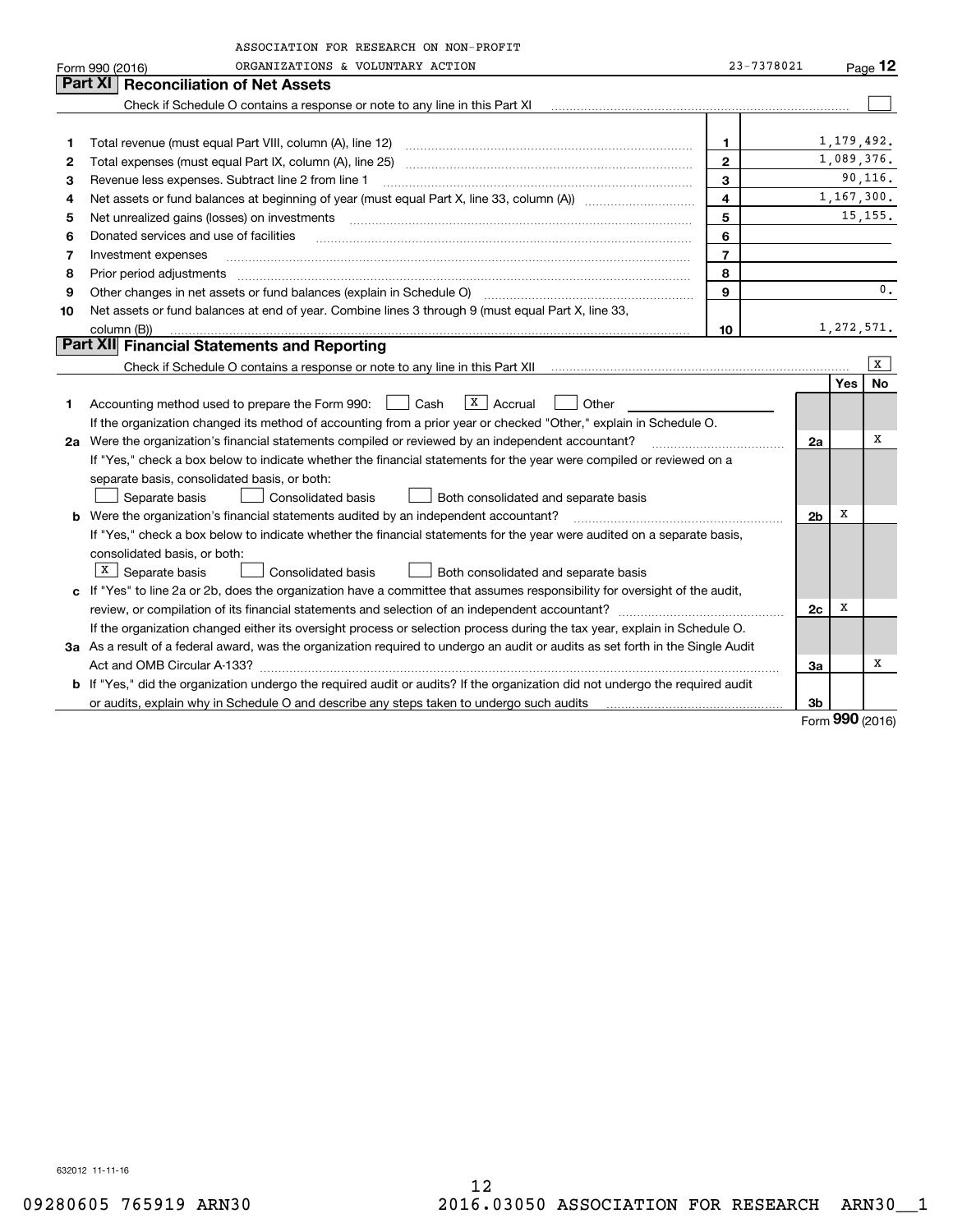| ORGANIZATIONS & VOLUNTARY ACTION<br>23-7378021<br>Page $12$<br>Form 990 (2016)<br>Part XI   Reconciliation of Net Assets<br>Check if Schedule O contains a response or note to any line in this Part XI<br>1, 179, 492.<br>1<br>1<br>1,089,376.<br>$\mathbf{2}$<br>2<br>90, 116.<br>3<br>з<br>Revenue less expenses. Subtract line 2 from line 1<br>$\overline{\mathbf{4}}$<br>1,167,300.<br>4<br>15, 155.<br>5<br>Net unrealized gains (losses) on investments<br>5<br>6<br>Donated services and use of facilities<br>6<br>$\overline{7}$<br>Investment expenses<br>7<br>8<br>8<br>Prior period adjustments<br>0.<br>9<br>Other changes in net assets or fund balances (explain in Schedule O)<br>9<br>Net assets or fund balances at end of year. Combine lines 3 through 9 (must equal Part X, line 33,<br>10<br>1,272,571.<br>10<br>column (B))<br>Part XII Financial Statements and Reporting<br>X<br><b>Yes</b><br><b>No</b><br>$\overline{X}$   Accrual<br>Accounting method used to prepare the Form 990:<br>Cash<br>Other<br>1<br>If the organization changed its method of accounting from a prior year or checked "Other," explain in Schedule O.<br>х<br>2a Were the organization's financial statements compiled or reviewed by an independent accountant?<br>2a<br>If "Yes," check a box below to indicate whether the financial statements for the year were compiled or reviewed on a<br>separate basis, consolidated basis, or both:<br><b>Consolidated basis</b><br>Separate basis<br>Both consolidated and separate basis<br>х<br>2 <sub>b</sub><br><b>b</b> Were the organization's financial statements audited by an independent accountant?<br>If "Yes," check a box below to indicate whether the financial statements for the year were audited on a separate basis,<br>consolidated basis, or both:<br>$X \mid$ Separate basis<br>Consolidated basis<br>Both consolidated and separate basis<br>c If "Yes" to line 2a or 2b, does the organization have a committee that assumes responsibility for oversight of the audit,<br>х | ASSOCIATION FOR RESEARCH ON NON-PROFIT |    |  |
|------------------------------------------------------------------------------------------------------------------------------------------------------------------------------------------------------------------------------------------------------------------------------------------------------------------------------------------------------------------------------------------------------------------------------------------------------------------------------------------------------------------------------------------------------------------------------------------------------------------------------------------------------------------------------------------------------------------------------------------------------------------------------------------------------------------------------------------------------------------------------------------------------------------------------------------------------------------------------------------------------------------------------------------------------------------------------------------------------------------------------------------------------------------------------------------------------------------------------------------------------------------------------------------------------------------------------------------------------------------------------------------------------------------------------------------------------------------------------------------------------------------------------------------------------------------------------------------------------------------------------------------------------------------------------------------------------------------------------------------------------------------------------------------------------------------------------------------------------------------------------------------------------------------------------------------------------------------------------------------------------------------------------------------------------------|----------------------------------------|----|--|
|                                                                                                                                                                                                                                                                                                                                                                                                                                                                                                                                                                                                                                                                                                                                                                                                                                                                                                                                                                                                                                                                                                                                                                                                                                                                                                                                                                                                                                                                                                                                                                                                                                                                                                                                                                                                                                                                                                                                                                                                                                                            |                                        |    |  |
|                                                                                                                                                                                                                                                                                                                                                                                                                                                                                                                                                                                                                                                                                                                                                                                                                                                                                                                                                                                                                                                                                                                                                                                                                                                                                                                                                                                                                                                                                                                                                                                                                                                                                                                                                                                                                                                                                                                                                                                                                                                            |                                        |    |  |
|                                                                                                                                                                                                                                                                                                                                                                                                                                                                                                                                                                                                                                                                                                                                                                                                                                                                                                                                                                                                                                                                                                                                                                                                                                                                                                                                                                                                                                                                                                                                                                                                                                                                                                                                                                                                                                                                                                                                                                                                                                                            |                                        |    |  |
|                                                                                                                                                                                                                                                                                                                                                                                                                                                                                                                                                                                                                                                                                                                                                                                                                                                                                                                                                                                                                                                                                                                                                                                                                                                                                                                                                                                                                                                                                                                                                                                                                                                                                                                                                                                                                                                                                                                                                                                                                                                            |                                        |    |  |
|                                                                                                                                                                                                                                                                                                                                                                                                                                                                                                                                                                                                                                                                                                                                                                                                                                                                                                                                                                                                                                                                                                                                                                                                                                                                                                                                                                                                                                                                                                                                                                                                                                                                                                                                                                                                                                                                                                                                                                                                                                                            |                                        |    |  |
|                                                                                                                                                                                                                                                                                                                                                                                                                                                                                                                                                                                                                                                                                                                                                                                                                                                                                                                                                                                                                                                                                                                                                                                                                                                                                                                                                                                                                                                                                                                                                                                                                                                                                                                                                                                                                                                                                                                                                                                                                                                            |                                        |    |  |
|                                                                                                                                                                                                                                                                                                                                                                                                                                                                                                                                                                                                                                                                                                                                                                                                                                                                                                                                                                                                                                                                                                                                                                                                                                                                                                                                                                                                                                                                                                                                                                                                                                                                                                                                                                                                                                                                                                                                                                                                                                                            |                                        |    |  |
|                                                                                                                                                                                                                                                                                                                                                                                                                                                                                                                                                                                                                                                                                                                                                                                                                                                                                                                                                                                                                                                                                                                                                                                                                                                                                                                                                                                                                                                                                                                                                                                                                                                                                                                                                                                                                                                                                                                                                                                                                                                            |                                        |    |  |
|                                                                                                                                                                                                                                                                                                                                                                                                                                                                                                                                                                                                                                                                                                                                                                                                                                                                                                                                                                                                                                                                                                                                                                                                                                                                                                                                                                                                                                                                                                                                                                                                                                                                                                                                                                                                                                                                                                                                                                                                                                                            |                                        |    |  |
|                                                                                                                                                                                                                                                                                                                                                                                                                                                                                                                                                                                                                                                                                                                                                                                                                                                                                                                                                                                                                                                                                                                                                                                                                                                                                                                                                                                                                                                                                                                                                                                                                                                                                                                                                                                                                                                                                                                                                                                                                                                            |                                        |    |  |
|                                                                                                                                                                                                                                                                                                                                                                                                                                                                                                                                                                                                                                                                                                                                                                                                                                                                                                                                                                                                                                                                                                                                                                                                                                                                                                                                                                                                                                                                                                                                                                                                                                                                                                                                                                                                                                                                                                                                                                                                                                                            |                                        |    |  |
|                                                                                                                                                                                                                                                                                                                                                                                                                                                                                                                                                                                                                                                                                                                                                                                                                                                                                                                                                                                                                                                                                                                                                                                                                                                                                                                                                                                                                                                                                                                                                                                                                                                                                                                                                                                                                                                                                                                                                                                                                                                            |                                        |    |  |
|                                                                                                                                                                                                                                                                                                                                                                                                                                                                                                                                                                                                                                                                                                                                                                                                                                                                                                                                                                                                                                                                                                                                                                                                                                                                                                                                                                                                                                                                                                                                                                                                                                                                                                                                                                                                                                                                                                                                                                                                                                                            |                                        |    |  |
|                                                                                                                                                                                                                                                                                                                                                                                                                                                                                                                                                                                                                                                                                                                                                                                                                                                                                                                                                                                                                                                                                                                                                                                                                                                                                                                                                                                                                                                                                                                                                                                                                                                                                                                                                                                                                                                                                                                                                                                                                                                            |                                        |    |  |
|                                                                                                                                                                                                                                                                                                                                                                                                                                                                                                                                                                                                                                                                                                                                                                                                                                                                                                                                                                                                                                                                                                                                                                                                                                                                                                                                                                                                                                                                                                                                                                                                                                                                                                                                                                                                                                                                                                                                                                                                                                                            |                                        |    |  |
|                                                                                                                                                                                                                                                                                                                                                                                                                                                                                                                                                                                                                                                                                                                                                                                                                                                                                                                                                                                                                                                                                                                                                                                                                                                                                                                                                                                                                                                                                                                                                                                                                                                                                                                                                                                                                                                                                                                                                                                                                                                            |                                        |    |  |
|                                                                                                                                                                                                                                                                                                                                                                                                                                                                                                                                                                                                                                                                                                                                                                                                                                                                                                                                                                                                                                                                                                                                                                                                                                                                                                                                                                                                                                                                                                                                                                                                                                                                                                                                                                                                                                                                                                                                                                                                                                                            |                                        |    |  |
|                                                                                                                                                                                                                                                                                                                                                                                                                                                                                                                                                                                                                                                                                                                                                                                                                                                                                                                                                                                                                                                                                                                                                                                                                                                                                                                                                                                                                                                                                                                                                                                                                                                                                                                                                                                                                                                                                                                                                                                                                                                            |                                        |    |  |
|                                                                                                                                                                                                                                                                                                                                                                                                                                                                                                                                                                                                                                                                                                                                                                                                                                                                                                                                                                                                                                                                                                                                                                                                                                                                                                                                                                                                                                                                                                                                                                                                                                                                                                                                                                                                                                                                                                                                                                                                                                                            |                                        |    |  |
|                                                                                                                                                                                                                                                                                                                                                                                                                                                                                                                                                                                                                                                                                                                                                                                                                                                                                                                                                                                                                                                                                                                                                                                                                                                                                                                                                                                                                                                                                                                                                                                                                                                                                                                                                                                                                                                                                                                                                                                                                                                            |                                        |    |  |
|                                                                                                                                                                                                                                                                                                                                                                                                                                                                                                                                                                                                                                                                                                                                                                                                                                                                                                                                                                                                                                                                                                                                                                                                                                                                                                                                                                                                                                                                                                                                                                                                                                                                                                                                                                                                                                                                                                                                                                                                                                                            |                                        |    |  |
|                                                                                                                                                                                                                                                                                                                                                                                                                                                                                                                                                                                                                                                                                                                                                                                                                                                                                                                                                                                                                                                                                                                                                                                                                                                                                                                                                                                                                                                                                                                                                                                                                                                                                                                                                                                                                                                                                                                                                                                                                                                            |                                        |    |  |
|                                                                                                                                                                                                                                                                                                                                                                                                                                                                                                                                                                                                                                                                                                                                                                                                                                                                                                                                                                                                                                                                                                                                                                                                                                                                                                                                                                                                                                                                                                                                                                                                                                                                                                                                                                                                                                                                                                                                                                                                                                                            |                                        |    |  |
|                                                                                                                                                                                                                                                                                                                                                                                                                                                                                                                                                                                                                                                                                                                                                                                                                                                                                                                                                                                                                                                                                                                                                                                                                                                                                                                                                                                                                                                                                                                                                                                                                                                                                                                                                                                                                                                                                                                                                                                                                                                            |                                        |    |  |
|                                                                                                                                                                                                                                                                                                                                                                                                                                                                                                                                                                                                                                                                                                                                                                                                                                                                                                                                                                                                                                                                                                                                                                                                                                                                                                                                                                                                                                                                                                                                                                                                                                                                                                                                                                                                                                                                                                                                                                                                                                                            |                                        |    |  |
|                                                                                                                                                                                                                                                                                                                                                                                                                                                                                                                                                                                                                                                                                                                                                                                                                                                                                                                                                                                                                                                                                                                                                                                                                                                                                                                                                                                                                                                                                                                                                                                                                                                                                                                                                                                                                                                                                                                                                                                                                                                            |                                        |    |  |
|                                                                                                                                                                                                                                                                                                                                                                                                                                                                                                                                                                                                                                                                                                                                                                                                                                                                                                                                                                                                                                                                                                                                                                                                                                                                                                                                                                                                                                                                                                                                                                                                                                                                                                                                                                                                                                                                                                                                                                                                                                                            |                                        |    |  |
|                                                                                                                                                                                                                                                                                                                                                                                                                                                                                                                                                                                                                                                                                                                                                                                                                                                                                                                                                                                                                                                                                                                                                                                                                                                                                                                                                                                                                                                                                                                                                                                                                                                                                                                                                                                                                                                                                                                                                                                                                                                            |                                        |    |  |
|                                                                                                                                                                                                                                                                                                                                                                                                                                                                                                                                                                                                                                                                                                                                                                                                                                                                                                                                                                                                                                                                                                                                                                                                                                                                                                                                                                                                                                                                                                                                                                                                                                                                                                                                                                                                                                                                                                                                                                                                                                                            |                                        |    |  |
|                                                                                                                                                                                                                                                                                                                                                                                                                                                                                                                                                                                                                                                                                                                                                                                                                                                                                                                                                                                                                                                                                                                                                                                                                                                                                                                                                                                                                                                                                                                                                                                                                                                                                                                                                                                                                                                                                                                                                                                                                                                            |                                        | 2c |  |
| If the organization changed either its oversight process or selection process during the tax year, explain in Schedule O.                                                                                                                                                                                                                                                                                                                                                                                                                                                                                                                                                                                                                                                                                                                                                                                                                                                                                                                                                                                                                                                                                                                                                                                                                                                                                                                                                                                                                                                                                                                                                                                                                                                                                                                                                                                                                                                                                                                                  |                                        |    |  |
| 3a As a result of a federal award, was the organization required to undergo an audit or audits as set forth in the Single Audit                                                                                                                                                                                                                                                                                                                                                                                                                                                                                                                                                                                                                                                                                                                                                                                                                                                                                                                                                                                                                                                                                                                                                                                                                                                                                                                                                                                                                                                                                                                                                                                                                                                                                                                                                                                                                                                                                                                            |                                        |    |  |
| х<br>За                                                                                                                                                                                                                                                                                                                                                                                                                                                                                                                                                                                                                                                                                                                                                                                                                                                                                                                                                                                                                                                                                                                                                                                                                                                                                                                                                                                                                                                                                                                                                                                                                                                                                                                                                                                                                                                                                                                                                                                                                                                    |                                        |    |  |
| b If "Yes," did the organization undergo the required audit or audits? If the organization did not undergo the required audit                                                                                                                                                                                                                                                                                                                                                                                                                                                                                                                                                                                                                                                                                                                                                                                                                                                                                                                                                                                                                                                                                                                                                                                                                                                                                                                                                                                                                                                                                                                                                                                                                                                                                                                                                                                                                                                                                                                              |                                        |    |  |
| 3b<br><u>nnn</u>                                                                                                                                                                                                                                                                                                                                                                                                                                                                                                                                                                                                                                                                                                                                                                                                                                                                                                                                                                                                                                                                                                                                                                                                                                                                                                                                                                                                                                                                                                                                                                                                                                                                                                                                                                                                                                                                                                                                                                                                                                           |                                        |    |  |

Form (2016) **990**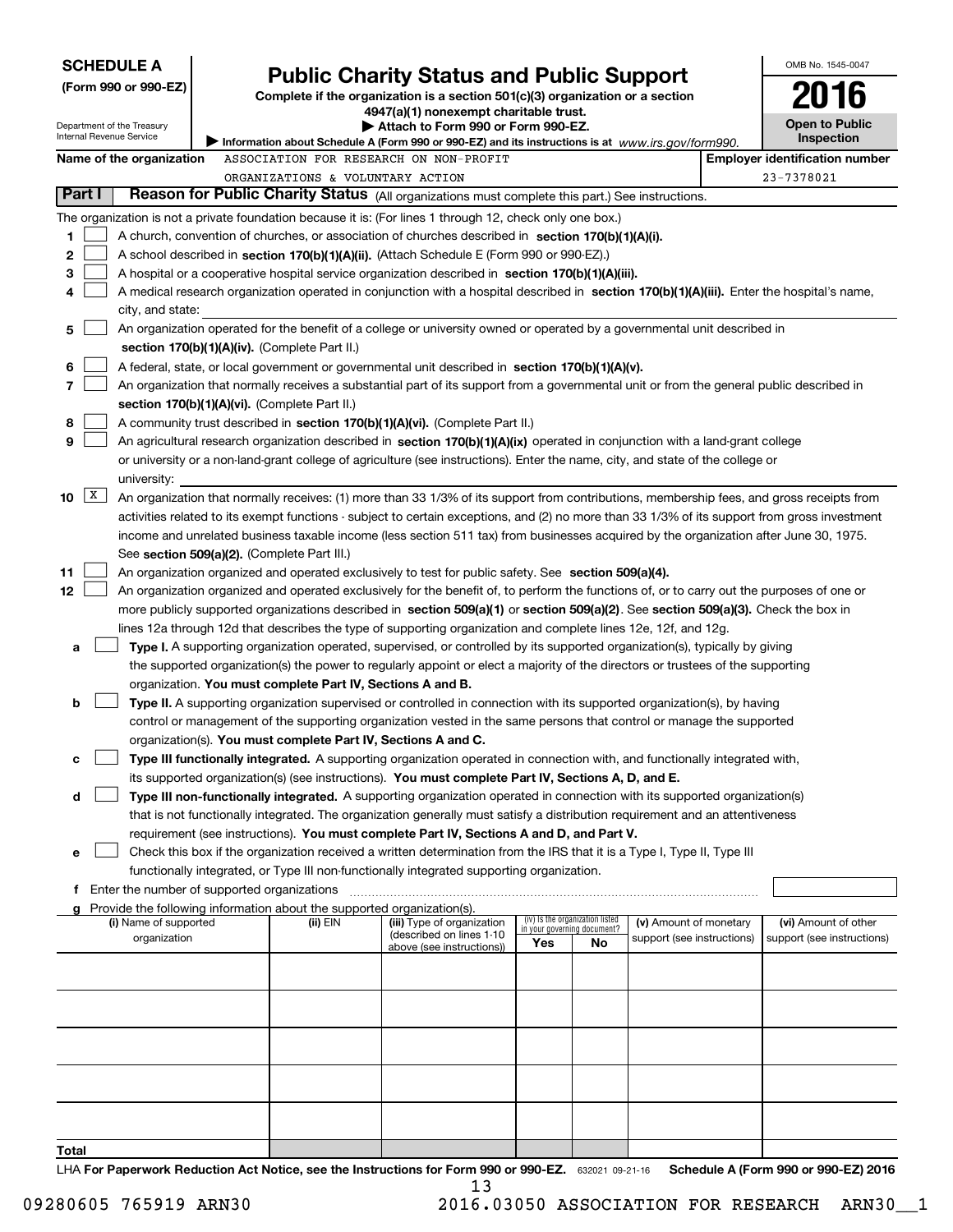| <b>SCHEDULE A</b>                                                                                                                           |                                                                                                                                                                                                                                                           |                                                        |                                                                |    |                                                      |  | OMB No. 1545-0047                                   |
|---------------------------------------------------------------------------------------------------------------------------------------------|-----------------------------------------------------------------------------------------------------------------------------------------------------------------------------------------------------------------------------------------------------------|--------------------------------------------------------|----------------------------------------------------------------|----|------------------------------------------------------|--|-----------------------------------------------------|
| (Form 990 or 990-EZ)                                                                                                                        | <b>Public Charity Status and Public Support</b><br>Complete if the organization is a section 501(c)(3) organization or a section                                                                                                                          |                                                        |                                                                |    |                                                      |  |                                                     |
|                                                                                                                                             |                                                                                                                                                                                                                                                           | 4947(a)(1) nonexempt charitable trust.                 |                                                                |    |                                                      |  |                                                     |
| Department of the Treasury<br>Internal Revenue Service                                                                                      |                                                                                                                                                                                                                                                           | Attach to Form 990 or Form 990-EZ.                     |                                                                |    |                                                      |  | <b>Open to Public</b>                               |
| Information about Schedule A (Form 990 or 990-EZ) and its instructions is at www.irs.gov/form990.<br>ASSOCIATION FOR RESEARCH ON NON-PROFIT |                                                                                                                                                                                                                                                           |                                                        |                                                                |    |                                                      |  | Inspection                                          |
| Name of the organization                                                                                                                    | ORGANIZATIONS & VOLUNTARY ACTION                                                                                                                                                                                                                          |                                                        |                                                                |    |                                                      |  | <b>Employer identification number</b><br>23-7378021 |
| Part I                                                                                                                                      | Reason for Public Charity Status (All organizations must complete this part.) See instructions.                                                                                                                                                           |                                                        |                                                                |    |                                                      |  |                                                     |
|                                                                                                                                             |                                                                                                                                                                                                                                                           |                                                        |                                                                |    |                                                      |  |                                                     |
| 1                                                                                                                                           | The organization is not a private foundation because it is: (For lines 1 through 12, check only one box.)<br>A church, convention of churches, or association of churches described in section 170(b)(1)(A)(i).                                           |                                                        |                                                                |    |                                                      |  |                                                     |
| 2                                                                                                                                           | A school described in section 170(b)(1)(A)(ii). (Attach Schedule E (Form 990 or 990-EZ).)                                                                                                                                                                 |                                                        |                                                                |    |                                                      |  |                                                     |
| 3                                                                                                                                           | A hospital or a cooperative hospital service organization described in section 170(b)(1)(A)(iii).                                                                                                                                                         |                                                        |                                                                |    |                                                      |  |                                                     |
| 4                                                                                                                                           | A medical research organization operated in conjunction with a hospital described in section 170(b)(1)(A)(iii). Enter the hospital's name,                                                                                                                |                                                        |                                                                |    |                                                      |  |                                                     |
| city, and state:                                                                                                                            |                                                                                                                                                                                                                                                           |                                                        |                                                                |    |                                                      |  |                                                     |
| 5                                                                                                                                           | An organization operated for the benefit of a college or university owned or operated by a governmental unit described in                                                                                                                                 |                                                        |                                                                |    |                                                      |  |                                                     |
|                                                                                                                                             | section 170(b)(1)(A)(iv). (Complete Part II.)                                                                                                                                                                                                             |                                                        |                                                                |    |                                                      |  |                                                     |
| 6                                                                                                                                           | A federal, state, or local government or governmental unit described in section 170(b)(1)(A)(v).                                                                                                                                                          |                                                        |                                                                |    |                                                      |  |                                                     |
| 7                                                                                                                                           | An organization that normally receives a substantial part of its support from a governmental unit or from the general public described in                                                                                                                 |                                                        |                                                                |    |                                                      |  |                                                     |
| 8                                                                                                                                           | section 170(b)(1)(A)(vi). (Complete Part II.)<br>A community trust described in section 170(b)(1)(A)(vi). (Complete Part II.)                                                                                                                             |                                                        |                                                                |    |                                                      |  |                                                     |
| 9                                                                                                                                           | An agricultural research organization described in section 170(b)(1)(A)(ix) operated in conjunction with a land-grant college                                                                                                                             |                                                        |                                                                |    |                                                      |  |                                                     |
|                                                                                                                                             | or university or a non-land-grant college of agriculture (see instructions). Enter the name, city, and state of the college or                                                                                                                            |                                                        |                                                                |    |                                                      |  |                                                     |
| university:                                                                                                                                 |                                                                                                                                                                                                                                                           |                                                        |                                                                |    |                                                      |  |                                                     |
| X <br>10                                                                                                                                    | An organization that normally receives: (1) more than 33 1/3% of its support from contributions, membership fees, and gross receipts from                                                                                                                 |                                                        |                                                                |    |                                                      |  |                                                     |
|                                                                                                                                             | activities related to its exempt functions - subject to certain exceptions, and (2) no more than 33 1/3% of its support from gross investment                                                                                                             |                                                        |                                                                |    |                                                      |  |                                                     |
|                                                                                                                                             | income and unrelated business taxable income (less section 511 tax) from businesses acquired by the organization after June 30, 1975.                                                                                                                     |                                                        |                                                                |    |                                                      |  |                                                     |
|                                                                                                                                             | See section 509(a)(2). (Complete Part III.)                                                                                                                                                                                                               |                                                        |                                                                |    |                                                      |  |                                                     |
| 11                                                                                                                                          | An organization organized and operated exclusively to test for public safety. See section 509(a)(4).                                                                                                                                                      |                                                        |                                                                |    |                                                      |  |                                                     |
| 12                                                                                                                                          | An organization organized and operated exclusively for the benefit of, to perform the functions of, or to carry out the purposes of one or                                                                                                                |                                                        |                                                                |    |                                                      |  |                                                     |
|                                                                                                                                             | more publicly supported organizations described in section 509(a)(1) or section 509(a)(2). See section 509(a)(3). Check the box in                                                                                                                        |                                                        |                                                                |    |                                                      |  |                                                     |
| а                                                                                                                                           | lines 12a through 12d that describes the type of supporting organization and complete lines 12e, 12f, and 12g.<br>Type I. A supporting organization operated, supervised, or controlled by its supported organization(s), typically by giving             |                                                        |                                                                |    |                                                      |  |                                                     |
|                                                                                                                                             | the supported organization(s) the power to regularly appoint or elect a majority of the directors or trustees of the supporting                                                                                                                           |                                                        |                                                                |    |                                                      |  |                                                     |
|                                                                                                                                             | organization. You must complete Part IV, Sections A and B.                                                                                                                                                                                                |                                                        |                                                                |    |                                                      |  |                                                     |
| b                                                                                                                                           | Type II. A supporting organization supervised or controlled in connection with its supported organization(s), by having                                                                                                                                   |                                                        |                                                                |    |                                                      |  |                                                     |
|                                                                                                                                             | control or management of the supporting organization vested in the same persons that control or manage the supported                                                                                                                                      |                                                        |                                                                |    |                                                      |  |                                                     |
|                                                                                                                                             | organization(s). You must complete Part IV, Sections A and C.                                                                                                                                                                                             |                                                        |                                                                |    |                                                      |  |                                                     |
| с                                                                                                                                           | Type III functionally integrated. A supporting organization operated in connection with, and functionally integrated with,                                                                                                                                |                                                        |                                                                |    |                                                      |  |                                                     |
|                                                                                                                                             | its supported organization(s) (see instructions). You must complete Part IV, Sections A, D, and E.                                                                                                                                                        |                                                        |                                                                |    |                                                      |  |                                                     |
| d                                                                                                                                           | Type III non-functionally integrated. A supporting organization operated in connection with its supported organization(s)<br>that is not functionally integrated. The organization generally must satisfy a distribution requirement and an attentiveness |                                                        |                                                                |    |                                                      |  |                                                     |
|                                                                                                                                             | requirement (see instructions). You must complete Part IV, Sections A and D, and Part V.                                                                                                                                                                  |                                                        |                                                                |    |                                                      |  |                                                     |
| е                                                                                                                                           | Check this box if the organization received a written determination from the IRS that it is a Type I, Type II, Type III                                                                                                                                   |                                                        |                                                                |    |                                                      |  |                                                     |
|                                                                                                                                             | functionally integrated, or Type III non-functionally integrated supporting organization.                                                                                                                                                                 |                                                        |                                                                |    |                                                      |  |                                                     |
| f.                                                                                                                                          | Enter the number of supported organizations                                                                                                                                                                                                               |                                                        |                                                                |    |                                                      |  |                                                     |
| g                                                                                                                                           | Provide the following information about the supported organization(s).                                                                                                                                                                                    |                                                        |                                                                |    |                                                      |  |                                                     |
| (i) Name of supported<br>organization                                                                                                       | (ii) EIN                                                                                                                                                                                                                                                  | (iii) Type of organization<br>(described on lines 1-10 | (iv) Is the organization listed<br>in your governing document? |    | (v) Amount of monetary<br>support (see instructions) |  | (vi) Amount of other<br>support (see instructions)  |
|                                                                                                                                             |                                                                                                                                                                                                                                                           | above (see instructions))                              | Yes                                                            | No |                                                      |  |                                                     |
|                                                                                                                                             |                                                                                                                                                                                                                                                           |                                                        |                                                                |    |                                                      |  |                                                     |
|                                                                                                                                             |                                                                                                                                                                                                                                                           |                                                        |                                                                |    |                                                      |  |                                                     |
|                                                                                                                                             |                                                                                                                                                                                                                                                           |                                                        |                                                                |    |                                                      |  |                                                     |
|                                                                                                                                             |                                                                                                                                                                                                                                                           |                                                        |                                                                |    |                                                      |  |                                                     |
|                                                                                                                                             |                                                                                                                                                                                                                                                           |                                                        |                                                                |    |                                                      |  |                                                     |
|                                                                                                                                             |                                                                                                                                                                                                                                                           |                                                        |                                                                |    |                                                      |  |                                                     |
|                                                                                                                                             |                                                                                                                                                                                                                                                           |                                                        |                                                                |    |                                                      |  |                                                     |
|                                                                                                                                             |                                                                                                                                                                                                                                                           |                                                        |                                                                |    |                                                      |  |                                                     |
|                                                                                                                                             |                                                                                                                                                                                                                                                           |                                                        |                                                                |    |                                                      |  |                                                     |
| Total                                                                                                                                       |                                                                                                                                                                                                                                                           |                                                        |                                                                |    |                                                      |  |                                                     |

LHA For Paperwork Reduction Act Notice, see the Instructions for Form 990 or 990-EZ. 632021 09-21-16 Schedule A (Form 990 or 990-EZ) 2016 13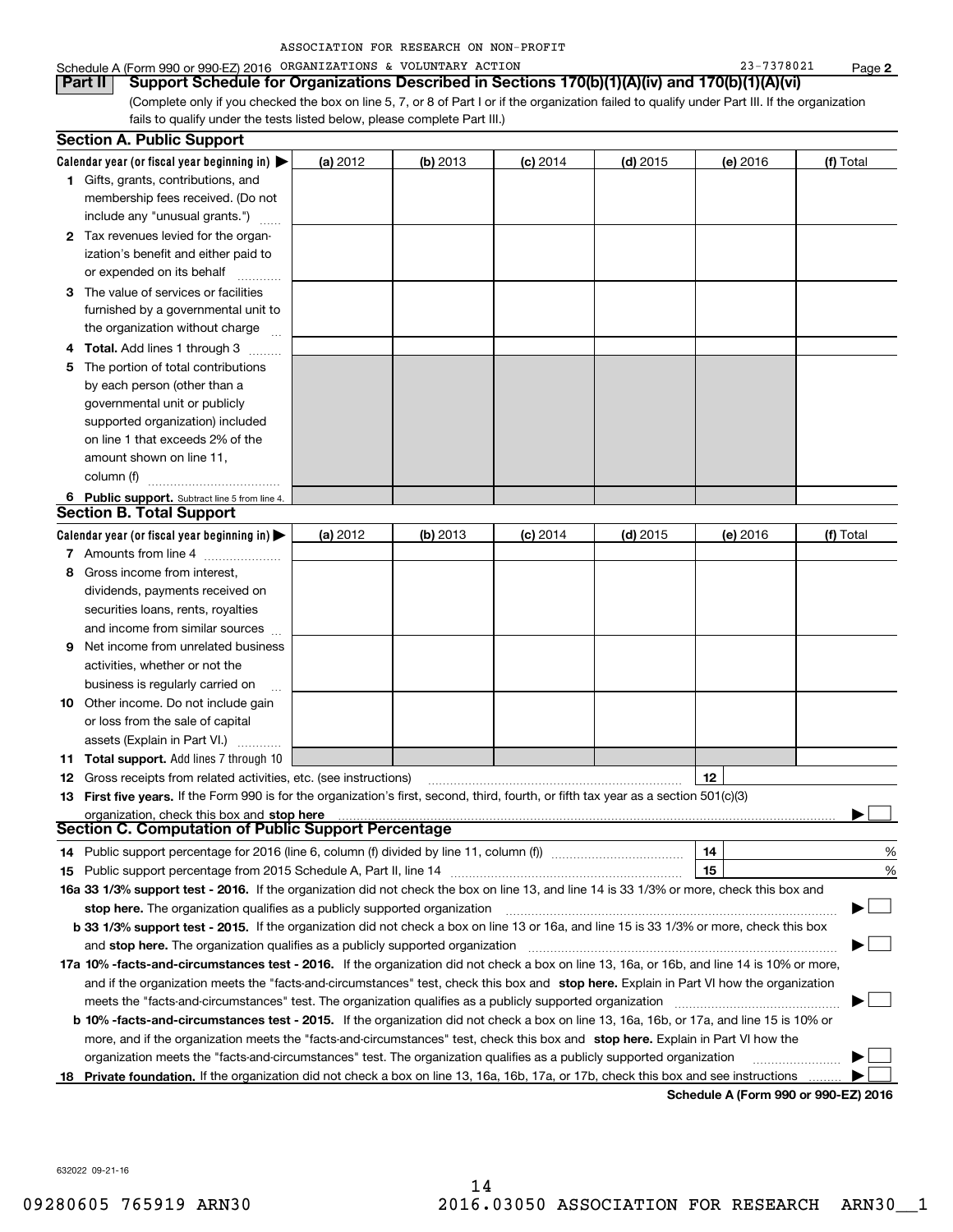| ASSOCIATION FOR RESEARCH ON NON-PROFIT |  |  |  |  |
|----------------------------------------|--|--|--|--|
|----------------------------------------|--|--|--|--|

### Schedule A (Form 990 or 990-EZ) 2016 Page ORGANIZATIONS & VOLUNTARY ACTION 23-7378021

(Complete only if you checked the box on line 5, 7, or 8 of Part I or if the organization failed to qualify under Part III. If the organization fails to qualify under the tests listed below, please complete Part III.) **Part II Support Schedule for Organizations Described in Sections 170(b)(1)(A)(iv) and 170(b)(1)(A)(vi)**

| <b>Section A. Public Support</b>                                                                                                               |                        |            |            |            |          |           |
|------------------------------------------------------------------------------------------------------------------------------------------------|------------------------|------------|------------|------------|----------|-----------|
| Calendar year (or fiscal year beginning in) $\blacktriangleright$                                                                              | (a) 2012               | $(b)$ 2013 | $(c)$ 2014 | $(d)$ 2015 | (e) 2016 | (f) Total |
| 1 Gifts, grants, contributions, and                                                                                                            |                        |            |            |            |          |           |
| membership fees received. (Do not                                                                                                              |                        |            |            |            |          |           |
| include any "unusual grants.")                                                                                                                 |                        |            |            |            |          |           |
| 2 Tax revenues levied for the organ-                                                                                                           |                        |            |            |            |          |           |
| ization's benefit and either paid to                                                                                                           |                        |            |            |            |          |           |
| or expended on its behalf                                                                                                                      |                        |            |            |            |          |           |
| 3 The value of services or facilities                                                                                                          |                        |            |            |            |          |           |
| furnished by a governmental unit to                                                                                                            |                        |            |            |            |          |           |
| the organization without charge                                                                                                                |                        |            |            |            |          |           |
| 4 Total. Add lines 1 through 3                                                                                                                 | a serenga dan serengai |            |            |            |          |           |
| The portion of total contributions<br>5.                                                                                                       |                        |            |            |            |          |           |
| by each person (other than a                                                                                                                   |                        |            |            |            |          |           |
| governmental unit or publicly                                                                                                                  |                        |            |            |            |          |           |
| supported organization) included                                                                                                               |                        |            |            |            |          |           |
| on line 1 that exceeds 2% of the                                                                                                               |                        |            |            |            |          |           |
| amount shown on line 11,                                                                                                                       |                        |            |            |            |          |           |
| column (f)                                                                                                                                     |                        |            |            |            |          |           |
| 6 Public support. Subtract line 5 from line 4.                                                                                                 |                        |            |            |            |          |           |
| <b>Section B. Total Support</b>                                                                                                                |                        |            |            |            |          |           |
| Calendar year (or fiscal year beginning in) $\blacktriangleright$                                                                              | (a) 2012               | (b) 2013   | $(c)$ 2014 | $(d)$ 2015 | (e) 2016 | (f) Total |
| 7 Amounts from line 4                                                                                                                          |                        |            |            |            |          |           |
| Gross income from interest,<br>8                                                                                                               |                        |            |            |            |          |           |
| dividends, payments received on                                                                                                                |                        |            |            |            |          |           |
| securities loans, rents, royalties                                                                                                             |                        |            |            |            |          |           |
| and income from similar sources                                                                                                                |                        |            |            |            |          |           |
| <b>9</b> Net income from unrelated business                                                                                                    |                        |            |            |            |          |           |
| activities, whether or not the                                                                                                                 |                        |            |            |            |          |           |
| business is regularly carried on                                                                                                               |                        |            |            |            |          |           |
| <b>10</b> Other income. Do not include gain                                                                                                    |                        |            |            |            |          |           |
| or loss from the sale of capital                                                                                                               |                        |            |            |            |          |           |
| assets (Explain in Part VI.)                                                                                                                   |                        |            |            |            |          |           |
| <b>11 Total support.</b> Add lines 7 through 10                                                                                                |                        |            |            |            |          |           |
| <b>12</b> Gross receipts from related activities, etc. (see instructions)                                                                      |                        |            |            |            | 12       |           |
| 13 First five years. If the Form 990 is for the organization's first, second, third, fourth, or fifth tax year as a section 501(c)(3)          |                        |            |            |            |          |           |
| organization, check this box and stop here                                                                                                     |                        |            |            |            |          |           |
| Section C. Computation of Public Support Percentage                                                                                            |                        |            |            |            |          |           |
| 14 Public support percentage for 2016 (line 6, column (f) divided by line 11, column (f) <i>mummention</i>                                     |                        |            |            |            | 14       | %         |
|                                                                                                                                                |                        |            |            |            | 15       | %         |
| 16a 33 1/3% support test - 2016. If the organization did not check the box on line 13, and line 14 is 33 1/3% or more, check this box and      |                        |            |            |            |          |           |
| stop here. The organization qualifies as a publicly supported organization                                                                     |                        |            |            |            |          | ▔▁」       |
| b 33 1/3% support test - 2015. If the organization did not check a box on line 13 or 16a, and line 15 is 33 1/3% or more, check this box       |                        |            |            |            |          |           |
| and stop here. The organization qualifies as a publicly supported organization                                                                 |                        |            |            |            |          |           |
| 17a 10% -facts-and-circumstances test - 2016. If the organization did not check a box on line 13, 16a, or 16b, and line 14 is 10% or more,     |                        |            |            |            |          |           |
| and if the organization meets the "facts-and-circumstances" test, check this box and stop here. Explain in Part VI how the organization        |                        |            |            |            |          |           |
| meets the "facts-and-circumstances" test. The organization qualifies as a publicly supported organization                                      |                        |            |            |            |          |           |
| <b>b 10% -facts-and-circumstances test - 2015.</b> If the organization did not check a box on line 13, 16a, 16b, or 17a, and line 15 is 10% or |                        |            |            |            |          |           |
| more, and if the organization meets the "facts-and-circumstances" test, check this box and stop here. Explain in Part VI how the               |                        |            |            |            |          |           |
| organization meets the "facts-and-circumstances" test. The organization qualifies as a publicly supported organization                         |                        |            |            |            |          |           |
| 18 Private foundation. If the organization did not check a box on line 13, 16a, 16b, 17a, or 17b, check this box and see instructions          |                        |            |            |            |          |           |

**Schedule A (Form 990 or 990-EZ) 2016**

632022 09-21-16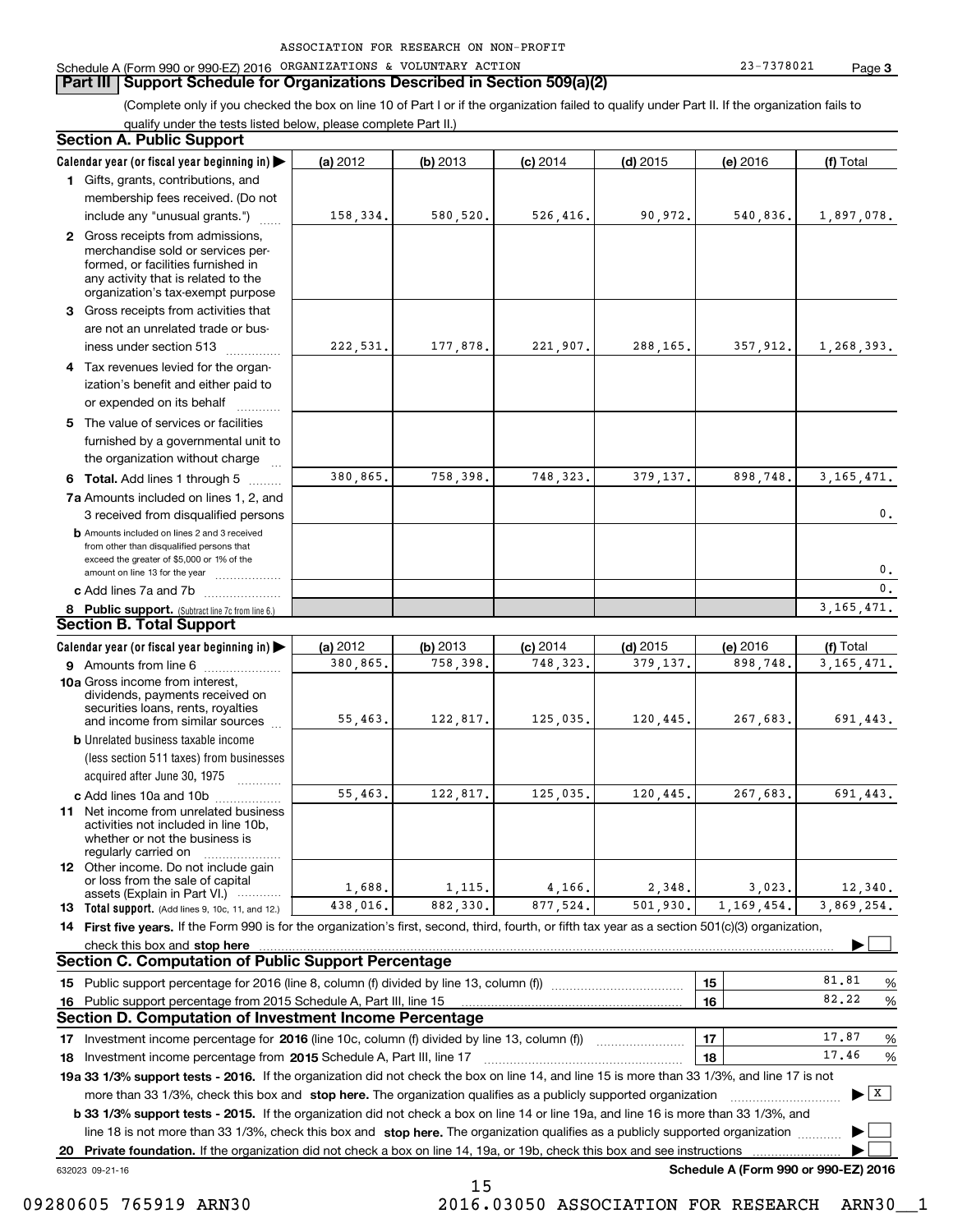### **Part III Support Schedule for Organizations Described in Section 509(a)(2)**

(Complete only if you checked the box on line 10 of Part I or if the organization failed to qualify under Part II. If the organization fails to qualify under the tests listed below, please complete Part II.)

### **8 Public support.** (Subtract line 7c from line 6.) **b** Amounts included on lines 2 and 3 received from other than disqualified persons that exceed the greater of \$5,000 or 1% of the amount on line 13 for the year  $\ldots$ ............... **13 Total support.** (Add lines 9, 10c, 11, and 12.) 632023 09-21-16 **Calendar year (or fiscal year beginning in) | Calendar year (or fiscal year beginning in) | (a)** 2012 **| (b)** 2013 **| (c)** 2014 **| (d)** 2015 **| (e)** 2016 **| (f) 1**Gifts, grants, contributions, and **2** Gross receipts from admissions, **3** Gross receipts from activities that **45** The value of services or facilities **6 Total.** Add lines 1 through 5  $\ldots$ ... **7a**Amounts included on lines 1, 2, and **c** Add lines 7a and 7b  $\ldots$   $\ldots$   $\ldots$  ... **(a)** 2012 **| (b)** 2013 **| (c)** 2014 **| (d)** 2015 **| (e)** 2016 **| (f) 9** Amounts from line 6  $^{10}$ **10a**Gross income from interest, **b** Unrelated business taxable income **c** Add lines 10a and 10b  $^{100}$ **11** Net income from unrelated business **12** Other income. Do not include gain **14 First five years.** If the Form 990 is for the organization's first, second, third, fourth, or fifth tax year as a section 501(c)(3) organization, **stop here** check this box and | **151615161718 2015** Investment income percentage from Schedule A, Part III, line 17 ~~~~~~~~~~~~~~~~~~**19a 33 1/3% support tests - 2016.** If the organization did not check the box on line 14, and line 15 is more than 33 1/3%, and line 17 is not **20Private foundation.**  If the organization did not check a box on line 14, 19a, or 19b, check this box and see instructions | Investment income percentage for 2016 (line 10c, column (f) divided by line 13, column (f)) **1718b33 1/3% support tests - 2015.**  If the organization did not check a box on line 14 or line 19a, and line 16 is more than 33 1/3%, and more than 33 1/3%, check this box and stop here. The organization qualifies as a publicly supported organization *www.www.www.* line 18 is not more than 33 1/3%, check this box and stop here. The organization qualifies as a publicly supported organization  $\Box$ **Schedule A (Form 990 or 990-EZ) 2016** (less section 511 taxes) from businesses acquired after June 30, 1975 (a) 2012 12 **| (b)** 2013 **| (c)** 2014 **| (d)** 2015 **| (e)** 2016 **| (f)** Total membership fees received. (Do not include any "unusual grants.") merchandise sold or services performed, or facilities furnished in any activity that is related to the organization's tax-exempt purpose are not an unrelated trade or business under section 513  $\quad$ Tax revenues levied for the organization's benefit and either paid to or expended on its behalf  $^{+}_{-}\,$   $^{+}\,$   $^{+}\,$ furnished by a governmental unit to the organization without charge 3 received from disqualified persons (a) 2012 12 **| (b)** 2013 **| (c)** 2014 **| (d)** 2015 **| (e)** 2016 **| (f)** Total dividends, payments received on securities loans, rents, royalties and income from similar sources activities not included in line 10b, whether or not the business is regularly carried on or loss from the sale of capital assets (Explain in Part VI.) ............ Public support percentage for 2016 (line 8, column (f) divided by line 13, column (f)) ~~~~~~~~~~~~Public support percentage from 2015 Schedule A, Part III, line 15 % 81.81...... | 16 |  $82.22\quad\%$  $\ldots$  | 17 |  $\qquad \qquad$  17.87 %  $\ldots$  | 18 |  $\ldots$  | 17.46 % **Section A. Public Support Section B. Total Support Section C. Computation of Public Support Percentage Section D. Computation of Investment Income Percentage**  $\mathcal{L}^{\text{max}}$  $\boxed{\mathbf{X}}$  $\mathcal{L}^{\text{max}}$  $\mathcal{L}^{\text{max}}$ 158,334. 580,520. 526,416. 90,972. 540,836. 1,897,078.  $222,531.$  177,878. 221,907. 288,165. 357,912. 1,268,393. 380,865. 758,398. 748,323. 379,137. 898,748. 3,165,471. 380,865. 758,398. 748,323. 379,137. 898,748. 3,165,471.  $\mathbf{0}$ . 0. $\overline{\mathbf{0}}$ . 3,165,471. 55,463. 122,817. 125,035. 120,445. 267,683. 691,443. 55,463. 122,817. 125,035. 120,445. 267,683. 691,443. 1,688. 1,115. 4,166. 2,348. 3,023. 12,340. 3,869,254. 82.2217.8717.46438,016. 882,330. 877,524. 501,930. 1,169,454. 15

 <sup>09280605 765919</sup> ARN30 2016.03050 ASSOCIATION FOR RESEARCH ARN30\_\_1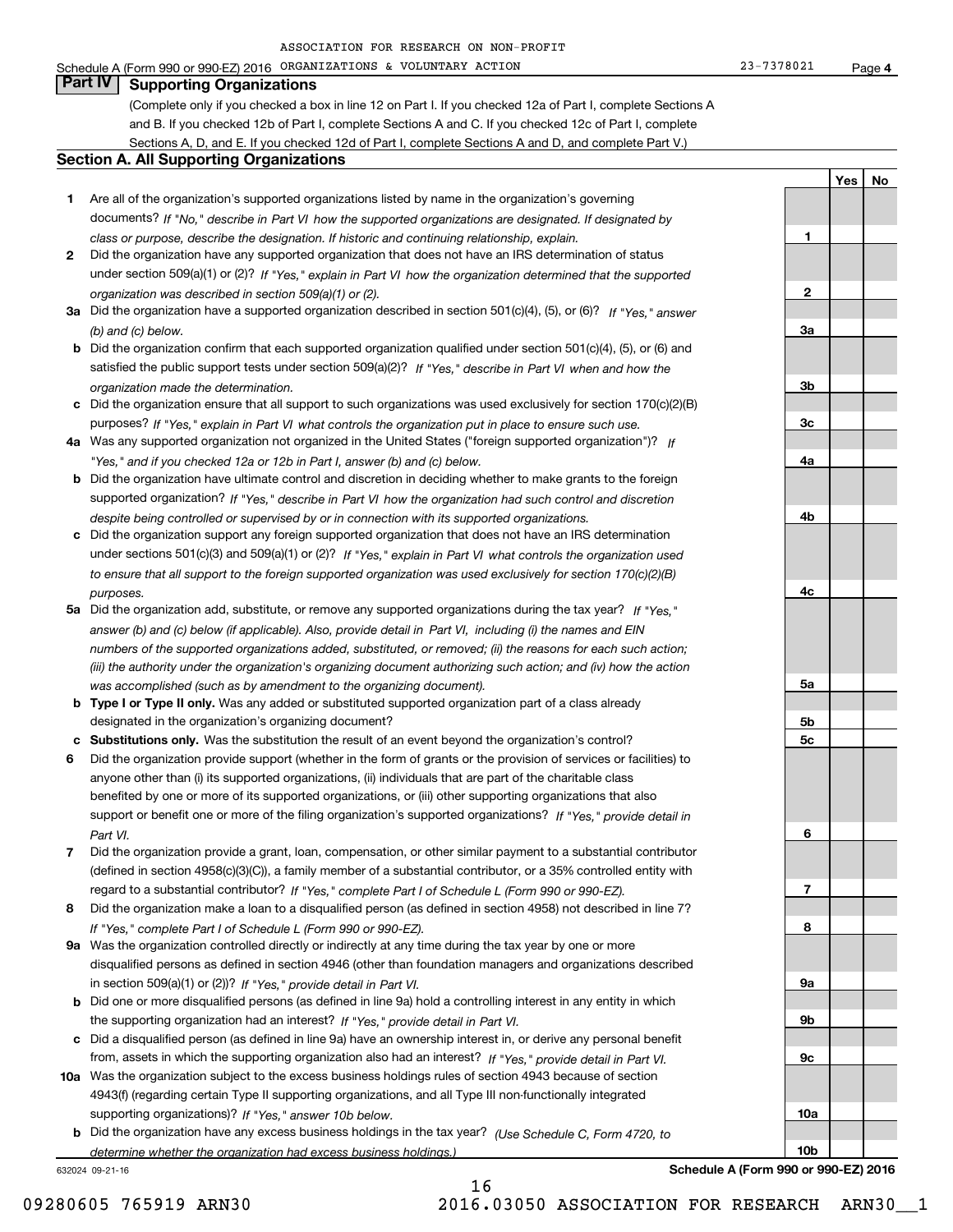Schedule A (Form 990 or 990-EZ) 2016 Page ORGANIZATIONS & VOLUNTARY ACTION 23-7378021

**1**

**2**

**3a**

**3b**

**3c**

**4a**

**YesNo**

# **Part IV Supporting Organizations**

(Complete only if you checked a box in line 12 on Part I. If you checked 12a of Part I, complete Sections A and B. If you checked 12b of Part I, complete Sections A and C. If you checked 12c of Part I, complete Sections A, D, and E. If you checked 12d of Part I, complete Sections A and D, and complete Part V.)

### **Section A. All Supporting Organizations**

- **1** Are all of the organization's supported organizations listed by name in the organization's governing documents? If "No," describe in Part VI how the supported organizations are designated. If designated by *class or purpose, describe the designation. If historic and continuing relationship, explain.*
- **2** Did the organization have any supported organization that does not have an IRS determination of status under section 509(a)(1) or (2)? If "Yes," explain in Part VI how the organization determined that the supported *organization was described in section 509(a)(1) or (2).*
- **3a** Did the organization have a supported organization described in section 501(c)(4), (5), or (6)? If "Yes," answer *(b) and (c) below.*
- **b** Did the organization confirm that each supported organization qualified under section 501(c)(4), (5), or (6) and satisfied the public support tests under section 509(a)(2)? If "Yes," describe in Part VI when and how the *organization made the determination.*
- **c**Did the organization ensure that all support to such organizations was used exclusively for section 170(c)(2)(B) purposes? If "Yes," explain in Part VI what controls the organization put in place to ensure such use.
- **4a***If* Was any supported organization not organized in the United States ("foreign supported organization")? *"Yes," and if you checked 12a or 12b in Part I, answer (b) and (c) below.*
- **b** Did the organization have ultimate control and discretion in deciding whether to make grants to the foreign supported organization? If "Yes," describe in Part VI how the organization had such control and discretion *despite being controlled or supervised by or in connection with its supported organizations.*
- **c** Did the organization support any foreign supported organization that does not have an IRS determination under sections 501(c)(3) and 509(a)(1) or (2)? If "Yes," explain in Part VI what controls the organization used *to ensure that all support to the foreign supported organization was used exclusively for section 170(c)(2)(B) purposes.*
- **5a** Did the organization add, substitute, or remove any supported organizations during the tax year? If "Yes," answer (b) and (c) below (if applicable). Also, provide detail in Part VI, including (i) the names and EIN *numbers of the supported organizations added, substituted, or removed; (ii) the reasons for each such action; (iii) the authority under the organization's organizing document authorizing such action; and (iv) how the action was accomplished (such as by amendment to the organizing document).*
- **b** Type I or Type II only. Was any added or substituted supported organization part of a class already designated in the organization's organizing document?
- **cSubstitutions only.**  Was the substitution the result of an event beyond the organization's control?
- **6** Did the organization provide support (whether in the form of grants or the provision of services or facilities) to *If "Yes," provide detail in* support or benefit one or more of the filing organization's supported organizations? anyone other than (i) its supported organizations, (ii) individuals that are part of the charitable class benefited by one or more of its supported organizations, or (iii) other supporting organizations that also *Part VI.*
- **7**Did the organization provide a grant, loan, compensation, or other similar payment to a substantial contributor *If "Yes," complete Part I of Schedule L (Form 990 or 990-EZ).* regard to a substantial contributor? (defined in section 4958(c)(3)(C)), a family member of a substantial contributor, or a 35% controlled entity with
- **8** Did the organization make a loan to a disqualified person (as defined in section 4958) not described in line 7? *If "Yes," complete Part I of Schedule L (Form 990 or 990-EZ).*
- **9a** Was the organization controlled directly or indirectly at any time during the tax year by one or more in section 509(a)(1) or (2))? If "Yes," *provide detail in Part VI.* disqualified persons as defined in section 4946 (other than foundation managers and organizations described
- **b** Did one or more disqualified persons (as defined in line 9a) hold a controlling interest in any entity in which the supporting organization had an interest? If "Yes," provide detail in Part VI.
- **c**Did a disqualified person (as defined in line 9a) have an ownership interest in, or derive any personal benefit from, assets in which the supporting organization also had an interest? If "Yes," provide detail in Part VI.
- **10a** Was the organization subject to the excess business holdings rules of section 4943 because of section supporting organizations)? If "Yes," answer 10b below. 4943(f) (regarding certain Type II supporting organizations, and all Type III non-functionally integrated
- **b** Did the organization have any excess business holdings in the tax year? (Use Schedule C, Form 4720, to *determine whether the organization had excess business holdings.)*

16

632024 09-21-16

**4b4c5a 5b5c6789a 9b9c10a10bSchedule A (Form 990 or 990-EZ) 2016**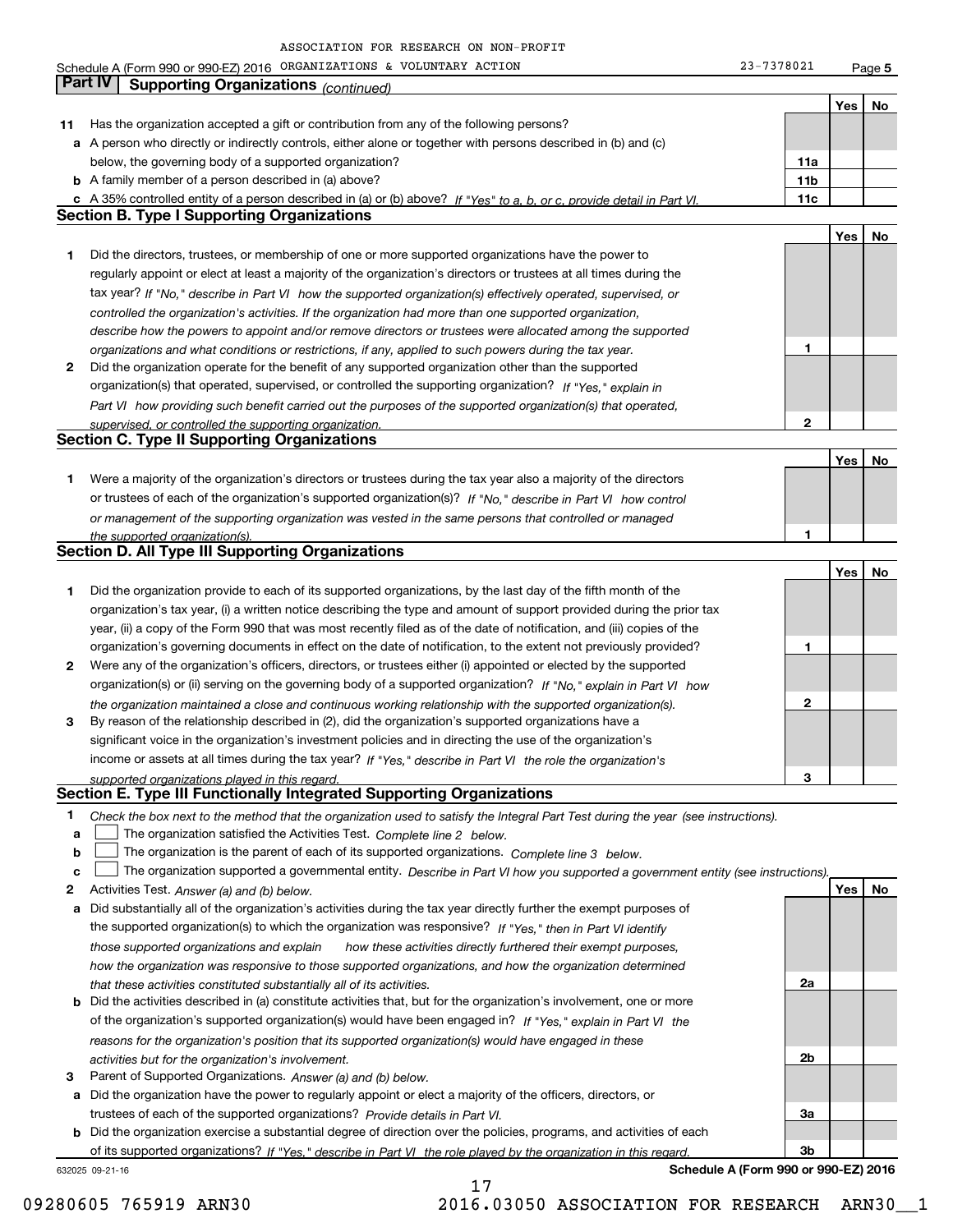Schedule A (Form 990 or 990-EZ) 2016 Page ORGANIZATIONS & VOLUNTARY ACTION 23-7378021

**5**

|    | Part IV<br><b>Supporting Organizations (continued)</b>                                                                            |                 |     |    |
|----|-----------------------------------------------------------------------------------------------------------------------------------|-----------------|-----|----|
|    |                                                                                                                                   |                 | Yes | No |
| 11 | Has the organization accepted a gift or contribution from any of the following persons?                                           |                 |     |    |
|    | a A person who directly or indirectly controls, either alone or together with persons described in (b) and (c)                    |                 |     |    |
|    | below, the governing body of a supported organization?                                                                            | 11a             |     |    |
|    | <b>b</b> A family member of a person described in (a) above?                                                                      | 11 <sub>b</sub> |     |    |
|    | c A 35% controlled entity of a person described in (a) or (b) above? If "Yes" to a, b, or c, provide detail in Part VI.           | 11c             |     |    |
|    | <b>Section B. Type I Supporting Organizations</b>                                                                                 |                 |     |    |
|    |                                                                                                                                   |                 |     |    |
|    |                                                                                                                                   |                 | Yes | No |
| 1  | Did the directors, trustees, or membership of one or more supported organizations have the power to                               |                 |     |    |
|    | regularly appoint or elect at least a majority of the organization's directors or trustees at all times during the                |                 |     |    |
|    | tax year? If "No," describe in Part VI how the supported organization(s) effectively operated, supervised, or                     |                 |     |    |
|    | controlled the organization's activities. If the organization had more than one supported organization,                           |                 |     |    |
|    | describe how the powers to appoint and/or remove directors or trustees were allocated among the supported                         |                 |     |    |
|    | organizations and what conditions or restrictions, if any, applied to such powers during the tax year.                            | 1               |     |    |
| 2  | Did the organization operate for the benefit of any supported organization other than the supported                               |                 |     |    |
|    | organization(s) that operated, supervised, or controlled the supporting organization? If "Yes," explain in                        |                 |     |    |
|    | Part VI how providing such benefit carried out the purposes of the supported organization(s) that operated,                       |                 |     |    |
|    | supervised, or controlled the supporting organization.                                                                            | 2               |     |    |
|    | <b>Section C. Type II Supporting Organizations</b>                                                                                |                 |     |    |
|    |                                                                                                                                   |                 | Yes | No |
| 1. | Were a majority of the organization's directors or trustees during the tax year also a majority of the directors                  |                 |     |    |
|    | or trustees of each of the organization's supported organization(s)? If "No," describe in Part VI how control                     |                 |     |    |
|    | or management of the supporting organization was vested in the same persons that controlled or managed                            |                 |     |    |
|    | the supported organization(s).                                                                                                    | 1               |     |    |
|    | <b>Section D. All Type III Supporting Organizations</b>                                                                           |                 |     |    |
|    |                                                                                                                                   |                 | Yes | No |
| 1  | Did the organization provide to each of its supported organizations, by the last day of the fifth month of the                    |                 |     |    |
|    | organization's tax year, (i) a written notice describing the type and amount of support provided during the prior tax             |                 |     |    |
|    | year, (ii) a copy of the Form 990 that was most recently filed as of the date of notification, and (iii) copies of the            |                 |     |    |
|    | organization's governing documents in effect on the date of notification, to the extent not previously provided?                  | 1               |     |    |
| 2  | Were any of the organization's officers, directors, or trustees either (i) appointed or elected by the supported                  |                 |     |    |
|    | organization(s) or (ii) serving on the governing body of a supported organization? If "No," explain in Part VI how                |                 |     |    |
|    |                                                                                                                                   | 2               |     |    |
|    | the organization maintained a close and continuous working relationship with the supported organization(s).                       |                 |     |    |
| 3  | By reason of the relationship described in (2), did the organization's supported organizations have a                             |                 |     |    |
|    | significant voice in the organization's investment policies and in directing the use of the organization's                        |                 |     |    |
|    | income or assets at all times during the tax year? If "Yes," describe in Part VI the role the organization's                      |                 |     |    |
|    | supported organizations played in this regard.<br>Section E. Type III Functionally Integrated Supporting Organizations            | 3               |     |    |
|    |                                                                                                                                   |                 |     |    |
| 1  | Check the box next to the method that the organization used to satisfy the Integral Part Test during the year (see instructions). |                 |     |    |
| a  | The organization satisfied the Activities Test. Complete line 2 below.                                                            |                 |     |    |
| b  | The organization is the parent of each of its supported organizations. Complete line 3 below.                                     |                 |     |    |
| c  | The organization supported a governmental entity. Describe in Part VI how you supported a government entity (see instructions).   |                 |     |    |
| 2  | Activities Test. Answer (a) and (b) below.                                                                                        |                 | Yes | No |
| а  | Did substantially all of the organization's activities during the tax year directly further the exempt purposes of                |                 |     |    |
|    | the supported organization(s) to which the organization was responsive? If "Yes," then in Part VI identify                        |                 |     |    |
|    | those supported organizations and explain<br>how these activities directly furthered their exempt purposes.                       |                 |     |    |
|    | how the organization was responsive to those supported organizations, and how the organization determined                         |                 |     |    |
|    | that these activities constituted substantially all of its activities.                                                            | 2a              |     |    |
| b  | Did the activities described in (a) constitute activities that, but for the organization's involvement, one or more               |                 |     |    |
|    | of the organization's supported organization(s) would have been engaged in? If "Yes," explain in Part VI the                      |                 |     |    |
|    | reasons for the organization's position that its supported organization(s) would have engaged in these                            |                 |     |    |
|    | activities but for the organization's involvement.                                                                                | 2b              |     |    |
| 3  | Parent of Supported Organizations. Answer (a) and (b) below.                                                                      |                 |     |    |
| а  | Did the organization have the power to regularly appoint or elect a majority of the officers, directors, or                       |                 |     |    |
|    | trustees of each of the supported organizations? Provide details in Part VI.                                                      | За              |     |    |
|    | <b>b</b> Did the organization exercise a substantial degree of direction over the policies, programs, and activities of each      |                 |     |    |
|    | of its supported organizations? If "Yes." describe in Part VI the role played by the organization in this regard                  | Зb              |     |    |
|    | Schedule A (Form 990 or 990-EZ) 2016<br>632025 09-21-16                                                                           |                 |     |    |
|    |                                                                                                                                   |                 |     |    |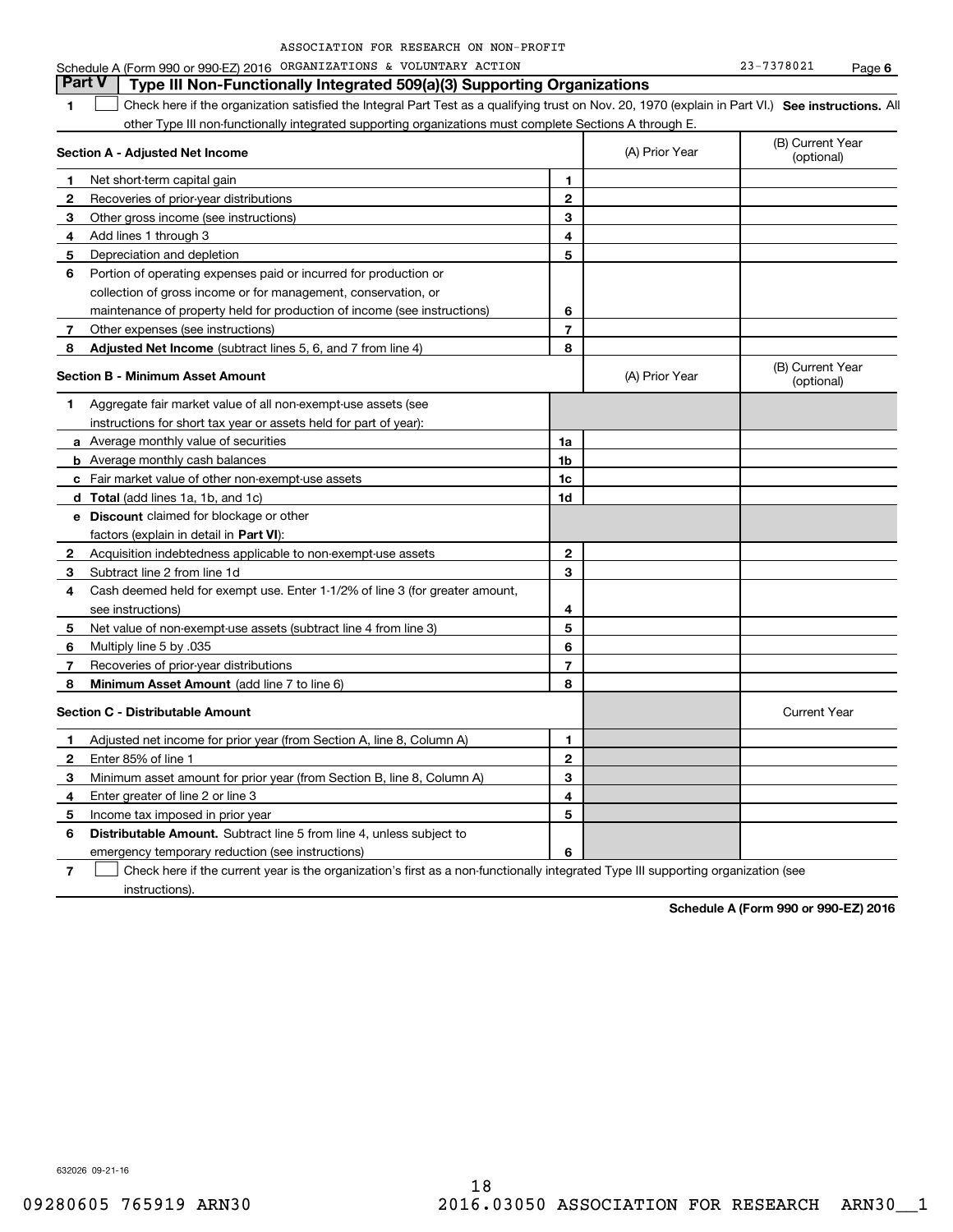| ASSOCIATION FOR RESEARCH ON NON-PROFIT |  |  |  |  |  |  |
|----------------------------------------|--|--|--|--|--|--|
|----------------------------------------|--|--|--|--|--|--|

### **1SEP 10. See instructions.** All antegral Part Test as a qualifying trust on Nov. 20, 1970 (explain in Part VI.) See instructions. All **Section A - Adjusted Net Income 12** Recoveries of prior-year distributions **3** Other gross income (see instructions) **4**Add lines 1 through 3 **56** Portion of operating expenses paid or incurred for production or **7** Other expenses (see instructions) **8** Adjusted Net Income (subtract lines 5, 6, and 7 from line 4) **8 8 1234567Section B - Minimum Asset Amount 1**Aggregate fair market value of all non-exempt-use assets (see **2**Acquisition indebtedness applicable to non-exempt-use assets **3** Subtract line 2 from line 1d **4**Cash deemed held for exempt use. Enter 1-1/2% of line 3 (for greater amount, **5** Net value of non-exempt-use assets (subtract line 4 from line 3) **678a** Average monthly value of securities **b** Average monthly cash balances **c**Fair market value of other non-exempt-use assets **dTotal**  (add lines 1a, 1b, and 1c) **eDiscount** claimed for blockage or other **1a1b1c1d2345678**factors (explain in detail in **Part VI**): **Minimum Asset Amount**  (add line 7 to line 6) **Section C - Distributable Amount 12**Enter 85% of line 1 **3456** Distributable Amount. Subtract line 5 from line 4, unless subject to **123456**other Type III non-functionally integrated supporting organizations must complete Sections A through E. (B) Current Year (optional)(A) Prior Year Net short-term capital gain Depreciation and depletion collection of gross income or for management, conservation, or maintenance of property held for production of income (see instructions) (B) Current Year (optional)(A) Prior Year instructions for short tax year or assets held for part of year): see instructions) Multiply line 5 by .035 Recoveries of prior-year distributions Current Year Adjusted net income for prior year (from Section A, line 8, Column A) Minimum asset amount for prior year (from Section B, line 8, Column A) Enter greater of line 2 or line 3 Income tax imposed in prior year emergency temporary reduction (see instructions) **Part V Type III Non-Functionally Integrated 509(a)(3) Supporting Organizations**   $\mathcal{L}^{\text{max}}$

**7**Check here if the current year is the organization's first as a non-functionally integrated Type III supporting organization (see instructions). $\mathcal{L}^{\text{max}}$ 

**Schedule A (Form 990 or 990-EZ) 2016**

632026 09-21-16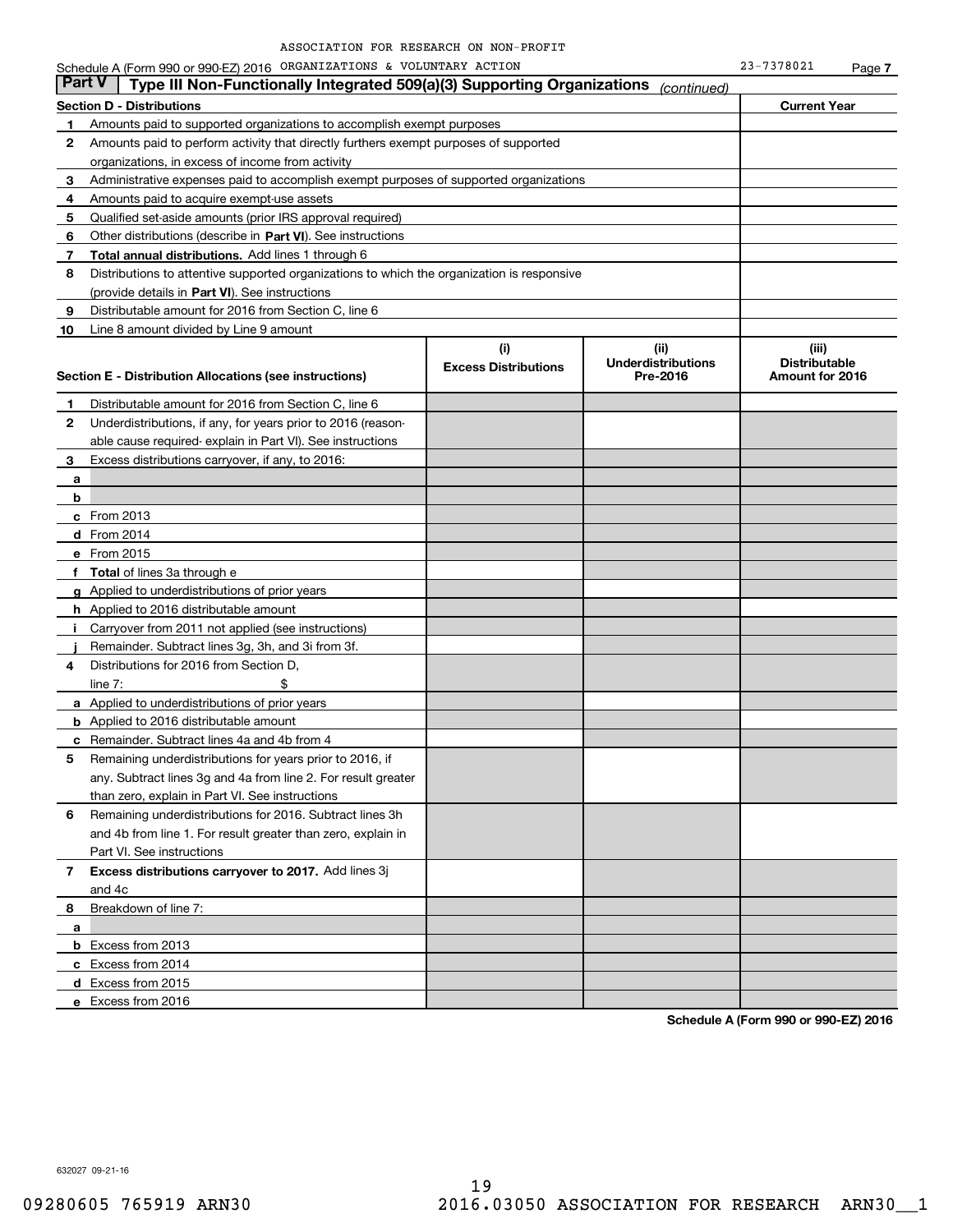|              | Schedule A (Form 990 or 990-EZ) 2016 ORGANIZATIONS & VOLUNTARY ACTION                      |                                    |                                               | 23-7378021                                       | Page 7 |
|--------------|--------------------------------------------------------------------------------------------|------------------------------------|-----------------------------------------------|--------------------------------------------------|--------|
| Part V       | Type III Non-Functionally Integrated 509(a)(3) Supporting Organizations                    |                                    | (continued)                                   |                                                  |        |
|              | <b>Section D - Distributions</b>                                                           |                                    |                                               | <b>Current Year</b>                              |        |
| 1            | Amounts paid to supported organizations to accomplish exempt purposes                      |                                    |                                               |                                                  |        |
| 2            | Amounts paid to perform activity that directly furthers exempt purposes of supported       |                                    |                                               |                                                  |        |
|              | organizations, in excess of income from activity                                           |                                    |                                               |                                                  |        |
| 3            | Administrative expenses paid to accomplish exempt purposes of supported organizations      |                                    |                                               |                                                  |        |
| 4            | Amounts paid to acquire exempt-use assets                                                  |                                    |                                               |                                                  |        |
| 5            | Qualified set-aside amounts (prior IRS approval required)                                  |                                    |                                               |                                                  |        |
| 6            | Other distributions (describe in Part VI). See instructions                                |                                    |                                               |                                                  |        |
| 7            | <b>Total annual distributions.</b> Add lines 1 through 6                                   |                                    |                                               |                                                  |        |
| 8            | Distributions to attentive supported organizations to which the organization is responsive |                                    |                                               |                                                  |        |
|              | (provide details in Part VI). See instructions                                             |                                    |                                               |                                                  |        |
| 9            | Distributable amount for 2016 from Section C, line 6                                       |                                    |                                               |                                                  |        |
| 10           | Line 8 amount divided by Line 9 amount                                                     |                                    |                                               |                                                  |        |
|              | Section E - Distribution Allocations (see instructions)                                    | (i)<br><b>Excess Distributions</b> | (ii)<br><b>Underdistributions</b><br>Pre-2016 | (iii)<br><b>Distributable</b><br>Amount for 2016 |        |
| 1            | Distributable amount for 2016 from Section C, line 6                                       |                                    |                                               |                                                  |        |
| 2            | Underdistributions, if any, for years prior to 2016 (reason-                               |                                    |                                               |                                                  |        |
|              | able cause required-explain in Part VI). See instructions                                  |                                    |                                               |                                                  |        |
| 3            | Excess distributions carryover, if any, to 2016:                                           |                                    |                                               |                                                  |        |
| а            |                                                                                            |                                    |                                               |                                                  |        |
| b            |                                                                                            |                                    |                                               |                                                  |        |
|              | c From 2013                                                                                |                                    |                                               |                                                  |        |
|              | <b>d</b> From 2014                                                                         |                                    |                                               |                                                  |        |
|              | e From 2015                                                                                |                                    |                                               |                                                  |        |
|              | f Total of lines 3a through e                                                              |                                    |                                               |                                                  |        |
|              | g Applied to underdistributions of prior years                                             |                                    |                                               |                                                  |        |
|              | <b>h</b> Applied to 2016 distributable amount                                              |                                    |                                               |                                                  |        |
| Ť.           | Carryover from 2011 not applied (see instructions)                                         |                                    |                                               |                                                  |        |
|              | Remainder. Subtract lines 3g, 3h, and 3i from 3f.                                          |                                    |                                               |                                                  |        |
| 4            | Distributions for 2016 from Section D.                                                     |                                    |                                               |                                                  |        |
|              | \$<br>line $7:$                                                                            |                                    |                                               |                                                  |        |
|              | <b>a</b> Applied to underdistributions of prior years                                      |                                    |                                               |                                                  |        |
|              | <b>b</b> Applied to 2016 distributable amount                                              |                                    |                                               |                                                  |        |
|              | c Remainder. Subtract lines 4a and 4b from 4                                               |                                    |                                               |                                                  |        |
|              | Remaining underdistributions for years prior to 2016, if                                   |                                    |                                               |                                                  |        |
|              | any. Subtract lines 3g and 4a from line 2. For result greater                              |                                    |                                               |                                                  |        |
|              | than zero, explain in Part VI. See instructions                                            |                                    |                                               |                                                  |        |
| 6            | Remaining underdistributions for 2016. Subtract lines 3h                                   |                                    |                                               |                                                  |        |
|              | and 4b from line 1. For result greater than zero, explain in                               |                                    |                                               |                                                  |        |
|              | Part VI. See instructions                                                                  |                                    |                                               |                                                  |        |
| $\mathbf{7}$ | Excess distributions carryover to 2017. Add lines 3j                                       |                                    |                                               |                                                  |        |
|              | and 4c                                                                                     |                                    |                                               |                                                  |        |
| 8            | Breakdown of line 7:                                                                       |                                    |                                               |                                                  |        |
|              |                                                                                            |                                    |                                               |                                                  |        |
| a            | <b>b</b> Excess from 2013                                                                  |                                    |                                               |                                                  |        |
|              | c Excess from 2014                                                                         |                                    |                                               |                                                  |        |
|              | d Excess from 2015                                                                         |                                    |                                               |                                                  |        |
|              |                                                                                            |                                    |                                               |                                                  |        |
|              | e Excess from 2016                                                                         |                                    |                                               |                                                  |        |

**Schedule A (Form 990 or 990-EZ) 2016**

632027 09-21-16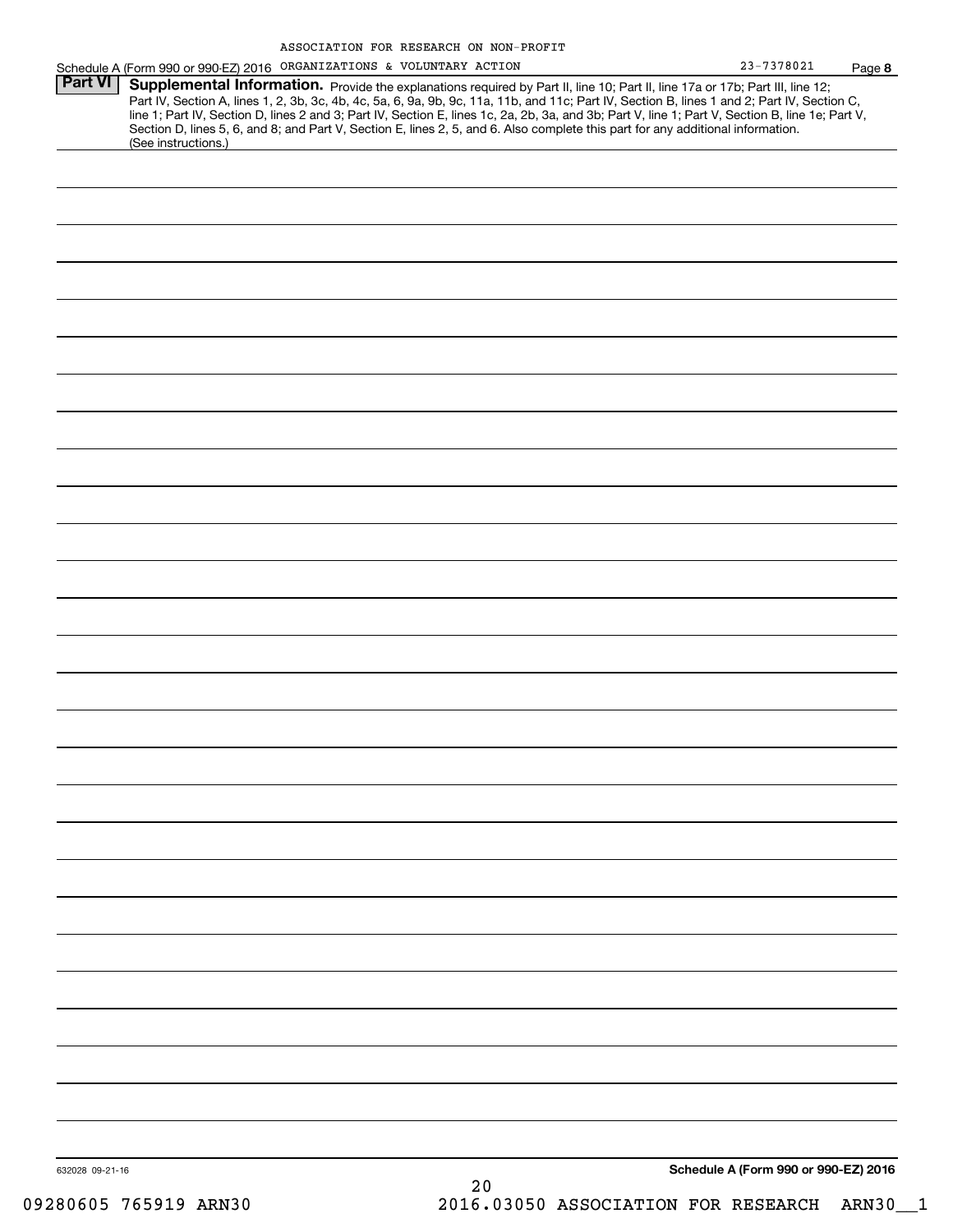|                 | Schedule A (Form 990 or 990-EZ) 2016 ORGANIZATIONS & VOLUNTARY ACTION                                                                                                                                                                                                                                                                                                                                                             | 23-7378021                           | Page 8 |
|-----------------|-----------------------------------------------------------------------------------------------------------------------------------------------------------------------------------------------------------------------------------------------------------------------------------------------------------------------------------------------------------------------------------------------------------------------------------|--------------------------------------|--------|
| Part VI         | Supplemental Information. Provide the explanations required by Part II, line 10; Part II, line 17a or 17b; Part III, line 12;<br>Part IV, Section A, lines 1, 2, 3b, 3c, 4b, 4c, 5a, 6, 9a, 9b, 9c, 11a, 11b, and 11c; Part IV, Section B, lines 1 and 2; Part IV, Section C,<br>line 1; Part IV, Section D, lines 2 and 3; Part IV, Section E, lines 1c, 2a, 2b, 3a, and 3b; Part V, line 1; Part V, Section B, line 1e; Part V, |                                      |        |
|                 | Section D, lines 5, 6, and 8; and Part V, Section E, lines 2, 5, and 6. Also complete this part for any additional information.<br>(See instructions.)                                                                                                                                                                                                                                                                            |                                      |        |
|                 |                                                                                                                                                                                                                                                                                                                                                                                                                                   |                                      |        |
|                 |                                                                                                                                                                                                                                                                                                                                                                                                                                   |                                      |        |
|                 |                                                                                                                                                                                                                                                                                                                                                                                                                                   |                                      |        |
|                 |                                                                                                                                                                                                                                                                                                                                                                                                                                   |                                      |        |
|                 |                                                                                                                                                                                                                                                                                                                                                                                                                                   |                                      |        |
|                 |                                                                                                                                                                                                                                                                                                                                                                                                                                   |                                      |        |
|                 |                                                                                                                                                                                                                                                                                                                                                                                                                                   |                                      |        |
|                 |                                                                                                                                                                                                                                                                                                                                                                                                                                   |                                      |        |
|                 |                                                                                                                                                                                                                                                                                                                                                                                                                                   |                                      |        |
|                 |                                                                                                                                                                                                                                                                                                                                                                                                                                   |                                      |        |
|                 |                                                                                                                                                                                                                                                                                                                                                                                                                                   |                                      |        |
|                 |                                                                                                                                                                                                                                                                                                                                                                                                                                   |                                      |        |
|                 |                                                                                                                                                                                                                                                                                                                                                                                                                                   |                                      |        |
|                 |                                                                                                                                                                                                                                                                                                                                                                                                                                   |                                      |        |
|                 |                                                                                                                                                                                                                                                                                                                                                                                                                                   |                                      |        |
|                 |                                                                                                                                                                                                                                                                                                                                                                                                                                   |                                      |        |
|                 |                                                                                                                                                                                                                                                                                                                                                                                                                                   |                                      |        |
|                 |                                                                                                                                                                                                                                                                                                                                                                                                                                   |                                      |        |
|                 |                                                                                                                                                                                                                                                                                                                                                                                                                                   |                                      |        |
|                 |                                                                                                                                                                                                                                                                                                                                                                                                                                   |                                      |        |
|                 |                                                                                                                                                                                                                                                                                                                                                                                                                                   |                                      |        |
|                 |                                                                                                                                                                                                                                                                                                                                                                                                                                   |                                      |        |
|                 |                                                                                                                                                                                                                                                                                                                                                                                                                                   |                                      |        |
|                 |                                                                                                                                                                                                                                                                                                                                                                                                                                   |                                      |        |
|                 |                                                                                                                                                                                                                                                                                                                                                                                                                                   |                                      |        |
|                 |                                                                                                                                                                                                                                                                                                                                                                                                                                   |                                      |        |
|                 |                                                                                                                                                                                                                                                                                                                                                                                                                                   |                                      |        |
|                 |                                                                                                                                                                                                                                                                                                                                                                                                                                   |                                      |        |
|                 |                                                                                                                                                                                                                                                                                                                                                                                                                                   |                                      |        |
|                 |                                                                                                                                                                                                                                                                                                                                                                                                                                   |                                      |        |
| 632028 09-21-16 |                                                                                                                                                                                                                                                                                                                                                                                                                                   | Schedule A (Form 990 or 990-EZ) 2016 |        |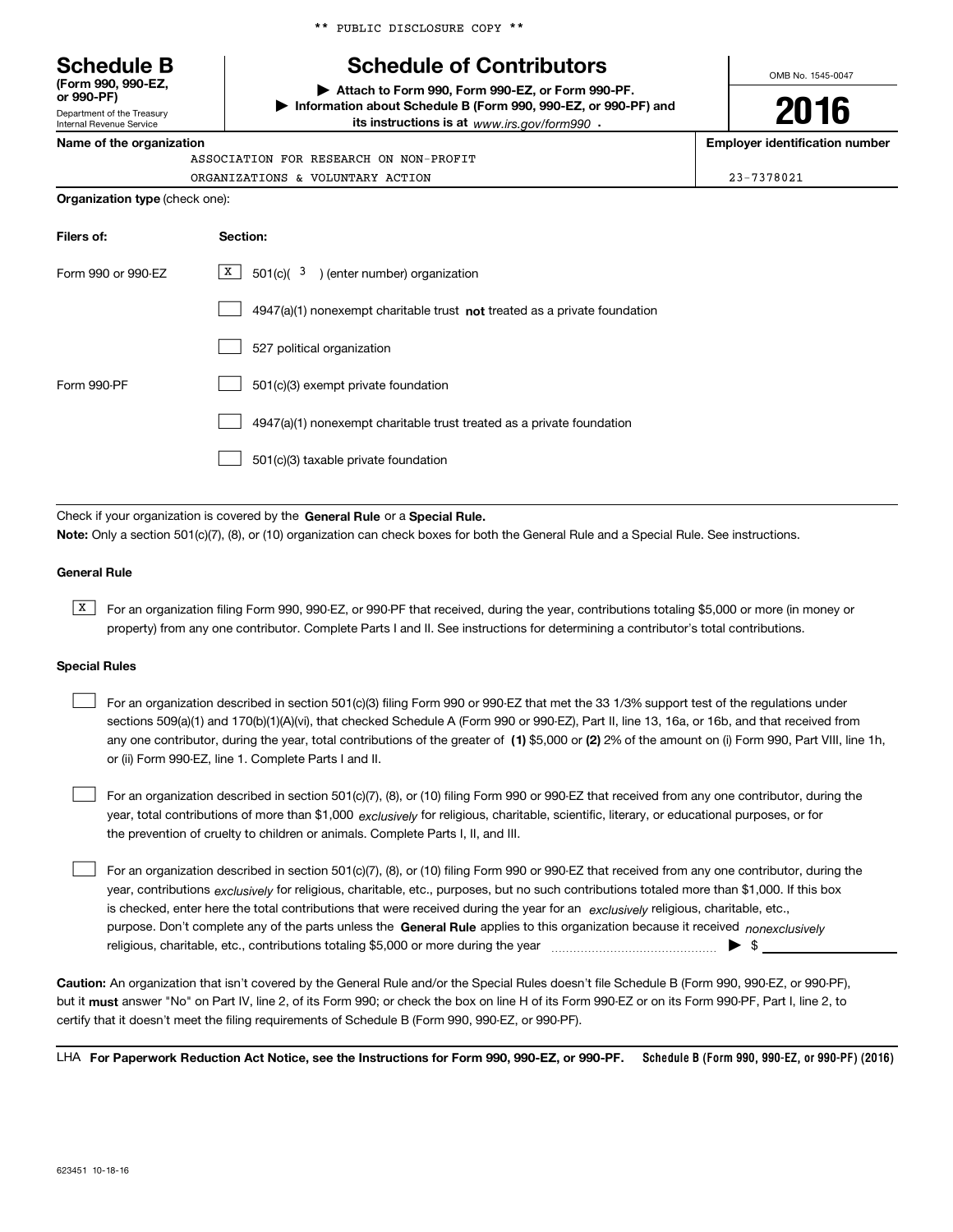\*\* PUBLIC DISCLOSURE COPY \*\*

# **Schedule B Schedule of Contributors**

**| Attach to Form 990, Form 990-EZ, or Form 990-PF. | Information about Schedule B (Form 990, 990-EZ, or 990-PF) and its instructions is at** www.irs.gov/form990  $\cdot$ 

OMB No. 1545-0047

# **2016**

**Name of the organization Employer identification number**

| ASSOCIATION FOR RESEARCH ON NON-PROFIT |  |  |
|----------------------------------------|--|--|
| ORGANIZATIONS & VOLUNTARY ACTION       |  |  |

ORGANIZATIONS & VOLUNTARY ACTION 23-7378021

| Filers of:         | Section:                                                                           |
|--------------------|------------------------------------------------------------------------------------|
| Form 990 or 990-FZ | $X$ 501(c)( 3) (enter number) organization                                         |
|                    | $4947(a)(1)$ nonexempt charitable trust <b>not</b> treated as a private foundation |
|                    | 527 political organization                                                         |
| Form 990-PF        | 501(c)(3) exempt private foundation                                                |
|                    | 4947(a)(1) nonexempt charitable trust treated as a private foundation              |
|                    | 501(c)(3) taxable private foundation                                               |

Check if your organization is covered by the **General Rule** or a **Special Rule. Note:**  Only a section 501(c)(7), (8), or (10) organization can check boxes for both the General Rule and a Special Rule. See instructions.

### **General Rule**

Department of the Treasury Internal Revenue Service

**Organization type** (check one):

**(Form 990, 990-EZ, or 990-PF)**

> $\overline{X}$  For an organization filing Form 990, 990-EZ, or 990-PF that received, during the year, contributions totaling \$5,000 or more (in money or property) from any one contributor. Complete Parts I and II. See instructions for determining a contributor's total contributions.

### **Special Rules**

 $\mathcal{L}^{\text{max}}$ 

| For an organization described in section 501(c)(3) filing Form 990 or 990-EZ that met the 33 1/3% support test of the regulations under              |
|------------------------------------------------------------------------------------------------------------------------------------------------------|
| sections 509(a)(1) and 170(b)(1)(A)(vi), that checked Schedule A (Form 990 or 990-EZ), Part II, line 13, 16a, or 16b, and that received from         |
| any one contributor, during the year, total contributions of the greater of (1) \$5,000 or (2) 2% of the amount on (i) Form 990, Part VIII, line 1h, |
| or (ii) Form 990-EZ, line 1. Complete Parts I and II.                                                                                                |

year, total contributions of more than \$1,000 *exclusively* for religious, charitable, scientific, literary, or educational purposes, or for For an organization described in section 501(c)(7), (8), or (10) filing Form 990 or 990-EZ that received from any one contributor, during the the prevention of cruelty to children or animals. Complete Parts I, II, and III.

purpose. Don't complete any of the parts unless the **General Rule** applies to this organization because it received *nonexclusively* year, contributions <sub>exclusively</sub> for religious, charitable, etc., purposes, but no such contributions totaled more than \$1,000. If this box is checked, enter here the total contributions that were received during the year for an  $\;$ exclusively religious, charitable, etc., For an organization described in section 501(c)(7), (8), or (10) filing Form 990 or 990-EZ that received from any one contributor, during the religious, charitable, etc., contributions totaling \$5,000 or more during the year  $\ldots$  $\ldots$  $\ldots$  $\ldots$  $\ldots$ 

**Caution:**  An organization that isn't covered by the General Rule and/or the Special Rules doesn't file Schedule B (Form 990, 990-EZ, or 990-PF),  **must** but it answer "No" on Part IV, line 2, of its Form 990; or check the box on line H of its Form 990-EZ or on its Form 990-PF, Part I, line 2, to certify that it doesn't meet the filing requirements of Schedule B (Form 990, 990-EZ, or 990-PF).

**Schedule B (Form 990, 990-EZ, or 990-PF) (2016) For Paperwork Reduction Act Notice, see the Instructions for Form 990, 990-EZ, or 990-PF.** LHA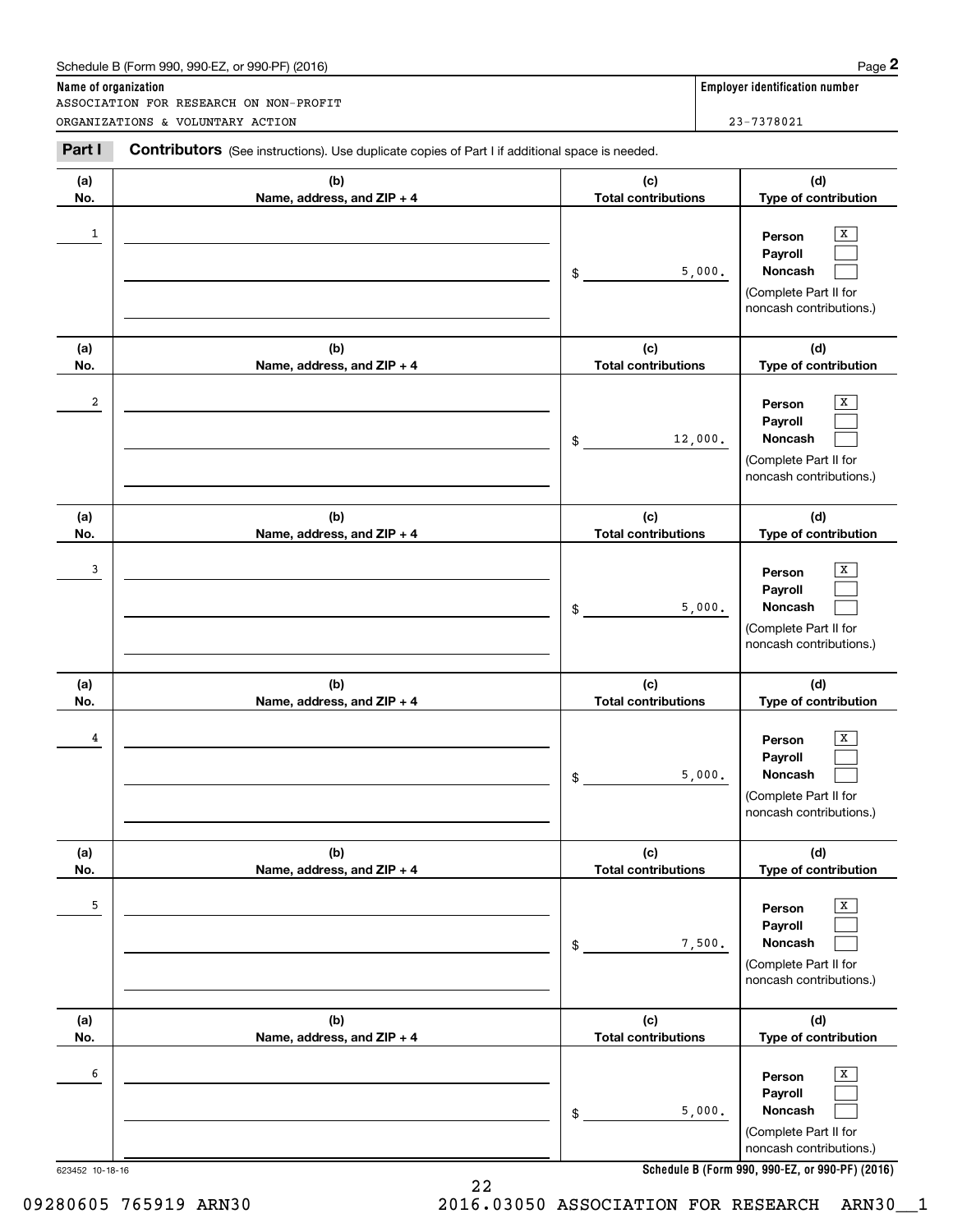# Schedule B (Form 990, 990-EZ, or 990-PF) (2016) Page 2

|                         | Schedule B (Form 990, 990-EZ, or 990-PF) (2016)                                                       |                                   | Page 2                                                                                           |  |  |  |
|-------------------------|-------------------------------------------------------------------------------------------------------|-----------------------------------|--------------------------------------------------------------------------------------------------|--|--|--|
| Name of organization    |                                                                                                       |                                   | <b>Employer identification number</b>                                                            |  |  |  |
|                         | ASSOCIATION FOR RESEARCH ON NON-PROFIT<br>ORGANIZATIONS & VOLUNTARY ACTION                            |                                   | 23-7378021                                                                                       |  |  |  |
| Part I                  | <b>Contributors</b> (See instructions). Use duplicate copies of Part I if additional space is needed. |                                   |                                                                                                  |  |  |  |
| (a)<br>No.              | (b)<br>Name, address, and ZIP + 4                                                                     | (c)<br><b>Total contributions</b> | (d)<br>Type of contribution                                                                      |  |  |  |
| $\mathbf{1}$            |                                                                                                       | \$                                | X<br>Person<br>Payroll<br>5,000.<br>Noncash<br>(Complete Part II for<br>noncash contributions.)  |  |  |  |
| (a)<br>No.              | (b)<br>Name, address, and ZIP + 4                                                                     | (c)<br><b>Total contributions</b> | (d)<br>Type of contribution                                                                      |  |  |  |
| $\overline{\mathbf{2}}$ |                                                                                                       | \$                                | X<br>Person<br>Payroll<br>Noncash<br>12,000.<br>(Complete Part II for<br>noncash contributions.) |  |  |  |
| (a)<br>No.              | (b)<br>Name, address, and ZIP + 4                                                                     | (c)<br><b>Total contributions</b> | (d)<br>Type of contribution                                                                      |  |  |  |
| 3                       |                                                                                                       | \$                                | х<br>Person<br>Payroll<br>5,000.<br>Noncash<br>(Complete Part II for<br>noncash contributions.)  |  |  |  |
| (a)<br>No.              | (b)<br>Name, address, and ZIP + 4                                                                     | (c)<br><b>Total contributions</b> | (d)<br>Type of contribution                                                                      |  |  |  |
| 4                       |                                                                                                       | \$                                | х<br>Person<br>Payroll<br>5,000.<br>Noncash<br>(Complete Part II for<br>noncash contributions.)  |  |  |  |
| (a)<br>No.              | (b)<br>Name, address, and ZIP + 4                                                                     | (c)<br><b>Total contributions</b> | (d)<br>Type of contribution                                                                      |  |  |  |
| 5                       |                                                                                                       | \$                                | Х<br>Person<br>Payroll<br>Noncash<br>7,500.<br>(Complete Part II for<br>noncash contributions.)  |  |  |  |
| (a)<br>No.              | (b)<br>Name, address, and ZIP + 4                                                                     | (c)<br><b>Total contributions</b> | (d)<br>Type of contribution                                                                      |  |  |  |
| 6                       |                                                                                                       | \$                                | Х<br>Person<br>Payroll<br>Noncash<br>5,000.<br>(Complete Part II for<br>noncash contributions.)  |  |  |  |

**Schedule B (Form 990, 990-EZ, or 990-PF) (2016)**

22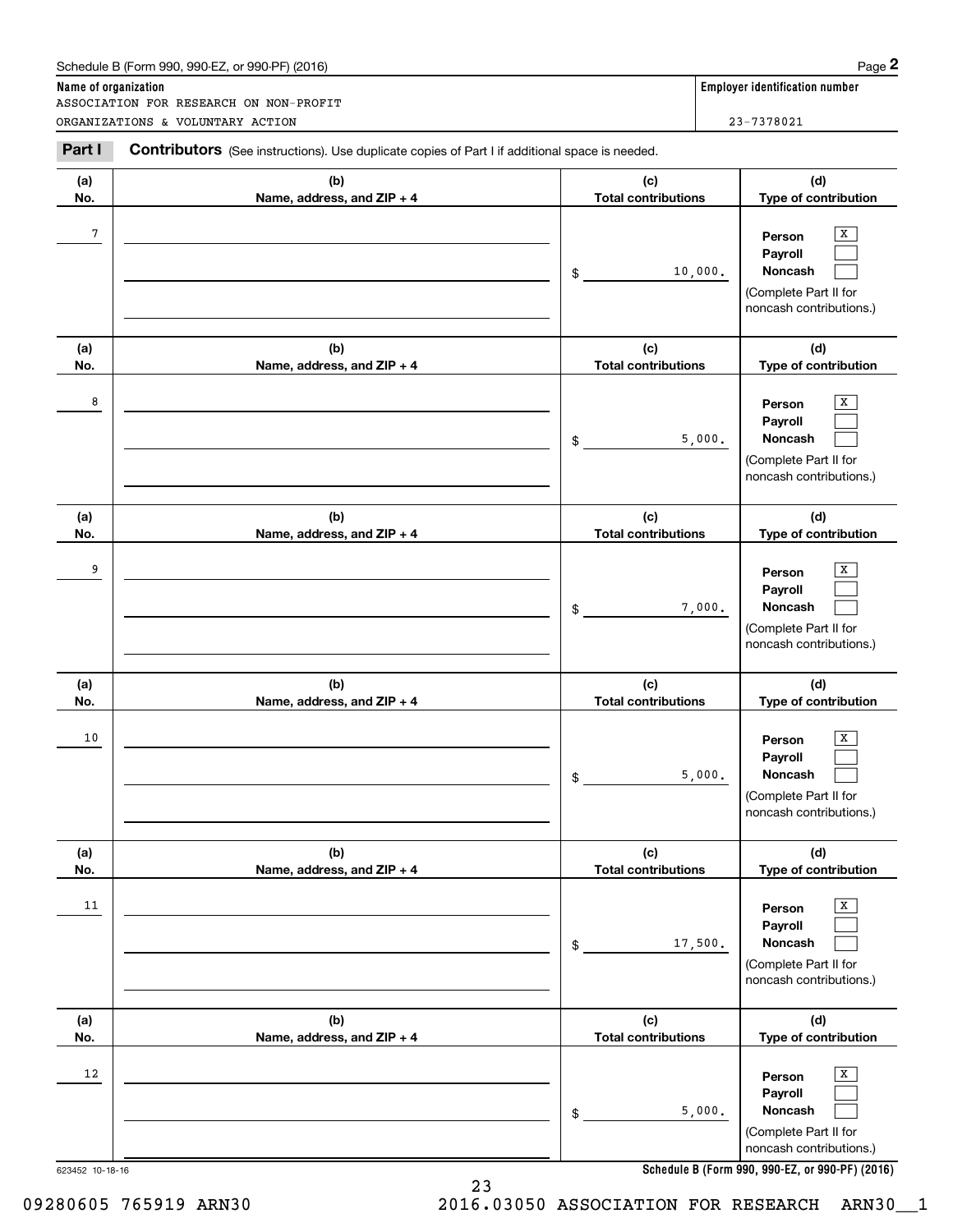# Schedule B (Form 990, 990-EZ, or 990-PF) (2016) **Page 2** Page 2

|                      | Schedule B (Form 990, 990-EZ, or 990-PF) (2016)                                                       |                                   |         | Page 2                                                                                |
|----------------------|-------------------------------------------------------------------------------------------------------|-----------------------------------|---------|---------------------------------------------------------------------------------------|
| Name of organization | ASSOCIATION FOR RESEARCH ON NON-PROFIT                                                                |                                   |         | <b>Employer identification number</b>                                                 |
|                      | ORGANIZATIONS & VOLUNTARY ACTION                                                                      |                                   |         | 23-7378021                                                                            |
| Part I               | <b>Contributors</b> (See instructions). Use duplicate copies of Part I if additional space is needed. |                                   |         |                                                                                       |
| (a)<br>No.           | (b)<br>Name, address, and ZIP + 4                                                                     | (c)<br><b>Total contributions</b> |         | (d)<br>Type of contribution                                                           |
| $\sqrt{7}$           |                                                                                                       | \$                                | 10,000. | X<br>Person<br>Payroll<br>Noncash<br>(Complete Part II for<br>noncash contributions.) |
| (a)<br>No.           | (b)<br>Name, address, and ZIP + 4                                                                     | (c)<br><b>Total contributions</b> |         | (d)<br>Type of contribution                                                           |
| 8                    |                                                                                                       | \$                                | 5,000.  | X<br>Person<br>Payroll<br>Noncash<br>(Complete Part II for<br>noncash contributions.) |
| (a)<br>No.           | (b)<br>Name, address, and ZIP + 4                                                                     | (c)<br><b>Total contributions</b> |         | (d)<br>Type of contribution                                                           |
| 9                    |                                                                                                       | \$                                | 7,000.  | x<br>Person<br>Payroll<br>Noncash<br>(Complete Part II for<br>noncash contributions.) |
| (a)<br>No.           | (b)<br>Name, address, and ZIP + 4                                                                     | (c)<br><b>Total contributions</b> |         | (d)<br>Type of contribution                                                           |
| 10                   |                                                                                                       | \$                                | 5,000.  | х<br>Person<br>Payroll<br>Noncash<br>(Complete Part II for<br>noncash contributions.) |
| (a)<br>No.           | (b)<br>Name, address, and ZIP + 4                                                                     | (c)<br><b>Total contributions</b> |         | (d)<br>Type of contribution                                                           |
| 11                   |                                                                                                       | \$                                | 17,500. | Х<br>Person<br>Payroll<br>Noncash<br>(Complete Part II for<br>noncash contributions.) |
| (a)<br>No.           | (b)<br>Name, address, and ZIP + 4                                                                     | (c)<br><b>Total contributions</b> |         | (d)<br>Type of contribution                                                           |
| 12                   |                                                                                                       | \$                                | 5,000.  | Х<br>Person<br>Payroll<br>Noncash<br>(Complete Part II for<br>noncash contributions.) |

**Schedule B (Form 990, 990-EZ, or 990-PF) (2016)**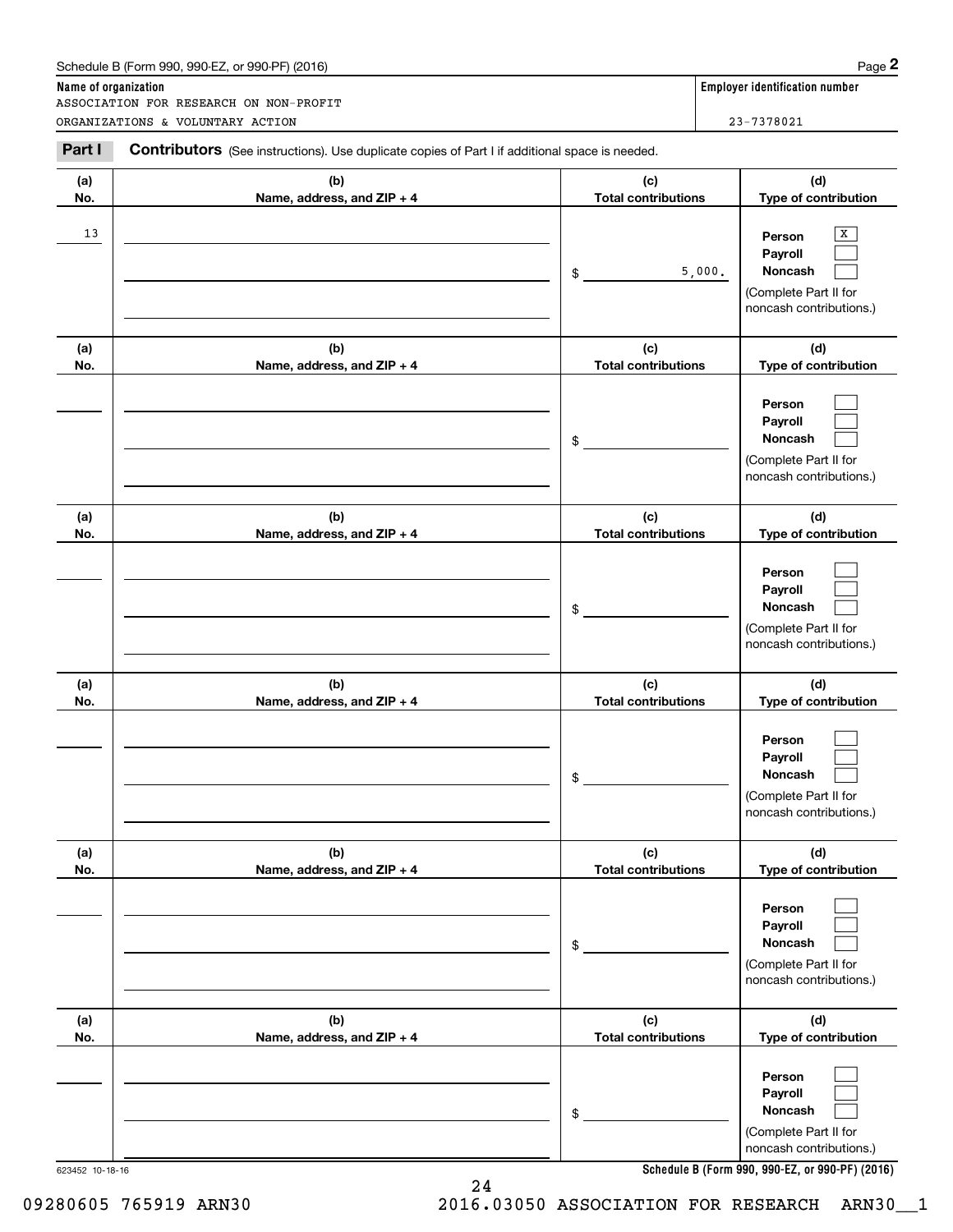# Schedule B (Form 990, 990-EZ, or 990-PF) (2016) **Page 2** Page 2

|                      | Schedule B (Form 990, 990-EZ, or 990-PF) (2016)                                                                                           |                                   | Page 2                                                                                |
|----------------------|-------------------------------------------------------------------------------------------------------------------------------------------|-----------------------------------|---------------------------------------------------------------------------------------|
| Name of organization | ASSOCIATION FOR RESEARCH ON NON-PROFIT                                                                                                    |                                   | <b>Employer identification number</b>                                                 |
| Part I               | ORGANIZATIONS & VOLUNTARY ACTION<br><b>Contributors</b> (See instructions). Use duplicate copies of Part I if additional space is needed. |                                   | 23-7378021                                                                            |
| (a)<br>No.           | (b)<br>Name, address, and ZIP + 4                                                                                                         | (c)<br><b>Total contributions</b> | (d)<br>Type of contribution                                                           |
| 13                   |                                                                                                                                           | 5,000.<br>\$                      | X<br>Person<br>Payroll<br>Noncash<br>(Complete Part II for<br>noncash contributions.) |
| (a)<br>No.           | (b)<br>Name, address, and ZIP + 4                                                                                                         | (c)<br><b>Total contributions</b> | (d)<br>Type of contribution                                                           |
|                      |                                                                                                                                           | \$                                | Person<br>Payroll<br>Noncash<br>(Complete Part II for<br>noncash contributions.)      |
| (a)<br>No.           | (b)<br>Name, address, and ZIP + 4                                                                                                         | (c)<br><b>Total contributions</b> | (d)<br>Type of contribution                                                           |
|                      |                                                                                                                                           | \$                                | Person<br>Payroll<br>Noncash<br>(Complete Part II for<br>noncash contributions.)      |
| (a)<br>No.           | (b)<br>Name, address, and ZIP + 4                                                                                                         | (c)<br><b>Total contributions</b> | (d)<br>Type of contribution                                                           |
|                      |                                                                                                                                           | \$                                | Person<br>Payroll<br>Noncash<br>(Complete Part II for<br>noncash contributions.)      |
| (a)<br>No.           | (b)<br>Name, address, and ZIP + 4                                                                                                         | (c)<br><b>Total contributions</b> | (d)<br>Type of contribution                                                           |
|                      |                                                                                                                                           | \$                                | Person<br>Payroll<br>Noncash<br>(Complete Part II for<br>noncash contributions.)      |
| (a)<br>No.           | (b)<br>Name, address, and ZIP + 4                                                                                                         | (c)<br><b>Total contributions</b> | (d)<br>Type of contribution                                                           |
|                      |                                                                                                                                           | \$                                | Person<br>Payroll<br>Noncash<br>(Complete Part II for<br>noncash contributions.)      |

**Schedule B (Form 990, 990-EZ, or 990-PF) (2016)**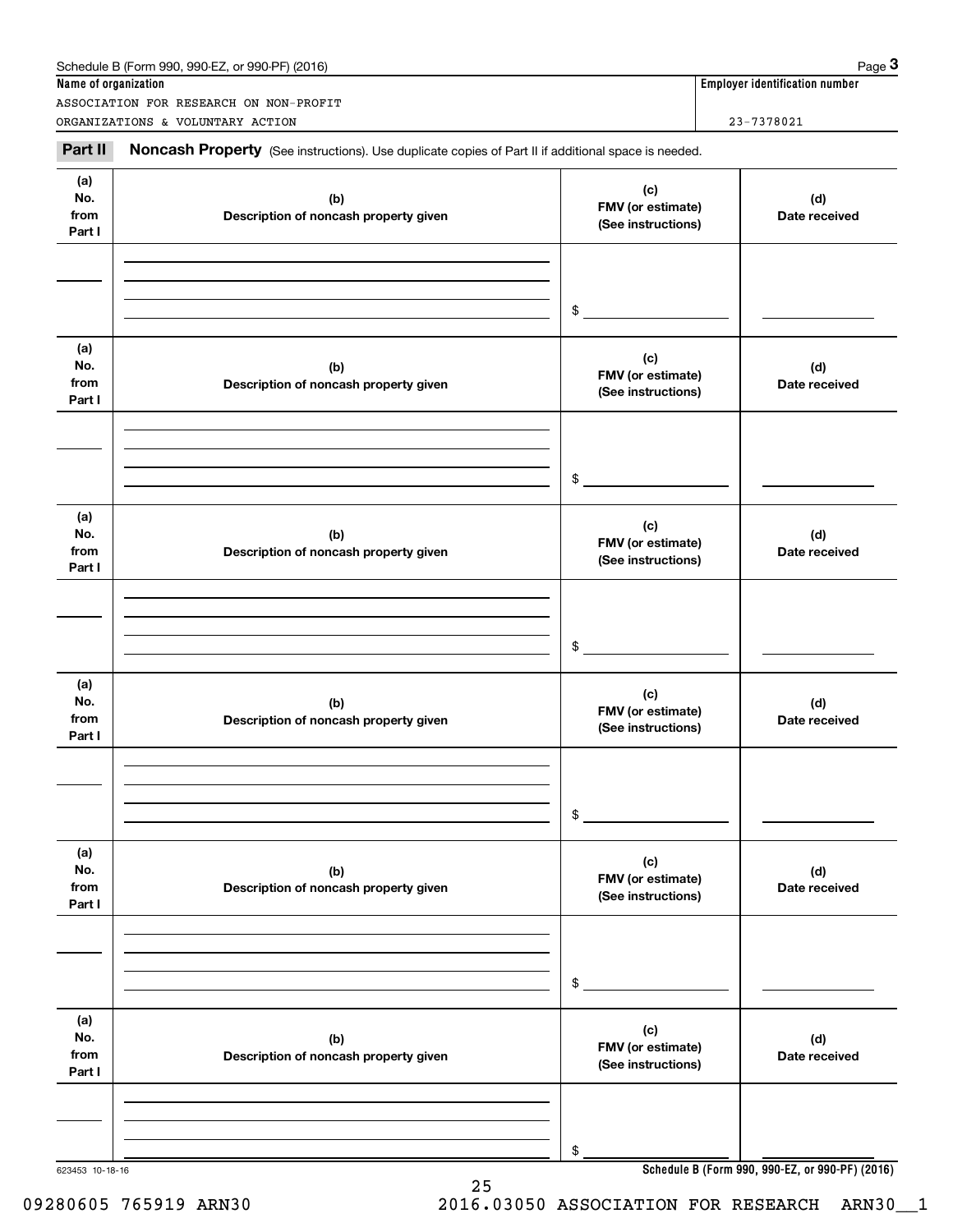| Name of organization         | Schedule B (Form 990, 990-EZ, or 990-PF) (2016)                                                     |                                                | Page 3<br><b>Employer identification number</b> |
|------------------------------|-----------------------------------------------------------------------------------------------------|------------------------------------------------|-------------------------------------------------|
|                              | ASSOCIATION FOR RESEARCH ON NON-PROFIT                                                              |                                                |                                                 |
|                              | ORGANIZATIONS & VOLUNTARY ACTION                                                                    |                                                | 23-7378021                                      |
| Part II                      | Noncash Property (See instructions). Use duplicate copies of Part II if additional space is needed. |                                                |                                                 |
| (a)<br>No.<br>from<br>Part I | (b)<br>Description of noncash property given                                                        | (c)<br>FMV (or estimate)<br>(See instructions) | (d)<br>Date received                            |
|                              |                                                                                                     | \$                                             |                                                 |
| (a)<br>No.<br>from<br>Part I | (b)<br>Description of noncash property given                                                        | (c)<br>FMV (or estimate)<br>(See instructions) | (d)<br>Date received                            |
|                              |                                                                                                     | \$                                             |                                                 |
| (a)<br>No.<br>from<br>Part I | (b)<br>Description of noncash property given                                                        | (c)<br>FMV (or estimate)<br>(See instructions) | (d)<br>Date received                            |
|                              |                                                                                                     | \$                                             |                                                 |
| (a)<br>No.<br>from<br>Part I | (b)<br>Description of noncash property given                                                        | (c)<br>FMV (or estimate)<br>(See instructions) | (d)<br>Date received                            |
|                              |                                                                                                     | \$                                             |                                                 |
| (a)<br>No.<br>from<br>Part I | (b)<br>Description of noncash property given                                                        | (c)<br>FMV (or estimate)<br>(See instructions) | (d)<br>Date received                            |
|                              |                                                                                                     | \$                                             |                                                 |
| (a)<br>No.<br>from<br>Part I | (b)<br>Description of noncash property given                                                        | (c)<br>FMV (or estimate)<br>(See instructions) | (d)<br>Date received                            |
|                              |                                                                                                     | \$                                             |                                                 |
|                              |                                                                                                     |                                                | Cahadule D (Ferm 000, 000 F7, et 000 DE) (0040) |

25

623453 10-18-16

**Schedule B (Form 990, 990-EZ, or 990-PF) (2016)**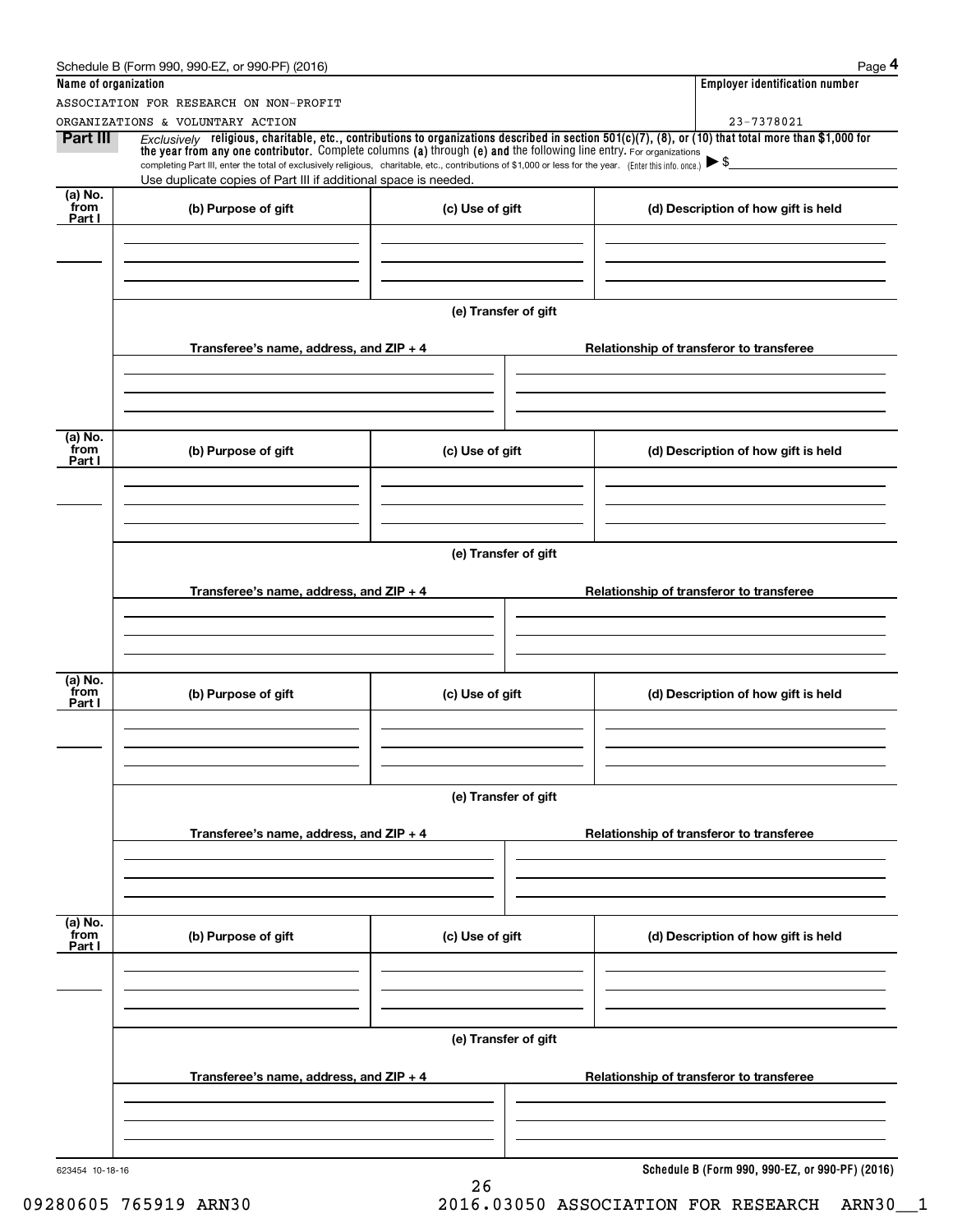|                             | Schedule B (Form 990, 990-EZ, or 990-PF) (2016)                                                                                                                                                                                                                                                                                                                                                                                                                      |                      | Page 4                                          |
|-----------------------------|----------------------------------------------------------------------------------------------------------------------------------------------------------------------------------------------------------------------------------------------------------------------------------------------------------------------------------------------------------------------------------------------------------------------------------------------------------------------|----------------------|-------------------------------------------------|
| Name of organization        |                                                                                                                                                                                                                                                                                                                                                                                                                                                                      |                      | <b>Employer identification number</b>           |
|                             | ASSOCIATION FOR RESEARCH ON NON-PROFIT                                                                                                                                                                                                                                                                                                                                                                                                                               |                      |                                                 |
|                             | ORGANIZATIONS & VOLUNTARY ACTION                                                                                                                                                                                                                                                                                                                                                                                                                                     |                      | 23-7378021                                      |
| Part III                    | Exclusively religious, charitable, etc., contributions to organizations described in section $501(c)(7)$ , (8), or (10) that total more than \$1,000 for<br>the year from any one contributor. Complete columns (a) through (e) and the following line entry. For organizations<br>completing Part III, enter the total of exclusively religious, charitable, etc., contributions of \$1,000 or less for the year. (Enter this info. once.) $\blacktriangleright$ \$ |                      |                                                 |
|                             | Use duplicate copies of Part III if additional space is needed.                                                                                                                                                                                                                                                                                                                                                                                                      |                      |                                                 |
| $(a)$ No.<br>from<br>Part I | (b) Purpose of gift                                                                                                                                                                                                                                                                                                                                                                                                                                                  | (c) Use of gift      | (d) Description of how gift is held             |
|                             |                                                                                                                                                                                                                                                                                                                                                                                                                                                                      |                      |                                                 |
|                             |                                                                                                                                                                                                                                                                                                                                                                                                                                                                      | (e) Transfer of gift |                                                 |
|                             | Transferee's name, address, and ZIP + 4                                                                                                                                                                                                                                                                                                                                                                                                                              |                      | Relationship of transferor to transferee        |
|                             |                                                                                                                                                                                                                                                                                                                                                                                                                                                                      |                      |                                                 |
| (a) No.<br>from<br>Part I   | (b) Purpose of gift                                                                                                                                                                                                                                                                                                                                                                                                                                                  | (c) Use of gift      | (d) Description of how gift is held             |
|                             |                                                                                                                                                                                                                                                                                                                                                                                                                                                                      |                      |                                                 |
|                             |                                                                                                                                                                                                                                                                                                                                                                                                                                                                      |                      |                                                 |
|                             |                                                                                                                                                                                                                                                                                                                                                                                                                                                                      | (e) Transfer of gift |                                                 |
|                             | Transferee's name, address, and ZIP + 4                                                                                                                                                                                                                                                                                                                                                                                                                              |                      | Relationship of transferor to transferee        |
|                             |                                                                                                                                                                                                                                                                                                                                                                                                                                                                      |                      |                                                 |
| (a) No.<br>from<br>Part I   | (b) Purpose of gift                                                                                                                                                                                                                                                                                                                                                                                                                                                  | (c) Use of gift      | (d) Description of how gift is held             |
|                             |                                                                                                                                                                                                                                                                                                                                                                                                                                                                      |                      |                                                 |
|                             |                                                                                                                                                                                                                                                                                                                                                                                                                                                                      | (e) Transfer of gift |                                                 |
|                             | Transferee's name, address, and $ZIP + 4$                                                                                                                                                                                                                                                                                                                                                                                                                            |                      | Relationship of transferor to transferee        |
|                             |                                                                                                                                                                                                                                                                                                                                                                                                                                                                      |                      |                                                 |
|                             |                                                                                                                                                                                                                                                                                                                                                                                                                                                                      |                      |                                                 |
| (a) No.<br>from<br>Part I   | (b) Purpose of gift                                                                                                                                                                                                                                                                                                                                                                                                                                                  | (c) Use of gift      | (d) Description of how gift is held             |
|                             |                                                                                                                                                                                                                                                                                                                                                                                                                                                                      |                      |                                                 |
|                             |                                                                                                                                                                                                                                                                                                                                                                                                                                                                      | (e) Transfer of gift |                                                 |
|                             | Transferee's name, address, and $ZIP + 4$                                                                                                                                                                                                                                                                                                                                                                                                                            |                      | Relationship of transferor to transferee        |
|                             |                                                                                                                                                                                                                                                                                                                                                                                                                                                                      |                      |                                                 |
| 623454 10-18-16             |                                                                                                                                                                                                                                                                                                                                                                                                                                                                      |                      | Schedule B (Form 990, 990-EZ, or 990-PF) (2016) |
|                             |                                                                                                                                                                                                                                                                                                                                                                                                                                                                      | 26                   |                                                 |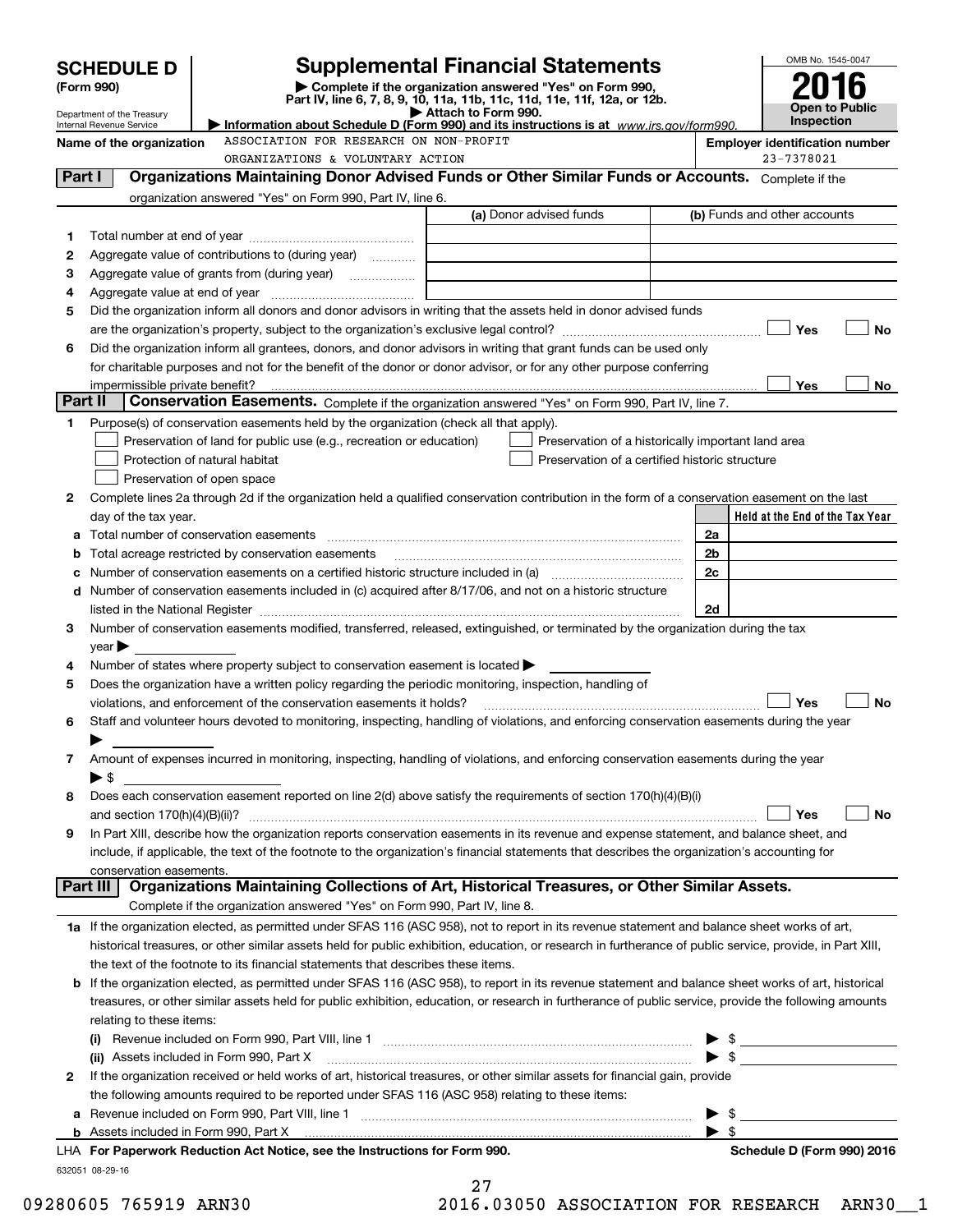|         | <b>SCHEDULE D</b>                                                                                                    |                                                                                                                                                                               | <b>Supplemental Financial Statements</b>                                                        |  |                              | OMB No. 1545-0047                                                                                                                                                                                                                                                                                                   |                |     |
|---------|----------------------------------------------------------------------------------------------------------------------|-------------------------------------------------------------------------------------------------------------------------------------------------------------------------------|-------------------------------------------------------------------------------------------------|--|------------------------------|---------------------------------------------------------------------------------------------------------------------------------------------------------------------------------------------------------------------------------------------------------------------------------------------------------------------|----------------|-----|
|         | Complete if the organization answered "Yes" on Form 990,<br>(Form 990)                                               |                                                                                                                                                                               |                                                                                                 |  |                              |                                                                                                                                                                                                                                                                                                                     |                |     |
|         | Department of the Treasury                                                                                           |                                                                                                                                                                               | Part IV, line 6, 7, 8, 9, 10, 11a, 11b, 11c, 11d, 11e, 11f, 12a, or 12b.<br>Attach to Form 990. |  |                              |                                                                                                                                                                                                                                                                                                                     | Open to Public |     |
|         | Internal Revenue Service                                                                                             |                                                                                                                                                                               | Information about Schedule D (Form 990) and its instructions is at www.irs.gov/form990.         |  |                              | <b>Inspection</b>                                                                                                                                                                                                                                                                                                   |                |     |
|         | Name of the organization                                                                                             | ASSOCIATION FOR RESEARCH ON NON-PROFIT                                                                                                                                        |                                                                                                 |  |                              | <b>Employer identification number</b>                                                                                                                                                                                                                                                                               |                |     |
|         |                                                                                                                      | ORGANIZATIONS & VOLUNTARY ACTION                                                                                                                                              |                                                                                                 |  |                              | 23-7378021                                                                                                                                                                                                                                                                                                          |                |     |
| Part I  |                                                                                                                      | Organizations Maintaining Donor Advised Funds or Other Similar Funds or Accounts. Complete if the                                                                             |                                                                                                 |  |                              |                                                                                                                                                                                                                                                                                                                     |                |     |
|         |                                                                                                                      | organization answered "Yes" on Form 990, Part IV, line 6.                                                                                                                     |                                                                                                 |  |                              |                                                                                                                                                                                                                                                                                                                     |                |     |
|         |                                                                                                                      |                                                                                                                                                                               | (a) Donor advised funds                                                                         |  | (b) Funds and other accounts |                                                                                                                                                                                                                                                                                                                     |                |     |
| 1       |                                                                                                                      |                                                                                                                                                                               |                                                                                                 |  |                              |                                                                                                                                                                                                                                                                                                                     |                |     |
| 2       |                                                                                                                      | Aggregate value of contributions to (during year)                                                                                                                             |                                                                                                 |  |                              |                                                                                                                                                                                                                                                                                                                     |                |     |
| з       |                                                                                                                      |                                                                                                                                                                               |                                                                                                 |  |                              |                                                                                                                                                                                                                                                                                                                     |                |     |
| 4       |                                                                                                                      |                                                                                                                                                                               |                                                                                                 |  |                              |                                                                                                                                                                                                                                                                                                                     |                |     |
| 5       |                                                                                                                      | Did the organization inform all donors and donor advisors in writing that the assets held in donor advised funds                                                              |                                                                                                 |  |                              |                                                                                                                                                                                                                                                                                                                     |                |     |
|         |                                                                                                                      |                                                                                                                                                                               |                                                                                                 |  |                              | Yes                                                                                                                                                                                                                                                                                                                 |                | No  |
| 6       |                                                                                                                      | Did the organization inform all grantees, donors, and donor advisors in writing that grant funds can be used only                                                             |                                                                                                 |  |                              |                                                                                                                                                                                                                                                                                                                     |                |     |
|         |                                                                                                                      | for charitable purposes and not for the benefit of the donor or donor advisor, or for any other purpose conferring                                                            |                                                                                                 |  |                              |                                                                                                                                                                                                                                                                                                                     |                |     |
| Part II | impermissible private benefit?                                                                                       |                                                                                                                                                                               |                                                                                                 |  |                              | Yes                                                                                                                                                                                                                                                                                                                 |                | No. |
|         |                                                                                                                      | Conservation Easements. Complete if the organization answered "Yes" on Form 990, Part IV, line 7.                                                                             |                                                                                                 |  |                              |                                                                                                                                                                                                                                                                                                                     |                |     |
| 1       |                                                                                                                      | Purpose(s) of conservation easements held by the organization (check all that apply).                                                                                         |                                                                                                 |  |                              |                                                                                                                                                                                                                                                                                                                     |                |     |
|         |                                                                                                                      | Preservation of land for public use (e.g., recreation or education)                                                                                                           | Preservation of a historically important land area                                              |  |                              |                                                                                                                                                                                                                                                                                                                     |                |     |
|         |                                                                                                                      | Protection of natural habitat                                                                                                                                                 | Preservation of a certified historic structure                                                  |  |                              |                                                                                                                                                                                                                                                                                                                     |                |     |
|         |                                                                                                                      | Preservation of open space                                                                                                                                                    |                                                                                                 |  |                              |                                                                                                                                                                                                                                                                                                                     |                |     |
| 2       |                                                                                                                      | Complete lines 2a through 2d if the organization held a qualified conservation contribution in the form of a conservation easement on the last                                |                                                                                                 |  |                              |                                                                                                                                                                                                                                                                                                                     |                |     |
|         | day of the tax year.                                                                                                 |                                                                                                                                                                               |                                                                                                 |  |                              | Held at the End of the Tax Year                                                                                                                                                                                                                                                                                     |                |     |
|         |                                                                                                                      |                                                                                                                                                                               |                                                                                                 |  | 2a                           |                                                                                                                                                                                                                                                                                                                     |                |     |
|         |                                                                                                                      | Total acreage restricted by conservation easements                                                                                                                            |                                                                                                 |  | 2 <sub>b</sub>               |                                                                                                                                                                                                                                                                                                                     |                |     |
|         | 2c<br>Number of conservation easements on a certified historic structure included in (a) manufacture included in (a) |                                                                                                                                                                               |                                                                                                 |  |                              |                                                                                                                                                                                                                                                                                                                     |                |     |
| d       |                                                                                                                      | Number of conservation easements included in (c) acquired after 8/17/06, and not on a historic structure                                                                      |                                                                                                 |  |                              |                                                                                                                                                                                                                                                                                                                     |                |     |
|         |                                                                                                                      |                                                                                                                                                                               |                                                                                                 |  | 2d                           |                                                                                                                                                                                                                                                                                                                     |                |     |
| 3       |                                                                                                                      | Number of conservation easements modified, transferred, released, extinguished, or terminated by the organization during the tax                                              |                                                                                                 |  |                              |                                                                                                                                                                                                                                                                                                                     |                |     |
|         | $\vee$ ear                                                                                                           |                                                                                                                                                                               |                                                                                                 |  |                              |                                                                                                                                                                                                                                                                                                                     |                |     |
| 4       |                                                                                                                      | Number of states where property subject to conservation easement is located >                                                                                                 |                                                                                                 |  |                              |                                                                                                                                                                                                                                                                                                                     |                |     |
| 5       |                                                                                                                      | Does the organization have a written policy regarding the periodic monitoring, inspection, handling of<br>violations, and enforcement of the conservation easements it holds? |                                                                                                 |  |                              | Yes                                                                                                                                                                                                                                                                                                                 |                | No  |
| 6       |                                                                                                                      | Staff and volunteer hours devoted to monitoring, inspecting, handling of violations, and enforcing conservation easements during the year                                     |                                                                                                 |  |                              |                                                                                                                                                                                                                                                                                                                     |                |     |
|         |                                                                                                                      |                                                                                                                                                                               |                                                                                                 |  |                              |                                                                                                                                                                                                                                                                                                                     |                |     |
|         |                                                                                                                      | Amount of expenses incurred in monitoring, inspecting, handling of violations, and enforcing conservation easements during the year                                           |                                                                                                 |  |                              |                                                                                                                                                                                                                                                                                                                     |                |     |
| 7       |                                                                                                                      |                                                                                                                                                                               |                                                                                                 |  |                              |                                                                                                                                                                                                                                                                                                                     |                |     |
| 8       | $\blacktriangleright$ \$                                                                                             | Does each conservation easement reported on line 2(d) above satisfy the requirements of section 170(h)(4)(B)(i)                                                               |                                                                                                 |  |                              |                                                                                                                                                                                                                                                                                                                     |                |     |
|         |                                                                                                                      |                                                                                                                                                                               |                                                                                                 |  |                              | Yes                                                                                                                                                                                                                                                                                                                 |                | No  |
| 9       |                                                                                                                      | In Part XIII, describe how the organization reports conservation easements in its revenue and expense statement, and balance sheet, and                                       |                                                                                                 |  |                              |                                                                                                                                                                                                                                                                                                                     |                |     |
|         |                                                                                                                      | include, if applicable, the text of the footnote to the organization's financial statements that describes the organization's accounting for                                  |                                                                                                 |  |                              |                                                                                                                                                                                                                                                                                                                     |                |     |
|         | conservation easements.                                                                                              |                                                                                                                                                                               |                                                                                                 |  |                              |                                                                                                                                                                                                                                                                                                                     |                |     |
|         | Part III                                                                                                             | Organizations Maintaining Collections of Art, Historical Treasures, or Other Similar Assets.                                                                                  |                                                                                                 |  |                              |                                                                                                                                                                                                                                                                                                                     |                |     |
|         |                                                                                                                      | Complete if the organization answered "Yes" on Form 990, Part IV, line 8.                                                                                                     |                                                                                                 |  |                              |                                                                                                                                                                                                                                                                                                                     |                |     |
|         |                                                                                                                      | 1a If the organization elected, as permitted under SFAS 116 (ASC 958), not to report in its revenue statement and balance sheet works of art,                                 |                                                                                                 |  |                              |                                                                                                                                                                                                                                                                                                                     |                |     |
|         |                                                                                                                      | historical treasures, or other similar assets held for public exhibition, education, or research in furtherance of public service, provide, in Part XIII,                     |                                                                                                 |  |                              |                                                                                                                                                                                                                                                                                                                     |                |     |
|         |                                                                                                                      | the text of the footnote to its financial statements that describes these items.                                                                                              |                                                                                                 |  |                              |                                                                                                                                                                                                                                                                                                                     |                |     |
|         |                                                                                                                      | <b>b</b> If the organization elected, as permitted under SFAS 116 (ASC 958), to report in its revenue statement and balance sheet works of art, historical                    |                                                                                                 |  |                              |                                                                                                                                                                                                                                                                                                                     |                |     |
|         |                                                                                                                      | treasures, or other similar assets held for public exhibition, education, or research in furtherance of public service, provide the following amounts                         |                                                                                                 |  |                              |                                                                                                                                                                                                                                                                                                                     |                |     |
|         | relating to these items:                                                                                             |                                                                                                                                                                               |                                                                                                 |  |                              |                                                                                                                                                                                                                                                                                                                     |                |     |
|         |                                                                                                                      |                                                                                                                                                                               |                                                                                                 |  |                              | $\frac{1}{2}$ $\frac{1}{2}$ $\frac{1}{2}$ $\frac{1}{2}$ $\frac{1}{2}$ $\frac{1}{2}$ $\frac{1}{2}$ $\frac{1}{2}$ $\frac{1}{2}$ $\frac{1}{2}$ $\frac{1}{2}$ $\frac{1}{2}$ $\frac{1}{2}$ $\frac{1}{2}$ $\frac{1}{2}$ $\frac{1}{2}$ $\frac{1}{2}$ $\frac{1}{2}$ $\frac{1}{2}$ $\frac{1}{2}$ $\frac{1}{2}$ $\frac{1}{2}$ |                |     |
|         |                                                                                                                      | (ii) Assets included in Form 990, Part X                                                                                                                                      |                                                                                                 |  |                              | $\triangleright$ \$                                                                                                                                                                                                                                                                                                 |                |     |
| 2       |                                                                                                                      | If the organization received or held works of art, historical treasures, or other similar assets for financial gain, provide                                                  |                                                                                                 |  |                              |                                                                                                                                                                                                                                                                                                                     |                |     |
|         |                                                                                                                      | the following amounts required to be reported under SFAS 116 (ASC 958) relating to these items:                                                                               |                                                                                                 |  |                              |                                                                                                                                                                                                                                                                                                                     |                |     |
| а       |                                                                                                                      |                                                                                                                                                                               |                                                                                                 |  |                              |                                                                                                                                                                                                                                                                                                                     |                |     |
|         |                                                                                                                      |                                                                                                                                                                               |                                                                                                 |  | - \$                         |                                                                                                                                                                                                                                                                                                                     |                |     |
|         |                                                                                                                      | LHA For Paperwork Reduction Act Notice, see the Instructions for Form 990.                                                                                                    |                                                                                                 |  |                              | Schedule D (Form 990) 2016                                                                                                                                                                                                                                                                                          |                |     |
|         | 632051 08-29-16                                                                                                      |                                                                                                                                                                               |                                                                                                 |  |                              |                                                                                                                                                                                                                                                                                                                     |                |     |
|         |                                                                                                                      |                                                                                                                                                                               | 27                                                                                              |  |                              |                                                                                                                                                                                                                                                                                                                     |                |     |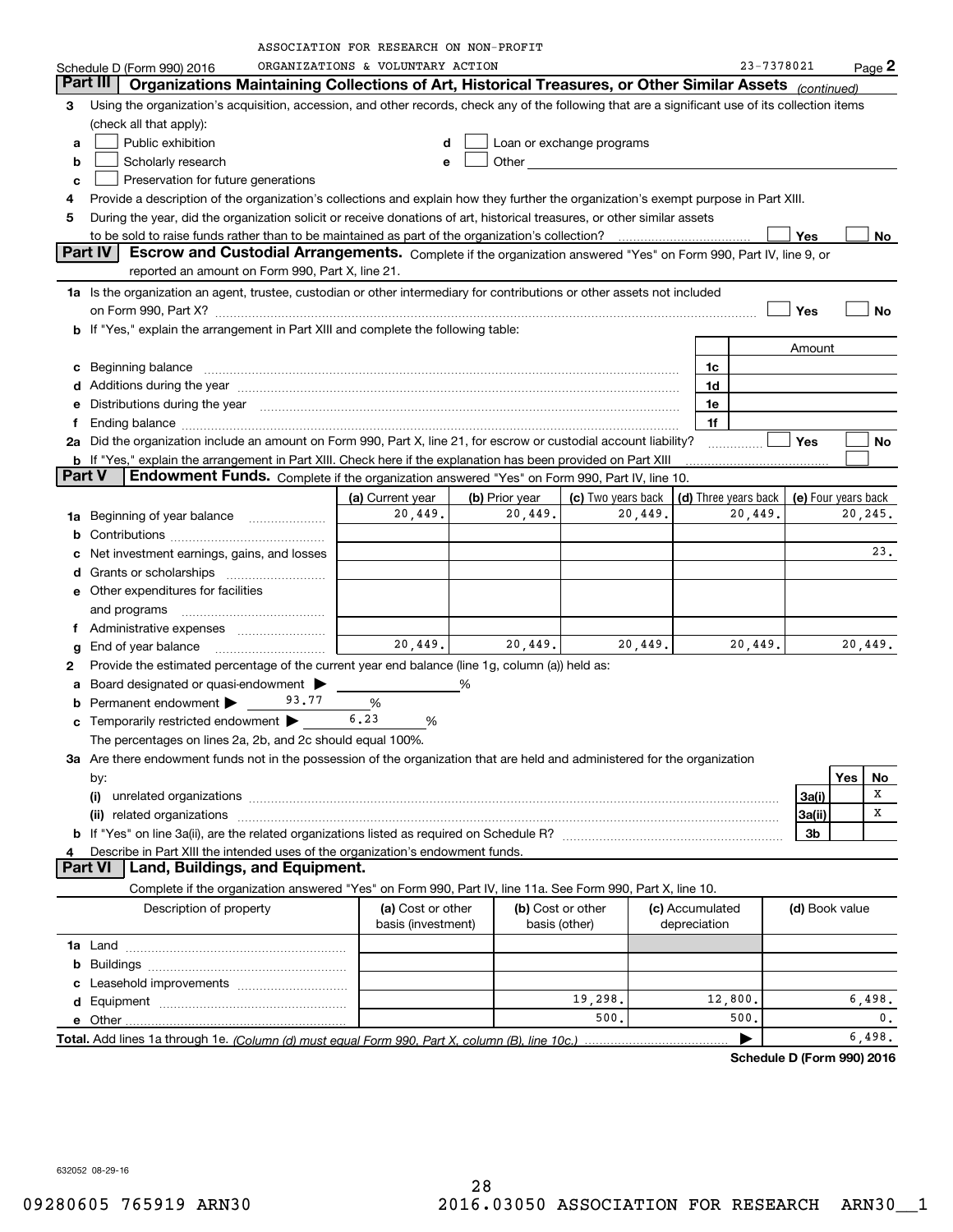|               |                                                                                                                                                                                                                                | ASSOCIATION FOR RESEARCH ON NON-PROFIT |                                                                                                                                                                                                                                      |                           |         |                      |            |                     |     |               |
|---------------|--------------------------------------------------------------------------------------------------------------------------------------------------------------------------------------------------------------------------------|----------------------------------------|--------------------------------------------------------------------------------------------------------------------------------------------------------------------------------------------------------------------------------------|---------------------------|---------|----------------------|------------|---------------------|-----|---------------|
|               | Schedule D (Form 990) 2016                                                                                                                                                                                                     | ORGANIZATIONS & VOLUNTARY ACTION       |                                                                                                                                                                                                                                      |                           |         |                      | 23-7378021 |                     |     | $Page$ 2      |
|               | Part III<br>Organizations Maintaining Collections of Art, Historical Treasures, or Other Similar Assets (continued)                                                                                                            |                                        |                                                                                                                                                                                                                                      |                           |         |                      |            |                     |     |               |
| 3             | Using the organization's acquisition, accession, and other records, check any of the following that are a significant use of its collection items                                                                              |                                        |                                                                                                                                                                                                                                      |                           |         |                      |            |                     |     |               |
|               | (check all that apply):                                                                                                                                                                                                        |                                        |                                                                                                                                                                                                                                      |                           |         |                      |            |                     |     |               |
| a             | Public exhibition                                                                                                                                                                                                              | d                                      |                                                                                                                                                                                                                                      | Loan or exchange programs |         |                      |            |                     |     |               |
| b             | Scholarly research                                                                                                                                                                                                             | e                                      | Other <b>contract of the contract of the contract of the contract of the contract of the contract of the contract of the contract of the contract of the contract of the contract of the contract of the contract of the contrac</b> |                           |         |                      |            |                     |     |               |
| c             | Preservation for future generations                                                                                                                                                                                            |                                        |                                                                                                                                                                                                                                      |                           |         |                      |            |                     |     |               |
| 4             | Provide a description of the organization's collections and explain how they further the organization's exempt purpose in Part XIII.                                                                                           |                                        |                                                                                                                                                                                                                                      |                           |         |                      |            |                     |     |               |
| 5             | During the year, did the organization solicit or receive donations of art, historical treasures, or other similar assets                                                                                                       |                                        |                                                                                                                                                                                                                                      |                           |         |                      |            |                     |     |               |
|               | to be sold to raise funds rather than to be maintained as part of the organization's collection?                                                                                                                               |                                        |                                                                                                                                                                                                                                      |                           |         |                      |            | Yes                 |     | No.           |
|               | Part IV<br>Escrow and Custodial Arrangements. Complete if the organization answered "Yes" on Form 990, Part IV, line 9, or                                                                                                     |                                        |                                                                                                                                                                                                                                      |                           |         |                      |            |                     |     |               |
|               | reported an amount on Form 990, Part X, line 21.                                                                                                                                                                               |                                        |                                                                                                                                                                                                                                      |                           |         |                      |            |                     |     |               |
|               | 1a Is the organization an agent, trustee, custodian or other intermediary for contributions or other assets not included                                                                                                       |                                        |                                                                                                                                                                                                                                      |                           |         |                      |            |                     |     |               |
|               | on Form 990, Part X? [11] matter and the contract of the contract of the contract of the contract of the contract of the contract of the contract of the contract of the contract of the contract of the contract of the contr |                                        |                                                                                                                                                                                                                                      |                           |         |                      |            | Yes                 |     | No            |
|               | <b>b</b> If "Yes," explain the arrangement in Part XIII and complete the following table:                                                                                                                                      |                                        |                                                                                                                                                                                                                                      |                           |         |                      |            |                     |     |               |
|               |                                                                                                                                                                                                                                |                                        |                                                                                                                                                                                                                                      |                           |         |                      |            | Amount              |     |               |
| с             | Beginning balance                                                                                                                                                                                                              |                                        |                                                                                                                                                                                                                                      |                           |         | 1c                   |            |                     |     |               |
| d             | Additions during the year manufactured and an annual contract of the year manufactured and all the year manufactured and all the year manufactured and all the year manufactured and all the year manufactured and all the yea |                                        |                                                                                                                                                                                                                                      |                           |         | 1d                   |            |                     |     |               |
| е             | Distributions during the year manufactured and continuum control of the year manufactured and control of the year manufactured and control of the year manufactured and control of the year manufactured and control of the ye |                                        |                                                                                                                                                                                                                                      |                           |         | 1e                   |            |                     |     |               |
| f             |                                                                                                                                                                                                                                |                                        |                                                                                                                                                                                                                                      |                           |         | 1f                   |            |                     |     |               |
| 2a            | Did the organization include an amount on Form 990, Part X, line 21, for escrow or custodial account liability?                                                                                                                |                                        |                                                                                                                                                                                                                                      |                           |         |                      |            | Yes                 |     | No            |
|               | <b>b</b> If "Yes," explain the arrangement in Part XIII. Check here if the explanation has been provided on Part XIII                                                                                                          |                                        |                                                                                                                                                                                                                                      |                           |         |                      |            |                     |     |               |
| <b>Part V</b> | Endowment Funds. Complete if the organization answered "Yes" on Form 990, Part IV, line 10.                                                                                                                                    |                                        |                                                                                                                                                                                                                                      |                           |         |                      |            |                     |     |               |
|               |                                                                                                                                                                                                                                | (a) Current year                       | (b) Prior year                                                                                                                                                                                                                       | (c) Two years back        |         | (d) Three years back |            | (e) Four years back |     |               |
| 1a            | Beginning of year balance                                                                                                                                                                                                      | 20,449.                                | 20,449.                                                                                                                                                                                                                              |                           | 20,449. |                      | 20,449.    |                     |     | 20, 245.      |
| b             |                                                                                                                                                                                                                                |                                        |                                                                                                                                                                                                                                      |                           |         |                      |            |                     |     |               |
| с             | Net investment earnings, gains, and losses                                                                                                                                                                                     |                                        |                                                                                                                                                                                                                                      |                           |         |                      |            |                     |     | 23.           |
| d             |                                                                                                                                                                                                                                |                                        |                                                                                                                                                                                                                                      |                           |         |                      |            |                     |     |               |
|               | <b>e</b> Other expenditures for facilities                                                                                                                                                                                     |                                        |                                                                                                                                                                                                                                      |                           |         |                      |            |                     |     |               |
|               | and programs                                                                                                                                                                                                                   |                                        |                                                                                                                                                                                                                                      |                           |         |                      |            |                     |     |               |
| f             | Administrative expenses                                                                                                                                                                                                        |                                        |                                                                                                                                                                                                                                      |                           |         |                      |            |                     |     |               |
| g             | End of year balance                                                                                                                                                                                                            | 20,449.                                | 20,449.                                                                                                                                                                                                                              |                           | 20,449. |                      | 20,449.    |                     |     | 20,449.       |
| 2             | Provide the estimated percentage of the current year end balance (line 1g, column (a)) held as:                                                                                                                                |                                        |                                                                                                                                                                                                                                      |                           |         |                      |            |                     |     |               |
| a             | Board designated or quasi-endowment >                                                                                                                                                                                          |                                        | %                                                                                                                                                                                                                                    |                           |         |                      |            |                     |     |               |
| b             | 93.77<br>Permanent endowment >                                                                                                                                                                                                 | %                                      |                                                                                                                                                                                                                                      |                           |         |                      |            |                     |     |               |
| с             | Temporarily restricted endowment                                                                                                                                                                                               | 6.23<br>℅                              |                                                                                                                                                                                                                                      |                           |         |                      |            |                     |     |               |
|               | The percentages on lines 2a, 2b, and 2c should equal 100%.                                                                                                                                                                     |                                        |                                                                                                                                                                                                                                      |                           |         |                      |            |                     |     |               |
|               | 3a Are there endowment funds not in the possession of the organization that are held and administered for the organization                                                                                                     |                                        |                                                                                                                                                                                                                                      |                           |         |                      |            |                     |     |               |
|               |                                                                                                                                                                                                                                |                                        |                                                                                                                                                                                                                                      |                           |         |                      |            |                     | Yes | No            |
|               | by:                                                                                                                                                                                                                            |                                        |                                                                                                                                                                                                                                      |                           |         |                      |            |                     |     | х             |
|               |                                                                                                                                                                                                                                |                                        |                                                                                                                                                                                                                                      |                           |         |                      |            | 3a(i)               |     | х             |
|               | (ii) related organizations                                                                                                                                                                                                     |                                        |                                                                                                                                                                                                                                      |                           |         |                      |            | 3a(ii)              |     |               |
|               |                                                                                                                                                                                                                                |                                        |                                                                                                                                                                                                                                      |                           |         |                      |            | 3b                  |     |               |
| 4             | Describe in Part XIII the intended uses of the organization's endowment funds.<br>Land, Buildings, and Equipment.<br><b>Part VI</b>                                                                                            |                                        |                                                                                                                                                                                                                                      |                           |         |                      |            |                     |     |               |
|               |                                                                                                                                                                                                                                |                                        |                                                                                                                                                                                                                                      |                           |         |                      |            |                     |     |               |
|               | Complete if the organization answered "Yes" on Form 990, Part IV, line 11a. See Form 990, Part X, line 10.                                                                                                                     |                                        |                                                                                                                                                                                                                                      |                           |         |                      |            |                     |     |               |
|               | Description of property                                                                                                                                                                                                        | (a) Cost or other                      |                                                                                                                                                                                                                                      | (b) Cost or other         |         | (c) Accumulated      |            | (d) Book value      |     |               |
|               |                                                                                                                                                                                                                                | basis (investment)                     |                                                                                                                                                                                                                                      | basis (other)             |         | depreciation         |            |                     |     |               |
|               |                                                                                                                                                                                                                                |                                        |                                                                                                                                                                                                                                      |                           |         |                      |            |                     |     |               |
| b             |                                                                                                                                                                                                                                |                                        |                                                                                                                                                                                                                                      |                           |         |                      |            |                     |     |               |
|               | Leasehold improvements                                                                                                                                                                                                         |                                        |                                                                                                                                                                                                                                      |                           |         |                      |            |                     |     |               |
|               |                                                                                                                                                                                                                                |                                        |                                                                                                                                                                                                                                      | 19,298.                   |         | 12,800.              |            |                     |     | 6,498.        |
|               |                                                                                                                                                                                                                                |                                        |                                                                                                                                                                                                                                      | 500.                      |         |                      | 500.       |                     |     | $\mathbf 0$ . |
|               |                                                                                                                                                                                                                                |                                        |                                                                                                                                                                                                                                      |                           |         |                      | ▶          |                     |     | 6,498.        |

**Schedule D (Form 990) 2016**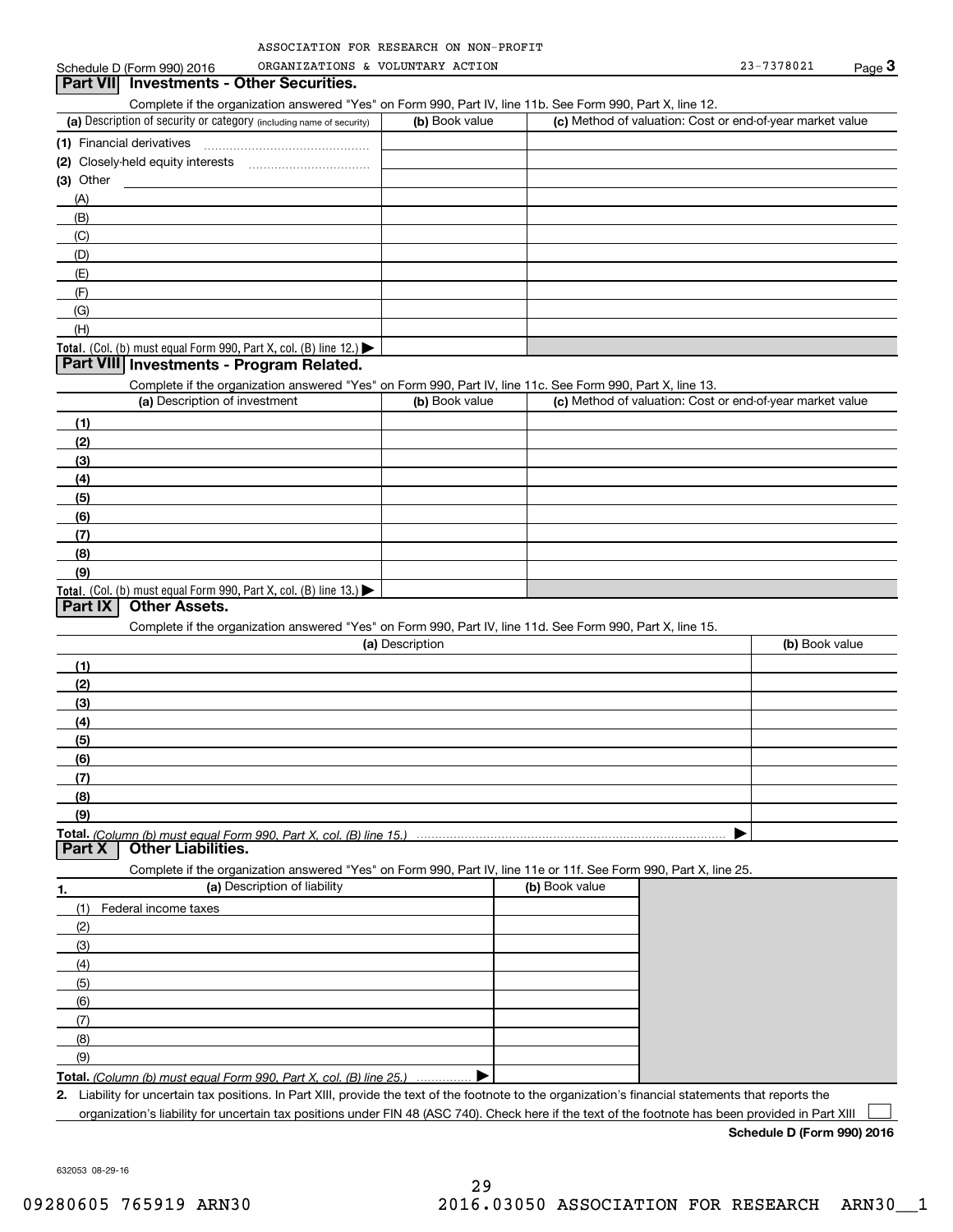| ASSOCIATION FOR RESEARCH ON NON-PROFIT |  |  |
|----------------------------------------|--|--|
|                                        |  |  |

| Part VII Investments - Other Securities.<br>Complete if the organization answered "Yes" on Form 990, Part IV, line 11b. See Form 990, Part X, line 12.<br>(a) Description of security or category (including name of security)<br>(b) Book value<br>(c) Method of valuation: Cost or end-of-year market value<br>(1) Financial derivatives<br>$(3)$ Other<br>(A)<br>(B)<br>(C)<br>(D)<br>(E)<br>(F)<br>(G)<br>(H)<br>Total. (Col. (b) must equal Form 990, Part X, col. (B) line 12.)<br>Part VIII Investments - Program Related.<br>Complete if the organization answered "Yes" on Form 990, Part IV, line 11c. See Form 990, Part X, line 13.<br>(a) Description of investment<br>(b) Book value<br>(c) Method of valuation: Cost or end-of-year market value<br>(1)<br>(2)<br>(3)<br>(4)<br>(5)<br>(6)<br>(7)<br>(8)<br>(9)<br>Total. (Col. (b) must equal Form 990, Part X, col. (B) line 13.)<br>Part IX<br><b>Other Assets.</b><br>Complete if the organization answered "Yes" on Form 990, Part IV, line 11d. See Form 990, Part X, line 15.<br>(a) Description<br>(b) Book value<br>(1)<br>(2)<br>(3)<br>(4)<br>(5)<br>(6)<br>(7)<br>(8)<br>(9)<br><b>Other Liabilities.</b><br>Part X<br>Complete if the organization answered "Yes" on Form 990, Part IV, line 11e or 11f. See Form 990, Part X, line 25.<br>(a) Description of liability<br>(b) Book value<br>1.<br>Federal income taxes<br>(1)<br>(2)<br>(3)<br>(4)<br>(5)<br>(6)<br>(7)<br>(8)<br>(9)<br><b>Total.</b> (Column (b) must equal Form 990, Part X, col. (B) line 25.)<br>2. Liability for uncertain tax positions. In Part XIII, provide the text of the footnote to the organization's financial statements that reports the<br>organization's liability for uncertain tax positions under FIN 48 (ASC 740). Check here if the text of the footnote has been provided in Part XIII | Schedule D (Form 990) 2016 | ORGANIZATIONS & VOLUNTARY ACTION |  | 23-7378021 | Page 3 |
|---------------------------------------------------------------------------------------------------------------------------------------------------------------------------------------------------------------------------------------------------------------------------------------------------------------------------------------------------------------------------------------------------------------------------------------------------------------------------------------------------------------------------------------------------------------------------------------------------------------------------------------------------------------------------------------------------------------------------------------------------------------------------------------------------------------------------------------------------------------------------------------------------------------------------------------------------------------------------------------------------------------------------------------------------------------------------------------------------------------------------------------------------------------------------------------------------------------------------------------------------------------------------------------------------------------------------------------------------------------------------------------------------------------------------------------------------------------------------------------------------------------------------------------------------------------------------------------------------------------------------------------------------------------------------------------------------------------------------------------------------------------------------------------------------------------------------------------------------------------|----------------------------|----------------------------------|--|------------|--------|
|                                                                                                                                                                                                                                                                                                                                                                                                                                                                                                                                                                                                                                                                                                                                                                                                                                                                                                                                                                                                                                                                                                                                                                                                                                                                                                                                                                                                                                                                                                                                                                                                                                                                                                                                                                                                                                                               |                            |                                  |  |            |        |
|                                                                                                                                                                                                                                                                                                                                                                                                                                                                                                                                                                                                                                                                                                                                                                                                                                                                                                                                                                                                                                                                                                                                                                                                                                                                                                                                                                                                                                                                                                                                                                                                                                                                                                                                                                                                                                                               |                            |                                  |  |            |        |
|                                                                                                                                                                                                                                                                                                                                                                                                                                                                                                                                                                                                                                                                                                                                                                                                                                                                                                                                                                                                                                                                                                                                                                                                                                                                                                                                                                                                                                                                                                                                                                                                                                                                                                                                                                                                                                                               |                            |                                  |  |            |        |
|                                                                                                                                                                                                                                                                                                                                                                                                                                                                                                                                                                                                                                                                                                                                                                                                                                                                                                                                                                                                                                                                                                                                                                                                                                                                                                                                                                                                                                                                                                                                                                                                                                                                                                                                                                                                                                                               |                            |                                  |  |            |        |
|                                                                                                                                                                                                                                                                                                                                                                                                                                                                                                                                                                                                                                                                                                                                                                                                                                                                                                                                                                                                                                                                                                                                                                                                                                                                                                                                                                                                                                                                                                                                                                                                                                                                                                                                                                                                                                                               |                            |                                  |  |            |        |
|                                                                                                                                                                                                                                                                                                                                                                                                                                                                                                                                                                                                                                                                                                                                                                                                                                                                                                                                                                                                                                                                                                                                                                                                                                                                                                                                                                                                                                                                                                                                                                                                                                                                                                                                                                                                                                                               |                            |                                  |  |            |        |
|                                                                                                                                                                                                                                                                                                                                                                                                                                                                                                                                                                                                                                                                                                                                                                                                                                                                                                                                                                                                                                                                                                                                                                                                                                                                                                                                                                                                                                                                                                                                                                                                                                                                                                                                                                                                                                                               |                            |                                  |  |            |        |
|                                                                                                                                                                                                                                                                                                                                                                                                                                                                                                                                                                                                                                                                                                                                                                                                                                                                                                                                                                                                                                                                                                                                                                                                                                                                                                                                                                                                                                                                                                                                                                                                                                                                                                                                                                                                                                                               |                            |                                  |  |            |        |
|                                                                                                                                                                                                                                                                                                                                                                                                                                                                                                                                                                                                                                                                                                                                                                                                                                                                                                                                                                                                                                                                                                                                                                                                                                                                                                                                                                                                                                                                                                                                                                                                                                                                                                                                                                                                                                                               |                            |                                  |  |            |        |
|                                                                                                                                                                                                                                                                                                                                                                                                                                                                                                                                                                                                                                                                                                                                                                                                                                                                                                                                                                                                                                                                                                                                                                                                                                                                                                                                                                                                                                                                                                                                                                                                                                                                                                                                                                                                                                                               |                            |                                  |  |            |        |
|                                                                                                                                                                                                                                                                                                                                                                                                                                                                                                                                                                                                                                                                                                                                                                                                                                                                                                                                                                                                                                                                                                                                                                                                                                                                                                                                                                                                                                                                                                                                                                                                                                                                                                                                                                                                                                                               |                            |                                  |  |            |        |
|                                                                                                                                                                                                                                                                                                                                                                                                                                                                                                                                                                                                                                                                                                                                                                                                                                                                                                                                                                                                                                                                                                                                                                                                                                                                                                                                                                                                                                                                                                                                                                                                                                                                                                                                                                                                                                                               |                            |                                  |  |            |        |
|                                                                                                                                                                                                                                                                                                                                                                                                                                                                                                                                                                                                                                                                                                                                                                                                                                                                                                                                                                                                                                                                                                                                                                                                                                                                                                                                                                                                                                                                                                                                                                                                                                                                                                                                                                                                                                                               |                            |                                  |  |            |        |
|                                                                                                                                                                                                                                                                                                                                                                                                                                                                                                                                                                                                                                                                                                                                                                                                                                                                                                                                                                                                                                                                                                                                                                                                                                                                                                                                                                                                                                                                                                                                                                                                                                                                                                                                                                                                                                                               |                            |                                  |  |            |        |
|                                                                                                                                                                                                                                                                                                                                                                                                                                                                                                                                                                                                                                                                                                                                                                                                                                                                                                                                                                                                                                                                                                                                                                                                                                                                                                                                                                                                                                                                                                                                                                                                                                                                                                                                                                                                                                                               |                            |                                  |  |            |        |
|                                                                                                                                                                                                                                                                                                                                                                                                                                                                                                                                                                                                                                                                                                                                                                                                                                                                                                                                                                                                                                                                                                                                                                                                                                                                                                                                                                                                                                                                                                                                                                                                                                                                                                                                                                                                                                                               |                            |                                  |  |            |        |
|                                                                                                                                                                                                                                                                                                                                                                                                                                                                                                                                                                                                                                                                                                                                                                                                                                                                                                                                                                                                                                                                                                                                                                                                                                                                                                                                                                                                                                                                                                                                                                                                                                                                                                                                                                                                                                                               |                            |                                  |  |            |        |
|                                                                                                                                                                                                                                                                                                                                                                                                                                                                                                                                                                                                                                                                                                                                                                                                                                                                                                                                                                                                                                                                                                                                                                                                                                                                                                                                                                                                                                                                                                                                                                                                                                                                                                                                                                                                                                                               |                            |                                  |  |            |        |
|                                                                                                                                                                                                                                                                                                                                                                                                                                                                                                                                                                                                                                                                                                                                                                                                                                                                                                                                                                                                                                                                                                                                                                                                                                                                                                                                                                                                                                                                                                                                                                                                                                                                                                                                                                                                                                                               |                            |                                  |  |            |        |
|                                                                                                                                                                                                                                                                                                                                                                                                                                                                                                                                                                                                                                                                                                                                                                                                                                                                                                                                                                                                                                                                                                                                                                                                                                                                                                                                                                                                                                                                                                                                                                                                                                                                                                                                                                                                                                                               |                            |                                  |  |            |        |
|                                                                                                                                                                                                                                                                                                                                                                                                                                                                                                                                                                                                                                                                                                                                                                                                                                                                                                                                                                                                                                                                                                                                                                                                                                                                                                                                                                                                                                                                                                                                                                                                                                                                                                                                                                                                                                                               |                            |                                  |  |            |        |
|                                                                                                                                                                                                                                                                                                                                                                                                                                                                                                                                                                                                                                                                                                                                                                                                                                                                                                                                                                                                                                                                                                                                                                                                                                                                                                                                                                                                                                                                                                                                                                                                                                                                                                                                                                                                                                                               |                            |                                  |  |            |        |
|                                                                                                                                                                                                                                                                                                                                                                                                                                                                                                                                                                                                                                                                                                                                                                                                                                                                                                                                                                                                                                                                                                                                                                                                                                                                                                                                                                                                                                                                                                                                                                                                                                                                                                                                                                                                                                                               |                            |                                  |  |            |        |
|                                                                                                                                                                                                                                                                                                                                                                                                                                                                                                                                                                                                                                                                                                                                                                                                                                                                                                                                                                                                                                                                                                                                                                                                                                                                                                                                                                                                                                                                                                                                                                                                                                                                                                                                                                                                                                                               |                            |                                  |  |            |        |
|                                                                                                                                                                                                                                                                                                                                                                                                                                                                                                                                                                                                                                                                                                                                                                                                                                                                                                                                                                                                                                                                                                                                                                                                                                                                                                                                                                                                                                                                                                                                                                                                                                                                                                                                                                                                                                                               |                            |                                  |  |            |        |
|                                                                                                                                                                                                                                                                                                                                                                                                                                                                                                                                                                                                                                                                                                                                                                                                                                                                                                                                                                                                                                                                                                                                                                                                                                                                                                                                                                                                                                                                                                                                                                                                                                                                                                                                                                                                                                                               |                            |                                  |  |            |        |
|                                                                                                                                                                                                                                                                                                                                                                                                                                                                                                                                                                                                                                                                                                                                                                                                                                                                                                                                                                                                                                                                                                                                                                                                                                                                                                                                                                                                                                                                                                                                                                                                                                                                                                                                                                                                                                                               |                            |                                  |  |            |        |
|                                                                                                                                                                                                                                                                                                                                                                                                                                                                                                                                                                                                                                                                                                                                                                                                                                                                                                                                                                                                                                                                                                                                                                                                                                                                                                                                                                                                                                                                                                                                                                                                                                                                                                                                                                                                                                                               |                            |                                  |  |            |        |
|                                                                                                                                                                                                                                                                                                                                                                                                                                                                                                                                                                                                                                                                                                                                                                                                                                                                                                                                                                                                                                                                                                                                                                                                                                                                                                                                                                                                                                                                                                                                                                                                                                                                                                                                                                                                                                                               |                            |                                  |  |            |        |
|                                                                                                                                                                                                                                                                                                                                                                                                                                                                                                                                                                                                                                                                                                                                                                                                                                                                                                                                                                                                                                                                                                                                                                                                                                                                                                                                                                                                                                                                                                                                                                                                                                                                                                                                                                                                                                                               |                            |                                  |  |            |        |
|                                                                                                                                                                                                                                                                                                                                                                                                                                                                                                                                                                                                                                                                                                                                                                                                                                                                                                                                                                                                                                                                                                                                                                                                                                                                                                                                                                                                                                                                                                                                                                                                                                                                                                                                                                                                                                                               |                            |                                  |  |            |        |
|                                                                                                                                                                                                                                                                                                                                                                                                                                                                                                                                                                                                                                                                                                                                                                                                                                                                                                                                                                                                                                                                                                                                                                                                                                                                                                                                                                                                                                                                                                                                                                                                                                                                                                                                                                                                                                                               |                            |                                  |  |            |        |
|                                                                                                                                                                                                                                                                                                                                                                                                                                                                                                                                                                                                                                                                                                                                                                                                                                                                                                                                                                                                                                                                                                                                                                                                                                                                                                                                                                                                                                                                                                                                                                                                                                                                                                                                                                                                                                                               |                            |                                  |  |            |        |
|                                                                                                                                                                                                                                                                                                                                                                                                                                                                                                                                                                                                                                                                                                                                                                                                                                                                                                                                                                                                                                                                                                                                                                                                                                                                                                                                                                                                                                                                                                                                                                                                                                                                                                                                                                                                                                                               |                            |                                  |  |            |        |
|                                                                                                                                                                                                                                                                                                                                                                                                                                                                                                                                                                                                                                                                                                                                                                                                                                                                                                                                                                                                                                                                                                                                                                                                                                                                                                                                                                                                                                                                                                                                                                                                                                                                                                                                                                                                                                                               |                            |                                  |  |            |        |
|                                                                                                                                                                                                                                                                                                                                                                                                                                                                                                                                                                                                                                                                                                                                                                                                                                                                                                                                                                                                                                                                                                                                                                                                                                                                                                                                                                                                                                                                                                                                                                                                                                                                                                                                                                                                                                                               |                            |                                  |  |            |        |
|                                                                                                                                                                                                                                                                                                                                                                                                                                                                                                                                                                                                                                                                                                                                                                                                                                                                                                                                                                                                                                                                                                                                                                                                                                                                                                                                                                                                                                                                                                                                                                                                                                                                                                                                                                                                                                                               |                            |                                  |  |            |        |
|                                                                                                                                                                                                                                                                                                                                                                                                                                                                                                                                                                                                                                                                                                                                                                                                                                                                                                                                                                                                                                                                                                                                                                                                                                                                                                                                                                                                                                                                                                                                                                                                                                                                                                                                                                                                                                                               |                            |                                  |  |            |        |
|                                                                                                                                                                                                                                                                                                                                                                                                                                                                                                                                                                                                                                                                                                                                                                                                                                                                                                                                                                                                                                                                                                                                                                                                                                                                                                                                                                                                                                                                                                                                                                                                                                                                                                                                                                                                                                                               |                            |                                  |  |            |        |
|                                                                                                                                                                                                                                                                                                                                                                                                                                                                                                                                                                                                                                                                                                                                                                                                                                                                                                                                                                                                                                                                                                                                                                                                                                                                                                                                                                                                                                                                                                                                                                                                                                                                                                                                                                                                                                                               |                            |                                  |  |            |        |
|                                                                                                                                                                                                                                                                                                                                                                                                                                                                                                                                                                                                                                                                                                                                                                                                                                                                                                                                                                                                                                                                                                                                                                                                                                                                                                                                                                                                                                                                                                                                                                                                                                                                                                                                                                                                                                                               |                            |                                  |  |            |        |
|                                                                                                                                                                                                                                                                                                                                                                                                                                                                                                                                                                                                                                                                                                                                                                                                                                                                                                                                                                                                                                                                                                                                                                                                                                                                                                                                                                                                                                                                                                                                                                                                                                                                                                                                                                                                                                                               |                            |                                  |  |            |        |
|                                                                                                                                                                                                                                                                                                                                                                                                                                                                                                                                                                                                                                                                                                                                                                                                                                                                                                                                                                                                                                                                                                                                                                                                                                                                                                                                                                                                                                                                                                                                                                                                                                                                                                                                                                                                                                                               |                            |                                  |  |            |        |
|                                                                                                                                                                                                                                                                                                                                                                                                                                                                                                                                                                                                                                                                                                                                                                                                                                                                                                                                                                                                                                                                                                                                                                                                                                                                                                                                                                                                                                                                                                                                                                                                                                                                                                                                                                                                                                                               |                            |                                  |  |            |        |
|                                                                                                                                                                                                                                                                                                                                                                                                                                                                                                                                                                                                                                                                                                                                                                                                                                                                                                                                                                                                                                                                                                                                                                                                                                                                                                                                                                                                                                                                                                                                                                                                                                                                                                                                                                                                                                                               |                            |                                  |  |            |        |
|                                                                                                                                                                                                                                                                                                                                                                                                                                                                                                                                                                                                                                                                                                                                                                                                                                                                                                                                                                                                                                                                                                                                                                                                                                                                                                                                                                                                                                                                                                                                                                                                                                                                                                                                                                                                                                                               |                            |                                  |  |            |        |
|                                                                                                                                                                                                                                                                                                                                                                                                                                                                                                                                                                                                                                                                                                                                                                                                                                                                                                                                                                                                                                                                                                                                                                                                                                                                                                                                                                                                                                                                                                                                                                                                                                                                                                                                                                                                                                                               |                            |                                  |  |            |        |
|                                                                                                                                                                                                                                                                                                                                                                                                                                                                                                                                                                                                                                                                                                                                                                                                                                                                                                                                                                                                                                                                                                                                                                                                                                                                                                                                                                                                                                                                                                                                                                                                                                                                                                                                                                                                                                                               |                            |                                  |  |            |        |
|                                                                                                                                                                                                                                                                                                                                                                                                                                                                                                                                                                                                                                                                                                                                                                                                                                                                                                                                                                                                                                                                                                                                                                                                                                                                                                                                                                                                                                                                                                                                                                                                                                                                                                                                                                                                                                                               |                            |                                  |  |            |        |
|                                                                                                                                                                                                                                                                                                                                                                                                                                                                                                                                                                                                                                                                                                                                                                                                                                                                                                                                                                                                                                                                                                                                                                                                                                                                                                                                                                                                                                                                                                                                                                                                                                                                                                                                                                                                                                                               |                            |                                  |  |            |        |
|                                                                                                                                                                                                                                                                                                                                                                                                                                                                                                                                                                                                                                                                                                                                                                                                                                                                                                                                                                                                                                                                                                                                                                                                                                                                                                                                                                                                                                                                                                                                                                                                                                                                                                                                                                                                                                                               |                            |                                  |  |            |        |
|                                                                                                                                                                                                                                                                                                                                                                                                                                                                                                                                                                                                                                                                                                                                                                                                                                                                                                                                                                                                                                                                                                                                                                                                                                                                                                                                                                                                                                                                                                                                                                                                                                                                                                                                                                                                                                                               |                            |                                  |  |            |        |
|                                                                                                                                                                                                                                                                                                                                                                                                                                                                                                                                                                                                                                                                                                                                                                                                                                                                                                                                                                                                                                                                                                                                                                                                                                                                                                                                                                                                                                                                                                                                                                                                                                                                                                                                                                                                                                                               |                            |                                  |  |            |        |
|                                                                                                                                                                                                                                                                                                                                                                                                                                                                                                                                                                                                                                                                                                                                                                                                                                                                                                                                                                                                                                                                                                                                                                                                                                                                                                                                                                                                                                                                                                                                                                                                                                                                                                                                                                                                                                                               |                            |                                  |  |            |        |
|                                                                                                                                                                                                                                                                                                                                                                                                                                                                                                                                                                                                                                                                                                                                                                                                                                                                                                                                                                                                                                                                                                                                                                                                                                                                                                                                                                                                                                                                                                                                                                                                                                                                                                                                                                                                                                                               |                            |                                  |  |            |        |
|                                                                                                                                                                                                                                                                                                                                                                                                                                                                                                                                                                                                                                                                                                                                                                                                                                                                                                                                                                                                                                                                                                                                                                                                                                                                                                                                                                                                                                                                                                                                                                                                                                                                                                                                                                                                                                                               |                            |                                  |  |            |        |
|                                                                                                                                                                                                                                                                                                                                                                                                                                                                                                                                                                                                                                                                                                                                                                                                                                                                                                                                                                                                                                                                                                                                                                                                                                                                                                                                                                                                                                                                                                                                                                                                                                                                                                                                                                                                                                                               |                            |                                  |  |            |        |
|                                                                                                                                                                                                                                                                                                                                                                                                                                                                                                                                                                                                                                                                                                                                                                                                                                                                                                                                                                                                                                                                                                                                                                                                                                                                                                                                                                                                                                                                                                                                                                                                                                                                                                                                                                                                                                                               |                            |                                  |  |            |        |
|                                                                                                                                                                                                                                                                                                                                                                                                                                                                                                                                                                                                                                                                                                                                                                                                                                                                                                                                                                                                                                                                                                                                                                                                                                                                                                                                                                                                                                                                                                                                                                                                                                                                                                                                                                                                                                                               |                            |                                  |  |            |        |

**Schedule D (Form 990) 2016**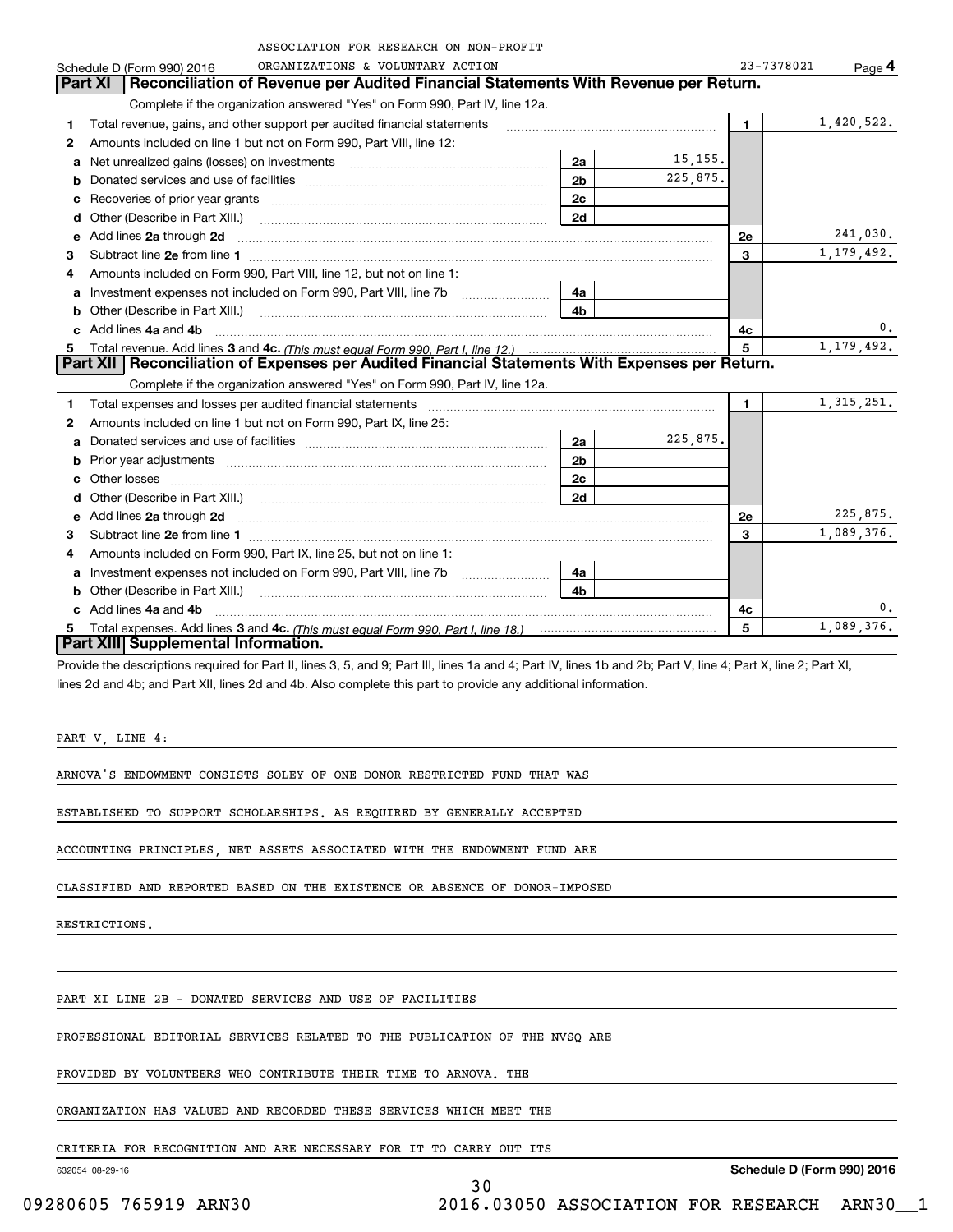|    | ASSOCIATION FOR RESEARCH ON NON-PROFIT                                                                                                                                                                                              |                |              |              |              |
|----|-------------------------------------------------------------------------------------------------------------------------------------------------------------------------------------------------------------------------------------|----------------|--------------|--------------|--------------|
|    | ORGANIZATIONS & VOLUNTARY ACTION<br>Schedule D (Form 990) 2016                                                                                                                                                                      |                |              | 23-7378021   | Page 4       |
|    | Reconciliation of Revenue per Audited Financial Statements With Revenue per Return.<br>Part XI                                                                                                                                      |                |              |              |              |
|    | Complete if the organization answered "Yes" on Form 990, Part IV, line 12a.                                                                                                                                                         |                |              |              |              |
| 1  | Total revenue, gains, and other support per audited financial statements                                                                                                                                                            |                |              | $\mathbf{1}$ | 1,420,522.   |
| 2  | Amounts included on line 1 but not on Form 990, Part VIII, line 12:                                                                                                                                                                 |                |              |              |              |
| a  | Net unrealized gains (losses) on investments [11] matter contracts and the unrealized gains (losses) on investments                                                                                                                 | 2a             | 15, 155.     |              |              |
| b  |                                                                                                                                                                                                                                     | 2 <sub>b</sub> | 225,875.     |              |              |
| c  |                                                                                                                                                                                                                                     | 2c             |              |              |              |
| d  | Other (Describe in Part XIII.) <b>Construction Contract Construction</b> Chemistry Construction Chemistry Chemistry Chemistry Chemistry Chemistry Chemistry Chemistry Chemistry Chemistry Chemistry Chemistry Chemistry Chemistry C | 2d             |              |              |              |
| е  | Add lines 2a through 2d                                                                                                                                                                                                             |                |              | 2e           | 241,030.     |
| 3  |                                                                                                                                                                                                                                     |                |              | 3            | 1,179,492.   |
| 4  | Amounts included on Form 990, Part VIII, line 12, but not on line 1:                                                                                                                                                                |                |              |              |              |
| a  | Investment expenses not included on Form 990, Part VIII, line 7b                                                                                                                                                                    | 4a             |              |              |              |
| b  | Other (Describe in Part XIII.) <b>Construction Contract Construction</b> Construction Construction Construction Const                                                                                                               | 4b             |              |              |              |
|    | c Add lines 4a and 4b                                                                                                                                                                                                               |                |              | 4c           | 0.           |
| 5  |                                                                                                                                                                                                                                     | 5              | 1, 179, 492. |              |              |
|    | Part XII   Reconciliation of Expenses per Audited Financial Statements With Expenses per Return.                                                                                                                                    |                |              |              |              |
|    | Complete if the organization answered "Yes" on Form 990, Part IV, line 12a.                                                                                                                                                         |                |              |              |              |
| 1  | Total expenses and losses per audited financial statements [11,11] material expenses and losses per audited financial statements [11,11] materials and the statements and the statements and the statements and the statements      |                |              | 1.           | 1, 315, 251. |
| 2  | Amounts included on line 1 but not on Form 990, Part IX, line 25:                                                                                                                                                                   |                |              |              |              |
| a  | Donated services and use of facilities <b>Example 20</b> Figures 1                                                                                                                                                                  | 2a             | 225,875.     |              |              |
| b  |                                                                                                                                                                                                                                     | 2 <sub>b</sub> |              |              |              |
| c  |                                                                                                                                                                                                                                     | 2c             |              |              |              |
| d  |                                                                                                                                                                                                                                     | 2d             |              |              |              |
| е  | Add lines 2a through 2d                                                                                                                                                                                                             |                |              | 2e           | 225,875.     |
| 3  |                                                                                                                                                                                                                                     |                |              | 3            | 1,089,376.   |
| 4  | Amounts included on Form 990, Part IX, line 25, but not on line 1:                                                                                                                                                                  |                |              |              |              |
| a  | Investment expenses not included on Form 990, Part VIII, line 7b                                                                                                                                                                    | 4a             |              |              |              |
| b  | Other (Describe in Part XIII.)                                                                                                                                                                                                      | 4b             |              |              |              |
| c  | Add lines 4a and 4b                                                                                                                                                                                                                 |                |              | 4c           | 0.           |
| 5. |                                                                                                                                                                                                                                     |                |              | 5            | 1,089,376.   |
|    | Part XIII Supplemental Information.                                                                                                                                                                                                 |                |              |              |              |
|    | Provide the descriptions required for Part II, lines 3, 5, and 9; Part III, lines 1a and 4; Part IV, lines 1b and 2b; Part V, line 4; Part X, line 2; Part XI,                                                                      |                |              |              |              |
|    | lines 2d and 4b; and Part XII, lines 2d and 4b. Also complete this part to provide any additional information.                                                                                                                      |                |              |              |              |
|    |                                                                                                                                                                                                                                     |                |              |              |              |
|    |                                                                                                                                                                                                                                     |                |              |              |              |

PART V, LINE 4:

ARNOVA'S ENDOWMENT CONSISTS SOLEY OF ONE DONOR RESTRICTED FUND THAT WAS

ESTABLISHED TO SUPPORT SCHOLARSHIPS. AS REQUIRED BY GENERALLY ACCEPTED

ACCOUNTING PRINCIPLES, NET ASSETS ASSOCIATED WITH THE ENDOWMENT FUND ARE

CLASSIFIED AND REPORTED BASED ON THE EXISTENCE OR ABSENCE OF DONOR-IMPOSED

RESTRICTIONS.

PART XI LINE 2B - DONATED SERVICES AND USE OF FACILITIES

PROFESSIONAL EDITORIAL SERVICES RELATED TO THE PUBLICATION OF THE NVSQ ARE

PROVIDED BY VOLUNTEERS WHO CONTRIBUTE THEIR TIME TO ARNOVA. THE

ORGANIZATION HAS VALUED AND RECORDED THESE SERVICES WHICH MEET THE

CRITERIA FOR RECOGNITION AND ARE NECESSARY FOR IT TO CARRY OUT ITS

632054 08-29-16

**Schedule D (Form 990) 2016**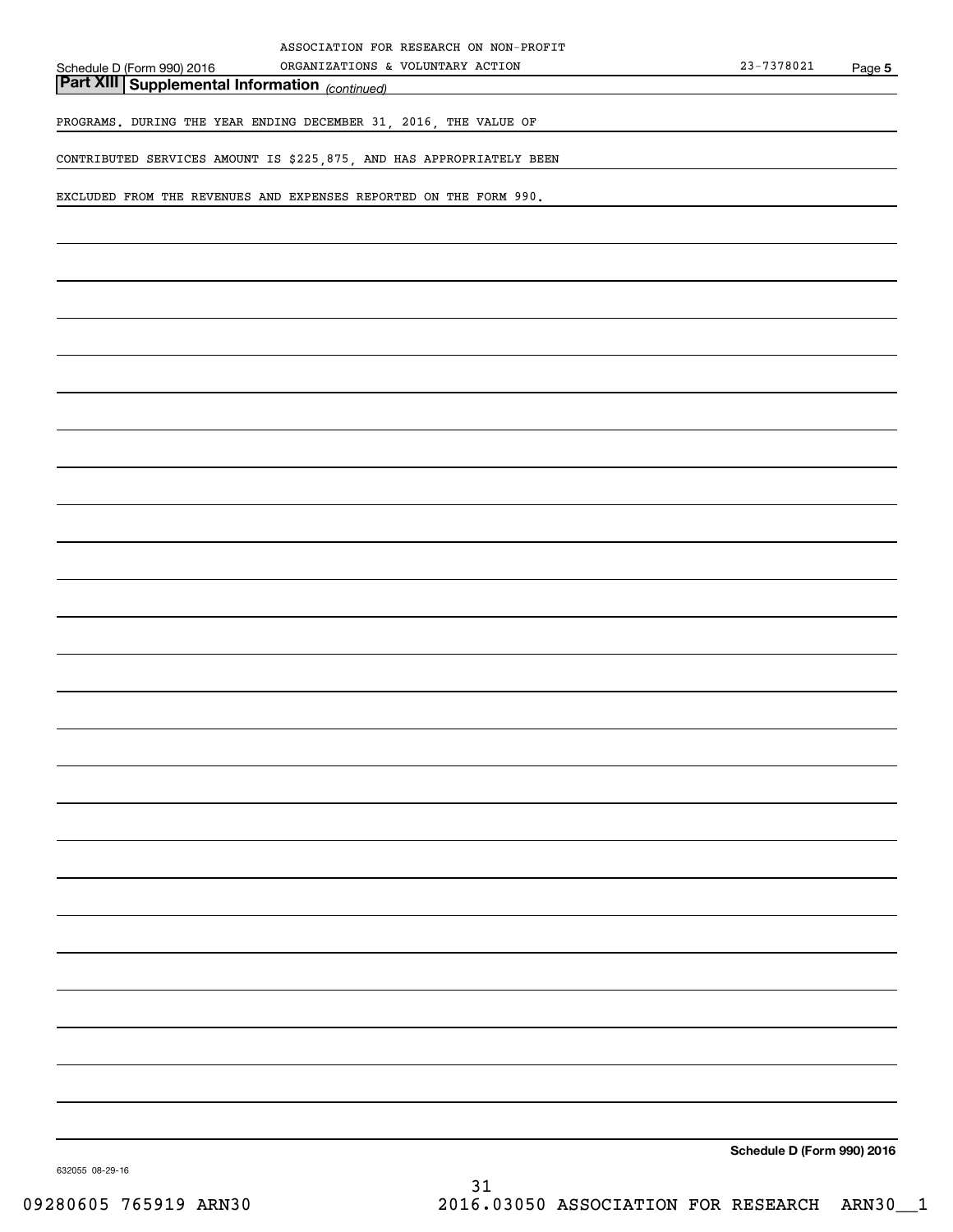| ASSOCIATION FOR RESEARCH ON NON-PROFIT<br>ORGANIZATIONS & VOLUNTARY ACTION                          | $23 - 7378021$             | Page 5 |
|-----------------------------------------------------------------------------------------------------|----------------------------|--------|
| Schedule D (Form 990) 2016 ORGANIZATIONS &<br><b>Part XIII Supplemental Information</b> (continued) |                            |        |
| PROGRAMS. DURING THE YEAR ENDING DECEMBER 31, 2016, THE VALUE OF                                    |                            |        |
| CONTRIBUTED SERVICES AMOUNT IS \$225,875, AND HAS APPROPRIATELY BEEN                                |                            |        |
| EXCLUDED FROM THE REVENUES AND EXPENSES REPORTED ON THE FORM 990.                                   |                            |        |
|                                                                                                     |                            |        |
|                                                                                                     |                            |        |
|                                                                                                     |                            |        |
|                                                                                                     |                            |        |
|                                                                                                     |                            |        |
|                                                                                                     |                            |        |
|                                                                                                     |                            |        |
|                                                                                                     |                            |        |
|                                                                                                     |                            |        |
|                                                                                                     |                            |        |
|                                                                                                     |                            |        |
|                                                                                                     |                            |        |
|                                                                                                     |                            |        |
|                                                                                                     |                            |        |
|                                                                                                     |                            |        |
|                                                                                                     |                            |        |
|                                                                                                     |                            |        |
|                                                                                                     |                            |        |
|                                                                                                     |                            |        |
|                                                                                                     |                            |        |
|                                                                                                     |                            |        |
|                                                                                                     |                            |        |
|                                                                                                     |                            |        |
|                                                                                                     |                            |        |
|                                                                                                     | Schedule D (Form 990) 2016 |        |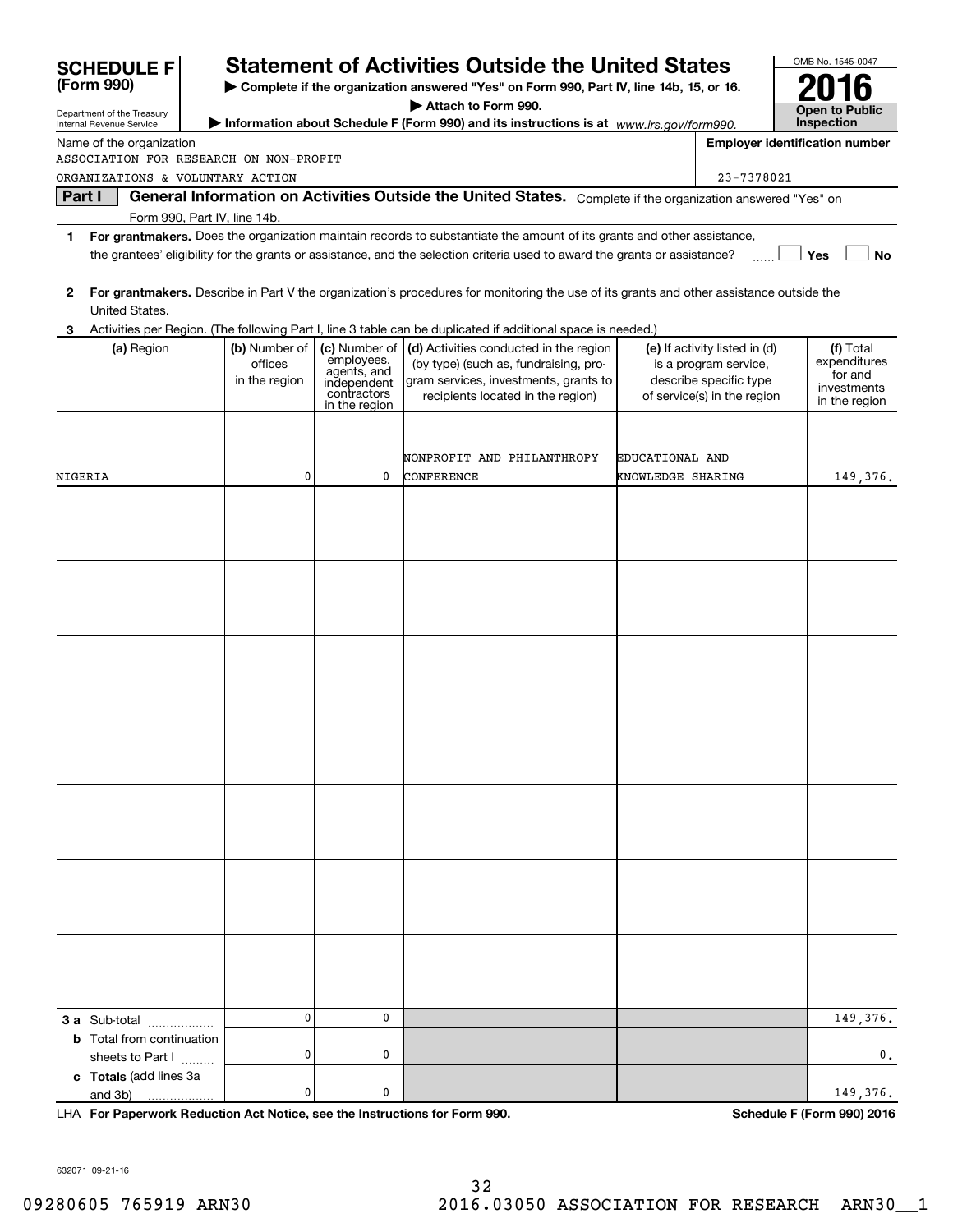|    | <b>SCHEDULE F</b>                                                                               |                                           |                                                                                           | <b>Statement of Activities Outside the United States</b>                                                                                                                                                                                             |                   |                                                                                                                 | OMB No. 1545-0047                                                    |
|----|-------------------------------------------------------------------------------------------------|-------------------------------------------|-------------------------------------------------------------------------------------------|------------------------------------------------------------------------------------------------------------------------------------------------------------------------------------------------------------------------------------------------------|-------------------|-----------------------------------------------------------------------------------------------------------------|----------------------------------------------------------------------|
|    | (Form 990)                                                                                      |                                           |                                                                                           | Complete if the organization answered "Yes" on Form 990, Part IV, line 14b, 15, or 16.                                                                                                                                                               |                   |                                                                                                                 |                                                                      |
|    | Department of the Treasury                                                                      |                                           |                                                                                           | Attach to Form 990.                                                                                                                                                                                                                                  |                   |                                                                                                                 | Open to Public                                                       |
|    | Internal Revenue Service                                                                        |                                           |                                                                                           | Information about Schedule F (Form 990) and its instructions is at www.irs.gov/form990.                                                                                                                                                              |                   |                                                                                                                 | <b>Inspection</b>                                                    |
|    | Name of the organization<br>ASSOCIATION FOR RESEARCH ON NON-PROFIT                              |                                           |                                                                                           |                                                                                                                                                                                                                                                      |                   |                                                                                                                 | <b>Employer identification number</b>                                |
|    | ORGANIZATIONS & VOLUNTARY ACTION                                                                |                                           |                                                                                           |                                                                                                                                                                                                                                                      |                   | 23-7378021                                                                                                      |                                                                      |
|    | Part I                                                                                          |                                           |                                                                                           | General Information on Activities Outside the United States. Complete if the organization answered "Yes" on                                                                                                                                          |                   |                                                                                                                 |                                                                      |
|    | Form 990, Part IV, line 14b.                                                                    |                                           |                                                                                           |                                                                                                                                                                                                                                                      |                   |                                                                                                                 |                                                                      |
| 1  |                                                                                                 |                                           |                                                                                           | For grantmakers. Does the organization maintain records to substantiate the amount of its grants and other assistance,<br>the grantees' eligibility for the grants or assistance, and the selection criteria used to award the grants or assistance? |                   |                                                                                                                 | Yes<br><b>No</b>                                                     |
| 2  | United States.                                                                                  |                                           |                                                                                           | For grantmakers. Describe in Part V the organization's procedures for monitoring the use of its grants and other assistance outside the                                                                                                              |                   |                                                                                                                 |                                                                      |
| 3. |                                                                                                 |                                           |                                                                                           | Activities per Region. (The following Part I, line 3 table can be duplicated if additional space is needed.)                                                                                                                                         |                   |                                                                                                                 |                                                                      |
|    | (a) Region                                                                                      | (b) Number of<br>offices<br>in the region | (c) Number of<br>employees,<br>agents, and<br>independent<br>contractors<br>in the region | (d) Activities conducted in the region<br>(by type) (such as, fundraising, pro-<br>gram services, investments, grants to<br>recipients located in the region)                                                                                        |                   | (e) If activity listed in (d)<br>is a program service,<br>describe specific type<br>of service(s) in the region | (f) Total<br>expenditures<br>for and<br>investments<br>in the region |
|    |                                                                                                 |                                           |                                                                                           |                                                                                                                                                                                                                                                      |                   |                                                                                                                 |                                                                      |
|    |                                                                                                 |                                           |                                                                                           | NONPROFIT AND PHILANTHROPY                                                                                                                                                                                                                           | EDUCATIONAL AND   |                                                                                                                 |                                                                      |
|    | NIGERIA                                                                                         | 0                                         | 0                                                                                         | CONFERENCE                                                                                                                                                                                                                                           | KNOWLEDGE SHARING |                                                                                                                 | 149,376.                                                             |
|    |                                                                                                 |                                           |                                                                                           |                                                                                                                                                                                                                                                      |                   |                                                                                                                 |                                                                      |
|    | 3 a Sub-total<br><b>b</b> Total from continuation<br>sheets to Part I<br>c Totals (add lines 3a | $\mathbf 0$<br>0                          | 0<br>0                                                                                    |                                                                                                                                                                                                                                                      |                   |                                                                                                                 | 149,376.<br>0.                                                       |
|    | and 3b)                                                                                         | 0                                         | 0                                                                                         |                                                                                                                                                                                                                                                      |                   |                                                                                                                 | 149,376.                                                             |

**For Paperwork Reduction Act Notice, see the Instructions for Form 990. Schedule F (Form 990) 2016** LHA

632071 09-21-16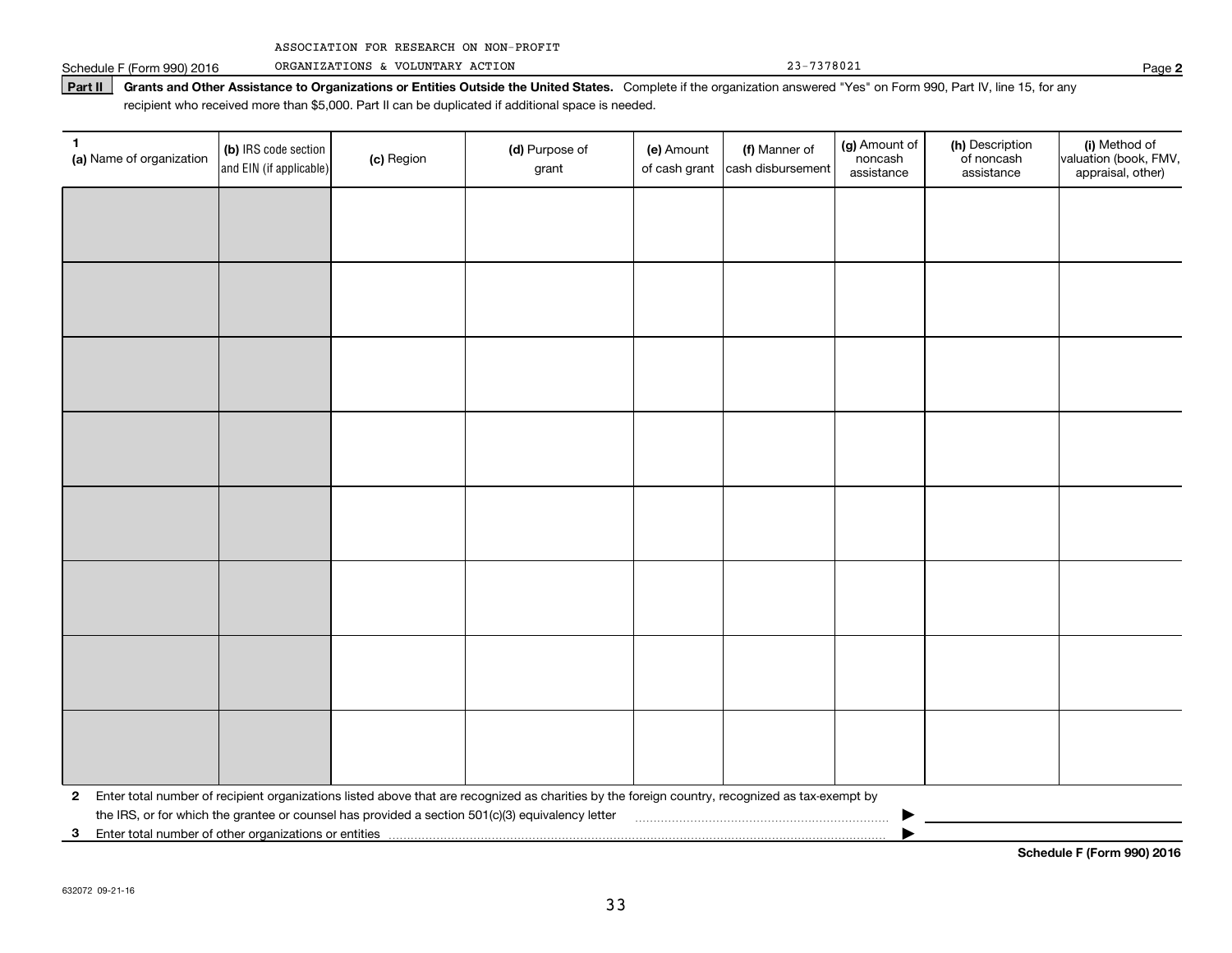|  | ASSOCIATION FOR RESEARCH ON NON-PROFIT |  |  |  |  |
|--|----------------------------------------|--|--|--|--|
|--|----------------------------------------|--|--|--|--|

Schedule F (Form 990) 2016 Page ORGANIZATIONS & VOLUNTARY ACTION 23-7378021

Part II | Grants and Other Assistance to Organizations or Entities Outside the United States. Complete if the organization answered "Yes" on Form 990, Part IV, line 15, for any recipient who received more than \$5,000. Part II can be duplicated if additional space is needed.

| 1<br>(a) Name of organization | (b) IRS code section<br>and EIN (if applicable)                                                                                                           | (c) Region | (d) Purpose of<br>grant                                                                                                                         | (e) Amount | (f) Manner of<br>of cash grant cash disbursement | (g) Amount of<br>noncash<br>assistance | (h) Description<br>of noncash<br>assistance | (i) Method of<br>valuation (book, FMV,<br>appraisal, other) |  |  |
|-------------------------------|-----------------------------------------------------------------------------------------------------------------------------------------------------------|------------|-------------------------------------------------------------------------------------------------------------------------------------------------|------------|--------------------------------------------------|----------------------------------------|---------------------------------------------|-------------------------------------------------------------|--|--|
|                               |                                                                                                                                                           |            |                                                                                                                                                 |            |                                                  |                                        |                                             |                                                             |  |  |
|                               |                                                                                                                                                           |            |                                                                                                                                                 |            |                                                  |                                        |                                             |                                                             |  |  |
|                               |                                                                                                                                                           |            |                                                                                                                                                 |            |                                                  |                                        |                                             |                                                             |  |  |
|                               |                                                                                                                                                           |            |                                                                                                                                                 |            |                                                  |                                        |                                             |                                                             |  |  |
|                               |                                                                                                                                                           |            |                                                                                                                                                 |            |                                                  |                                        |                                             |                                                             |  |  |
|                               |                                                                                                                                                           |            |                                                                                                                                                 |            |                                                  |                                        |                                             |                                                             |  |  |
|                               |                                                                                                                                                           |            |                                                                                                                                                 |            |                                                  |                                        |                                             |                                                             |  |  |
|                               |                                                                                                                                                           |            |                                                                                                                                                 |            |                                                  |                                        |                                             |                                                             |  |  |
|                               |                                                                                                                                                           |            |                                                                                                                                                 |            |                                                  |                                        |                                             |                                                             |  |  |
|                               |                                                                                                                                                           |            |                                                                                                                                                 |            |                                                  |                                        |                                             |                                                             |  |  |
|                               |                                                                                                                                                           |            |                                                                                                                                                 |            |                                                  |                                        |                                             |                                                             |  |  |
|                               |                                                                                                                                                           |            |                                                                                                                                                 |            |                                                  |                                        |                                             |                                                             |  |  |
|                               |                                                                                                                                                           |            |                                                                                                                                                 |            |                                                  |                                        |                                             |                                                             |  |  |
|                               |                                                                                                                                                           |            |                                                                                                                                                 |            |                                                  |                                        |                                             |                                                             |  |  |
|                               |                                                                                                                                                           |            |                                                                                                                                                 |            |                                                  |                                        |                                             |                                                             |  |  |
|                               |                                                                                                                                                           |            |                                                                                                                                                 |            |                                                  |                                        |                                             |                                                             |  |  |
| 2                             |                                                                                                                                                           |            | Enter total number of recipient organizations listed above that are recognized as charities by the foreign country, recognized as tax-exempt by |            |                                                  |                                        |                                             |                                                             |  |  |
| 3                             | the IRS, or for which the grantee or counsel has provided a section 501(c)(3) equivalency letter<br>Enter total number of other organizations or entities |            |                                                                                                                                                 |            |                                                  |                                        |                                             |                                                             |  |  |

**Schedule F (Form 990) 2016**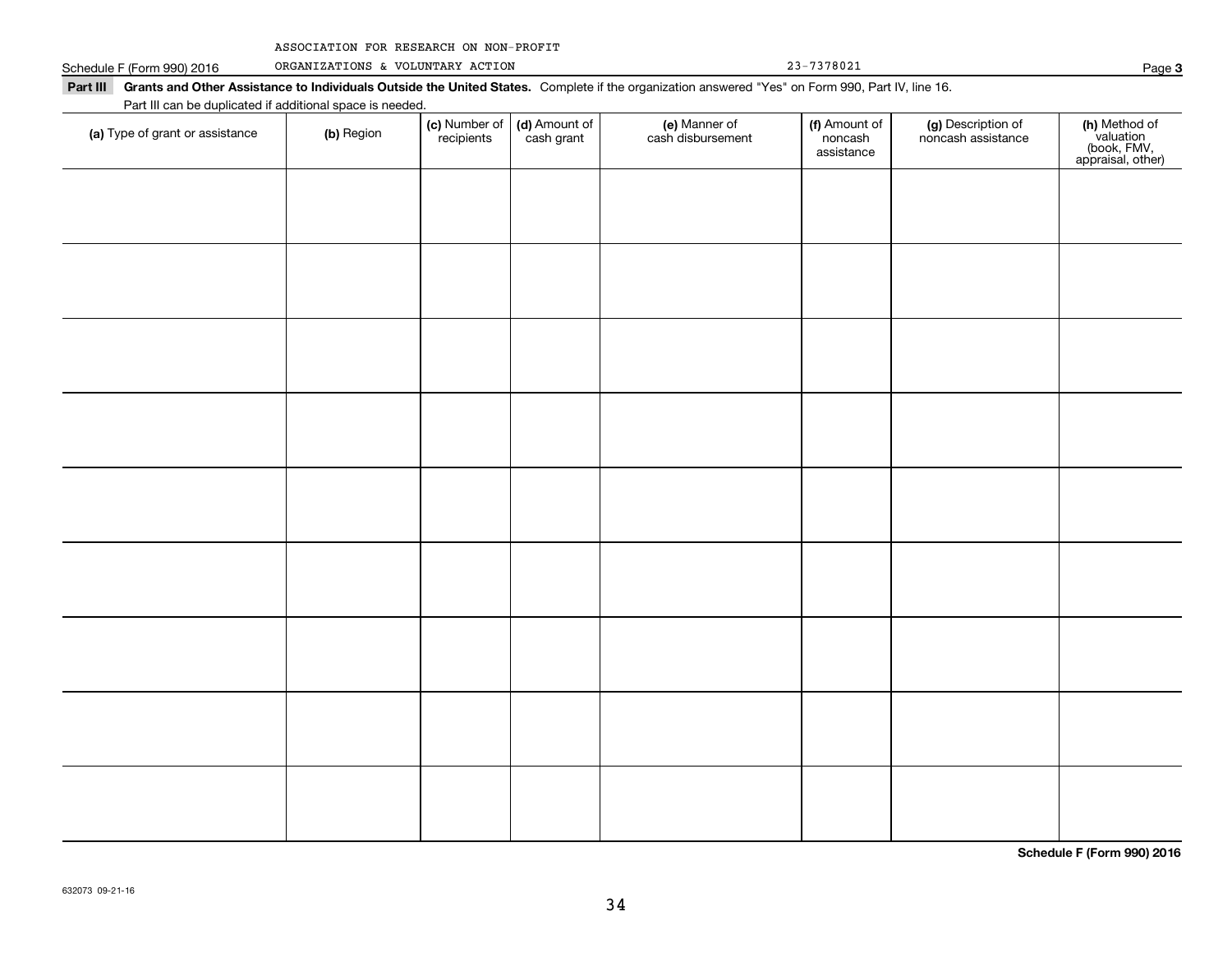| ASSOCIATION FOR RESEARCH ON NON-PROFIT |  |  |  |  |
|----------------------------------------|--|--|--|--|
|----------------------------------------|--|--|--|--|

Schedule F (Form 990) 2016 ORGANIZATIONS & VOLUNTARY ACTION 23-7378021 Page

| Part III can be duplicated if additional space is needed.<br>(c) Number of<br>(d) Amount of<br>(e) Manner of<br>cash disbursement<br>(g) Description of<br>noncash assistance<br>(f) Amount of<br>(a) Type of grant or assistance<br>(b) Region |  |            |            |  |                       |  |                                                                |  |  |
|-------------------------------------------------------------------------------------------------------------------------------------------------------------------------------------------------------------------------------------------------|--|------------|------------|--|-----------------------|--|----------------------------------------------------------------|--|--|
|                                                                                                                                                                                                                                                 |  | recipients | cash grant |  | noncash<br>assistance |  | (h) Method of<br>valuation<br>(book, FMV,<br>appraisal, other) |  |  |
|                                                                                                                                                                                                                                                 |  |            |            |  |                       |  |                                                                |  |  |
|                                                                                                                                                                                                                                                 |  |            |            |  |                       |  |                                                                |  |  |
|                                                                                                                                                                                                                                                 |  |            |            |  |                       |  |                                                                |  |  |
|                                                                                                                                                                                                                                                 |  |            |            |  |                       |  |                                                                |  |  |
|                                                                                                                                                                                                                                                 |  |            |            |  |                       |  |                                                                |  |  |
|                                                                                                                                                                                                                                                 |  |            |            |  |                       |  |                                                                |  |  |
|                                                                                                                                                                                                                                                 |  |            |            |  |                       |  |                                                                |  |  |
|                                                                                                                                                                                                                                                 |  |            |            |  |                       |  |                                                                |  |  |
|                                                                                                                                                                                                                                                 |  |            |            |  |                       |  |                                                                |  |  |
|                                                                                                                                                                                                                                                 |  |            |            |  |                       |  |                                                                |  |  |
|                                                                                                                                                                                                                                                 |  |            |            |  |                       |  |                                                                |  |  |
|                                                                                                                                                                                                                                                 |  |            |            |  |                       |  |                                                                |  |  |
|                                                                                                                                                                                                                                                 |  |            |            |  |                       |  |                                                                |  |  |
|                                                                                                                                                                                                                                                 |  |            |            |  |                       |  |                                                                |  |  |
|                                                                                                                                                                                                                                                 |  |            |            |  |                       |  |                                                                |  |  |
|                                                                                                                                                                                                                                                 |  |            |            |  |                       |  |                                                                |  |  |
|                                                                                                                                                                                                                                                 |  |            |            |  |                       |  |                                                                |  |  |
|                                                                                                                                                                                                                                                 |  |            |            |  |                       |  |                                                                |  |  |
|                                                                                                                                                                                                                                                 |  |            |            |  |                       |  |                                                                |  |  |

**Schedule F (Form 990) 2016**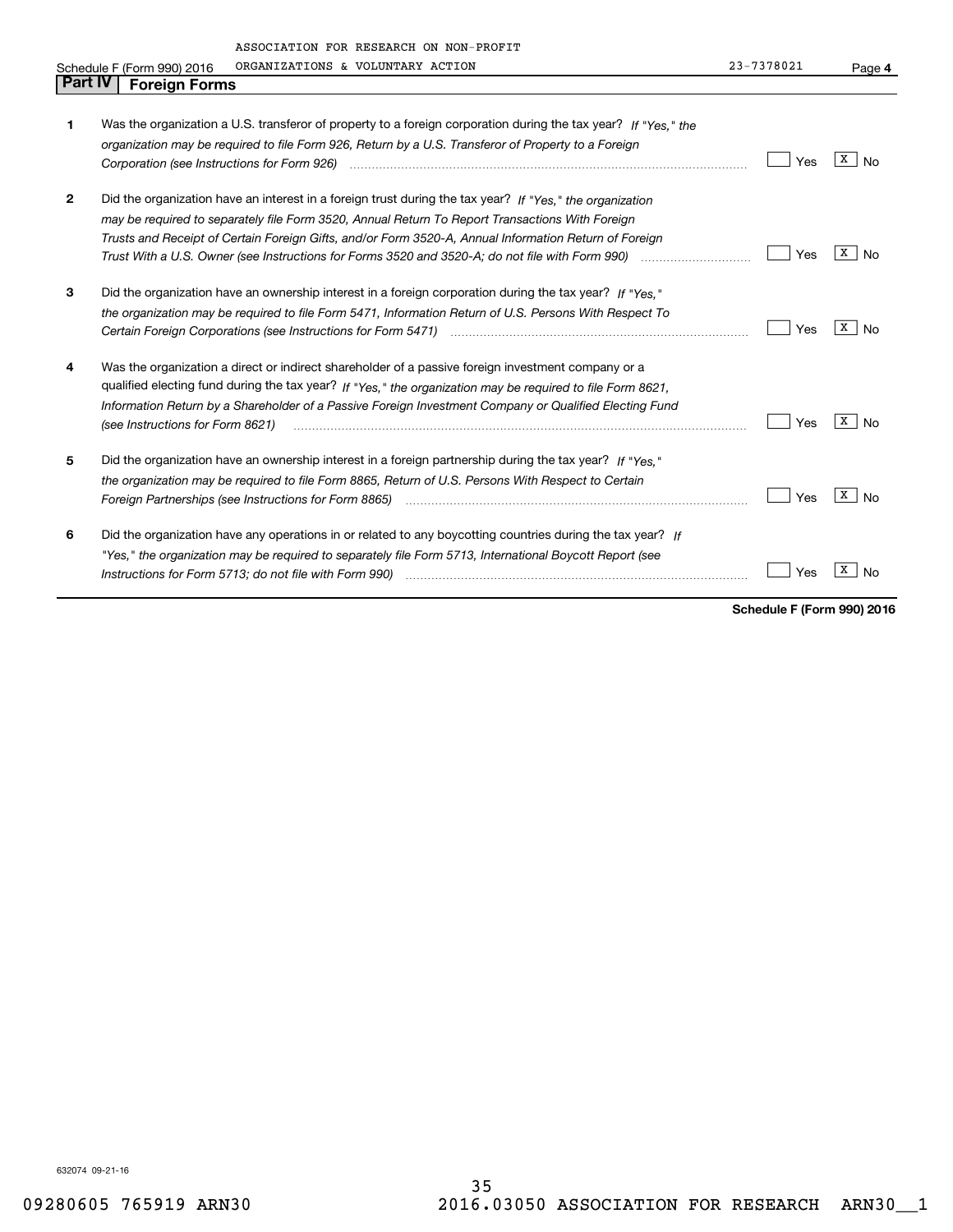|   | ASSOCIATION FOR RESEARCH ON NON-PROFIT                                                                         |            |                      |
|---|----------------------------------------------------------------------------------------------------------------|------------|----------------------|
|   | ORGANIZATIONS & VOLUNTARY ACTION<br>Schedule F (Form 990) 2016                                                 | 23-7378021 | Page 4               |
|   | Part IV<br><b>Foreign Forms</b>                                                                                |            |                      |
|   |                                                                                                                |            |                      |
| 1 | Was the organization a U.S. transferor of property to a foreign corporation during the tax year? If "Yes." the |            |                      |
|   | organization may be required to file Form 926, Return by a U.S. Transferor of Property to a Foreign            |            |                      |
|   |                                                                                                                | Yes        | x  <br><b>No</b>     |
| 2 | Did the organization have an interest in a foreign trust during the tax year? If "Yes." the organization       |            |                      |
|   | may be required to separately file Form 3520, Annual Return To Report Transactions With Foreign                |            |                      |
|   | Trusts and Receipt of Certain Foreign Gifts, and/or Form 3520-A, Annual Information Return of Foreign          |            |                      |
|   |                                                                                                                | Yes        | x  <br>No            |
| 3 | Did the organization have an ownership interest in a foreign corporation during the tax year? If "Yes."        |            |                      |
|   | the organization may be required to file Form 5471, Information Return of U.S. Persons With Respect To         |            |                      |
|   |                                                                                                                | Yes        | X  <br>No            |
| 4 | Was the organization a direct or indirect shareholder of a passive foreign investment company or a             |            |                      |
|   | qualified electing fund during the tax year? If "Yes," the organization may be required to file Form 8621,     |            |                      |
|   | Information Return by a Shareholder of a Passive Foreign Investment Company or Qualified Electing Fund         | Yes        | x  <br><b>No</b>     |
|   |                                                                                                                |            |                      |
| 5 | Did the organization have an ownership interest in a foreign partnership during the tax year? If "Yes."        |            |                      |
|   | the organization may be required to file Form 8865, Return of U.S. Persons With Respect to Certain             |            |                      |
|   |                                                                                                                | Yes        | $\lceil x \rceil$ No |
| 6 | Did the organization have any operations in or related to any boycotting countries during the tax year? If     |            |                      |
|   | "Yes," the organization may be required to separately file Form 5713, International Boycott Report (see        |            |                      |
|   | Instructions for Form 5713; do not file with Form 990) manufactured contain and contained a substitutions for  | Yes        | x<br>No              |

**Schedule F (Form 990) 2016**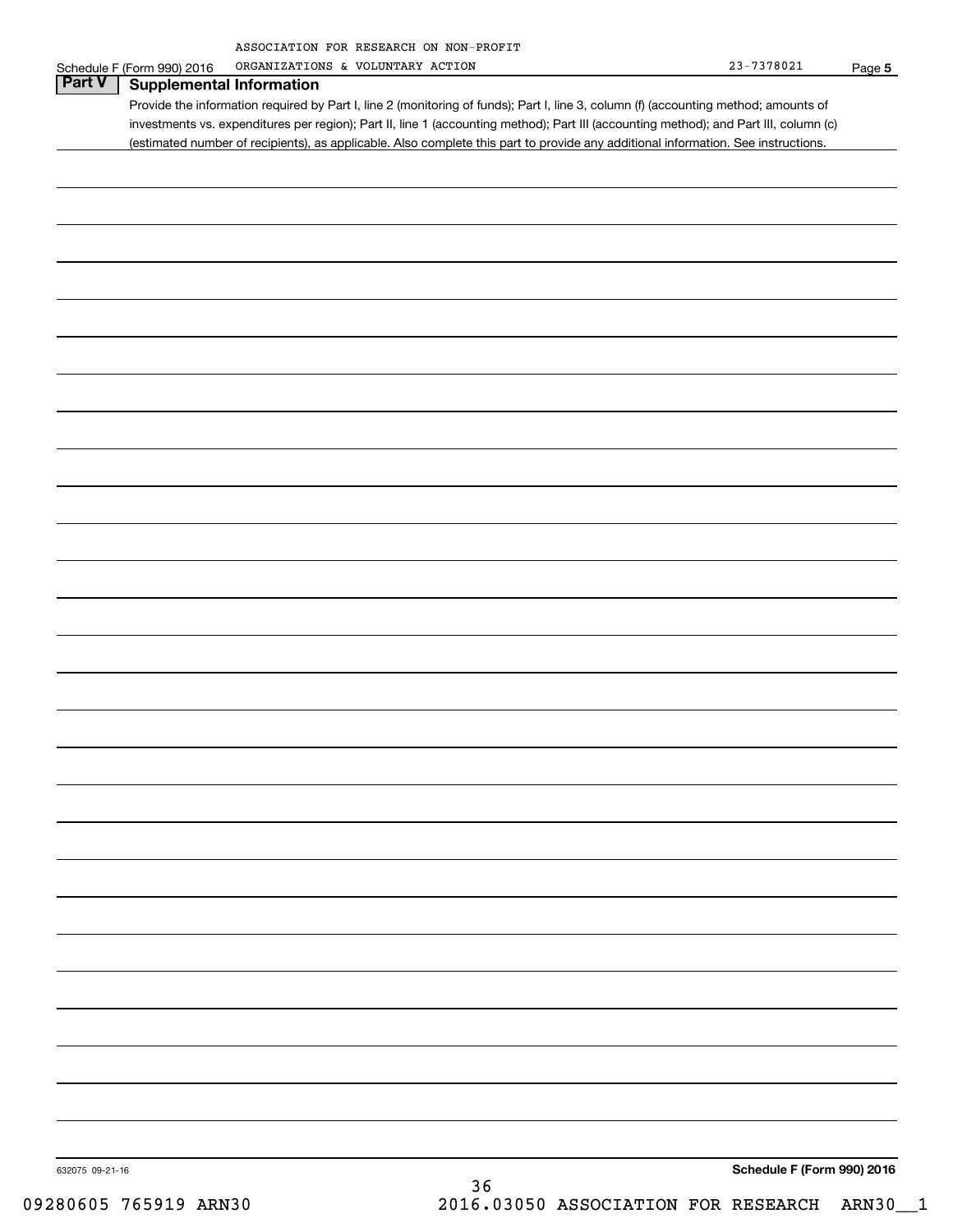| ASSOCIATION FOR RESEARCH ON NON-PROFIT |  |  |
|----------------------------------------|--|--|
|                                        |  |  |

|                 | Schedule F (Form 990) 2016<br>ORGANIZATIONS & VOLUNTARY ACTION                                                                        | 23-7378021                 | Page 5 |
|-----------------|---------------------------------------------------------------------------------------------------------------------------------------|----------------------------|--------|
| Part V          | <b>Supplemental Information</b>                                                                                                       |                            |        |
|                 | Provide the information required by Part I, line 2 (monitoring of funds); Part I, line 3, column (f) (accounting method; amounts of   |                            |        |
|                 | investments vs. expenditures per region); Part II, line 1 (accounting method); Part III (accounting method); and Part III, column (c) |                            |        |
|                 | (estimated number of recipients), as applicable. Also complete this part to provide any additional information. See instructions.     |                            |        |
|                 |                                                                                                                                       |                            |        |
|                 |                                                                                                                                       |                            |        |
|                 |                                                                                                                                       |                            |        |
|                 |                                                                                                                                       |                            |        |
|                 |                                                                                                                                       |                            |        |
|                 |                                                                                                                                       |                            |        |
|                 |                                                                                                                                       |                            |        |
|                 |                                                                                                                                       |                            |        |
|                 |                                                                                                                                       |                            |        |
|                 |                                                                                                                                       |                            |        |
|                 |                                                                                                                                       |                            |        |
|                 |                                                                                                                                       |                            |        |
|                 |                                                                                                                                       |                            |        |
|                 |                                                                                                                                       |                            |        |
|                 |                                                                                                                                       |                            |        |
|                 |                                                                                                                                       |                            |        |
|                 |                                                                                                                                       |                            |        |
|                 |                                                                                                                                       |                            |        |
|                 |                                                                                                                                       |                            |        |
|                 |                                                                                                                                       |                            |        |
|                 |                                                                                                                                       |                            |        |
|                 |                                                                                                                                       |                            |        |
|                 |                                                                                                                                       |                            |        |
|                 |                                                                                                                                       |                            |        |
|                 |                                                                                                                                       |                            |        |
|                 |                                                                                                                                       |                            |        |
|                 |                                                                                                                                       |                            |        |
|                 |                                                                                                                                       |                            |        |
|                 |                                                                                                                                       |                            |        |
|                 |                                                                                                                                       |                            |        |
|                 |                                                                                                                                       |                            |        |
|                 |                                                                                                                                       |                            |        |
|                 |                                                                                                                                       |                            |        |
|                 |                                                                                                                                       |                            |        |
|                 |                                                                                                                                       |                            |        |
|                 |                                                                                                                                       |                            |        |
|                 |                                                                                                                                       |                            |        |
|                 |                                                                                                                                       |                            |        |
|                 |                                                                                                                                       |                            |        |
|                 |                                                                                                                                       |                            |        |
|                 |                                                                                                                                       |                            |        |
|                 |                                                                                                                                       |                            |        |
|                 |                                                                                                                                       |                            |        |
|                 |                                                                                                                                       |                            |        |
|                 |                                                                                                                                       |                            |        |
|                 |                                                                                                                                       |                            |        |
|                 |                                                                                                                                       |                            |        |
|                 |                                                                                                                                       |                            |        |
|                 |                                                                                                                                       |                            |        |
|                 |                                                                                                                                       |                            |        |
|                 |                                                                                                                                       |                            |        |
|                 |                                                                                                                                       |                            |        |
|                 |                                                                                                                                       | Schedule F (Form 990) 2016 |        |
| 632075 09-21-16 | 36                                                                                                                                    |                            |        |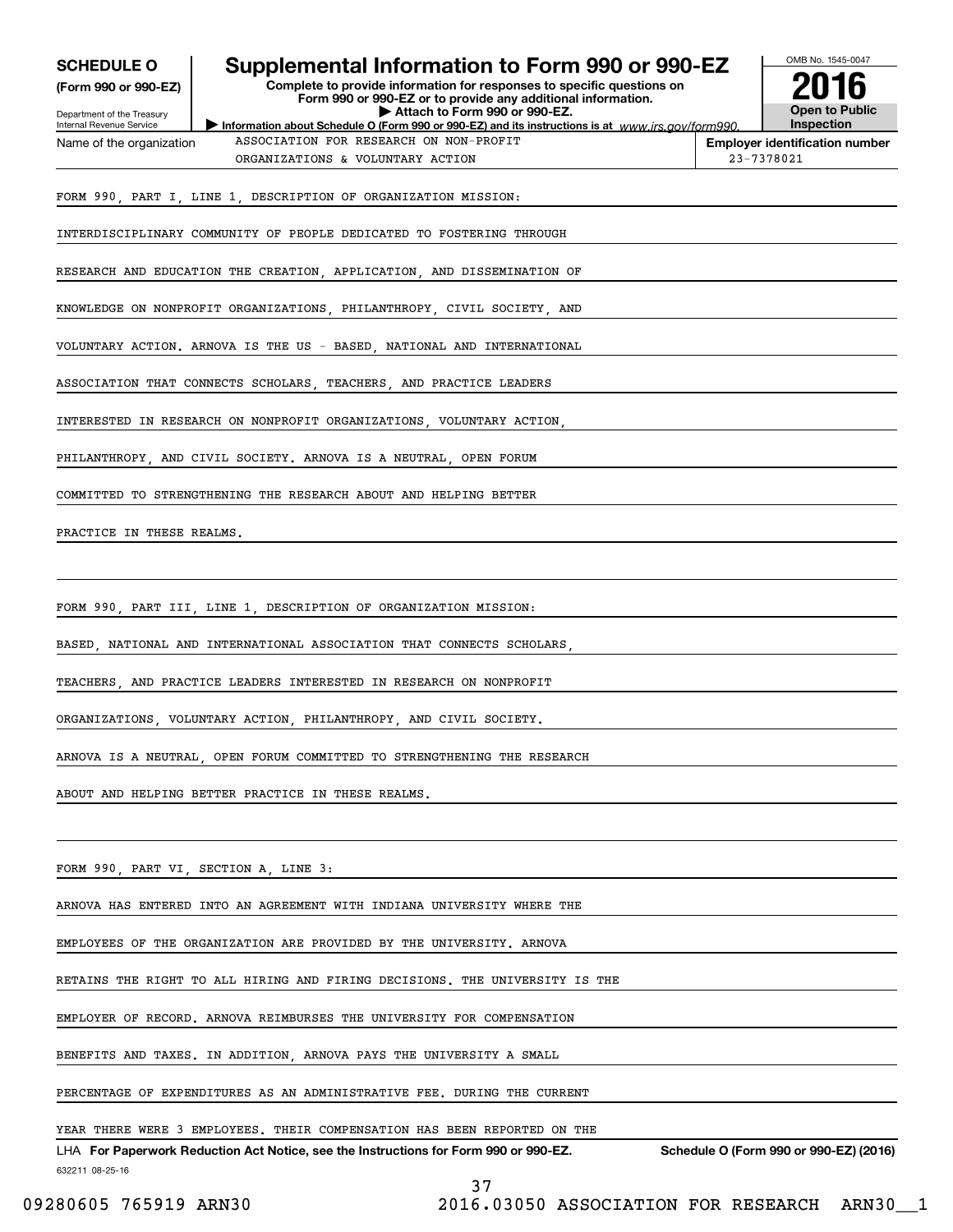| <b>SCHEDULE O</b><br>(Form 990 or 990-EZ)<br>Department of the Treasury | Supplemental Information to Form 990 or 990-EZ<br>Complete to provide information for responses to specific questions on<br>Form 990 or 990-EZ or to provide any additional information.<br>Attach to Form 990 or 990-EZ. | OMB No. 1545-0047<br><b>Open to Public</b>          |  |  |  |  |
|-------------------------------------------------------------------------|---------------------------------------------------------------------------------------------------------------------------------------------------------------------------------------------------------------------------|-----------------------------------------------------|--|--|--|--|
| Internal Revenue Service                                                | Information about Schedule O (Form 990 or 990-EZ) and its instructions is at www.irs.gov/form990.<br>ASSOCIATION FOR RESEARCH ON NON-PROFIT                                                                               | <b>Inspection</b>                                   |  |  |  |  |
| Name of the organization                                                | ORGANIZATIONS & VOLUNTARY ACTION                                                                                                                                                                                          | <b>Employer identification number</b><br>23-7378021 |  |  |  |  |
|                                                                         | FORM 990, PART I, LINE 1, DESCRIPTION OF ORGANIZATION MISSION:                                                                                                                                                            |                                                     |  |  |  |  |
|                                                                         | INTERDISCIPLINARY COMMUNITY OF PEOPLE DEDICATED TO FOSTERING THROUGH                                                                                                                                                      |                                                     |  |  |  |  |
|                                                                         | RESEARCH AND EDUCATION THE CREATION, APPLICATION, AND DISSEMINATION OF                                                                                                                                                    |                                                     |  |  |  |  |
|                                                                         | KNOWLEDGE ON NONPROFIT ORGANIZATIONS, PHILANTHROPY, CIVIL SOCIETY, AND                                                                                                                                                    |                                                     |  |  |  |  |
|                                                                         | VOLUNTARY ACTION. ARNOVA IS THE US - BASED, NATIONAL AND INTERNATIONAL                                                                                                                                                    |                                                     |  |  |  |  |
|                                                                         | ASSOCIATION THAT CONNECTS SCHOLARS, TEACHERS, AND PRACTICE LEADERS                                                                                                                                                        |                                                     |  |  |  |  |
|                                                                         | INTERESTED IN RESEARCH ON NONPROFIT ORGANIZATIONS, VOLUNTARY ACTION,                                                                                                                                                      |                                                     |  |  |  |  |
|                                                                         | PHILANTHROPY AND CIVIL SOCIETY. ARNOVA IS A NEUTRAL OPEN FORUM                                                                                                                                                            |                                                     |  |  |  |  |
|                                                                         | COMMITTED TO STRENGTHENING THE RESEARCH ABOUT AND HELPING BETTER                                                                                                                                                          |                                                     |  |  |  |  |
| PRACTICE IN THESE REALMS.                                               |                                                                                                                                                                                                                           |                                                     |  |  |  |  |
|                                                                         |                                                                                                                                                                                                                           |                                                     |  |  |  |  |
|                                                                         | FORM 990, PART III, LINE 1, DESCRIPTION OF ORGANIZATION MISSION:                                                                                                                                                          |                                                     |  |  |  |  |
|                                                                         | BASED, NATIONAL AND INTERNATIONAL ASSOCIATION THAT CONNECTS SCHOLARS,                                                                                                                                                     |                                                     |  |  |  |  |
|                                                                         | TEACHERS, AND PRACTICE LEADERS INTERESTED IN RESEARCH ON NONPROFIT                                                                                                                                                        |                                                     |  |  |  |  |
|                                                                         | ORGANIZATIONS VOLUNTARY ACTION PHILANTHROPY AND CIVIL SOCIETY.                                                                                                                                                            |                                                     |  |  |  |  |
|                                                                         | ARNOVA IS A NEUTRAL, OPEN FORUM COMMITTED TO STRENGTHENING THE RESEARCH                                                                                                                                                   |                                                     |  |  |  |  |
| ABOUT AND HELPING BETTER PRACTICE IN THESE REALMS.                      |                                                                                                                                                                                                                           |                                                     |  |  |  |  |
|                                                                         |                                                                                                                                                                                                                           |                                                     |  |  |  |  |
|                                                                         | FORM 990, PART VI, SECTION A, LINE 3:                                                                                                                                                                                     |                                                     |  |  |  |  |
|                                                                         | ARNOVA HAS ENTERED INTO AN AGREEMENT WITH INDIANA UNIVERSITY WHERE THE                                                                                                                                                    |                                                     |  |  |  |  |
| EMPLOYEES OF THE ORGANIZATION ARE PROVIDED BY THE UNIVERSITY. ARNOVA    |                                                                                                                                                                                                                           |                                                     |  |  |  |  |
|                                                                         | RETAINS THE RIGHT TO ALL HIRING AND FIRING DECISIONS. THE UNIVERSITY IS THE                                                                                                                                               |                                                     |  |  |  |  |
|                                                                         | EMPLOYER OF RECORD. ARNOVA REIMBURSES THE UNIVERSITY FOR COMPENSATION                                                                                                                                                     |                                                     |  |  |  |  |
|                                                                         | BENEFITS AND TAXES. IN ADDITION, ARNOVA PAYS THE UNIVERSITY A SMALL                                                                                                                                                       |                                                     |  |  |  |  |
|                                                                         | PERCENTAGE OF EXPENDITURES AS AN ADMINISTRATIVE FEE. DURING THE CURRENT                                                                                                                                                   |                                                     |  |  |  |  |
|                                                                         | YEAR THERE WERE 3 EMPLOYEES. THEIR COMPENSATION HAS BEEN REPORTED ON THE                                                                                                                                                  |                                                     |  |  |  |  |
| 632211 08-25-16                                                         | LHA For Paperwork Reduction Act Notice, see the Instructions for Form 990 or 990-EZ.<br>ח ר                                                                                                                               | Schedule O (Form 990 or 990-EZ) (2016)              |  |  |  |  |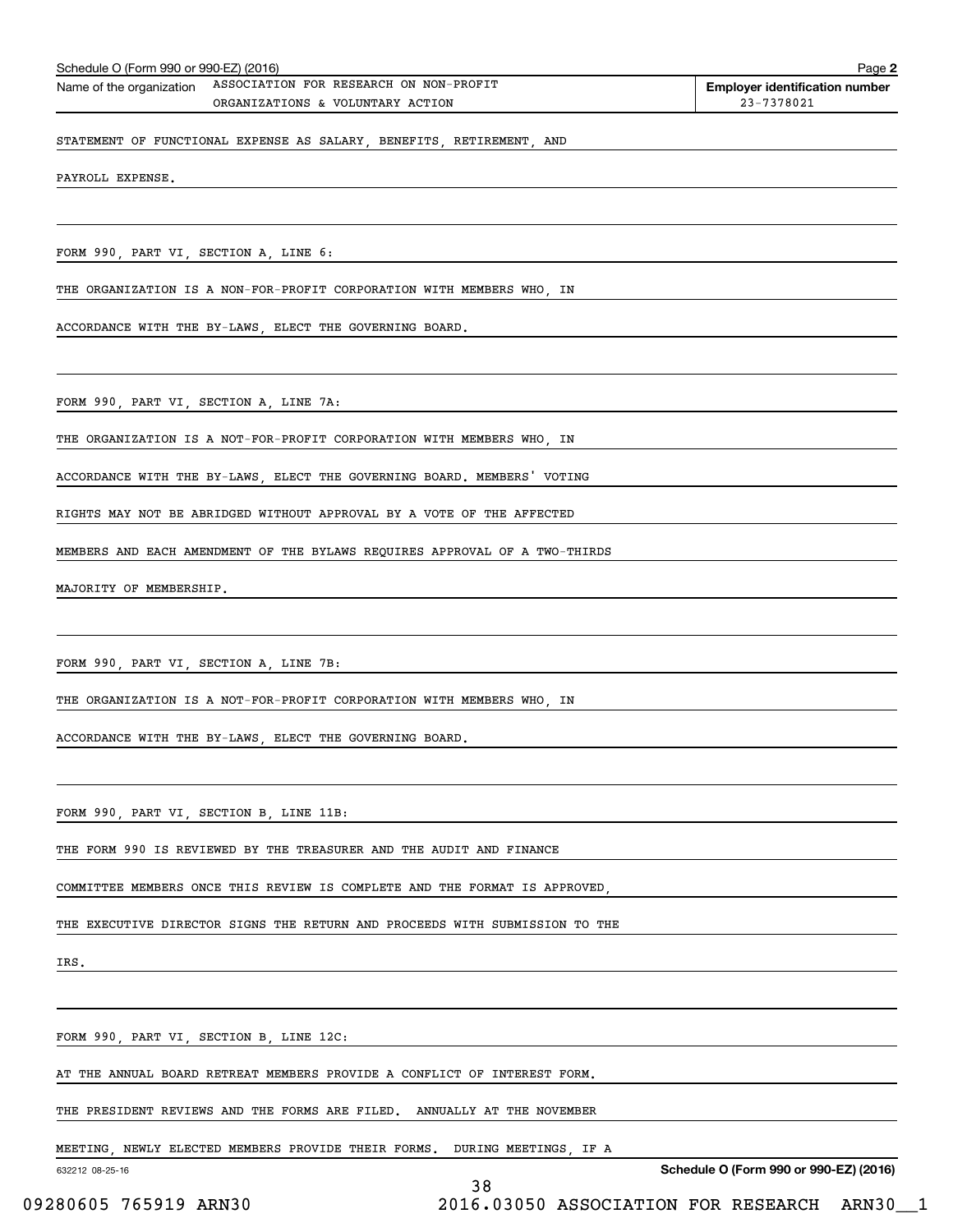| Schedule O (Form 990 or 990-EZ) (2016)<br>Page 2 |                                        |                                       |  |  |
|--------------------------------------------------|----------------------------------------|---------------------------------------|--|--|
| Name of the organization                         | ASSOCIATION FOR RESEARCH ON NON-PROFIT | <b>Employer identification number</b> |  |  |
|                                                  | ORGANIZATIONS & VOLUNTARY ACTION       | 23-7378021                            |  |  |
|                                                  |                                        |                                       |  |  |

STATEMENT OF FUNCTIONAL EXPENSE AS SALARY, BENEFITS, RETIREMENT, AND

PAYROLL EXPENSE.

FORM 990, PART VI, SECTION A, LINE 6:

THE ORGANIZATION IS A NON-FOR-PROFIT CORPORATION WITH MEMBERS WHO, IN

ACCORDANCE WITH THE BY-LAWS, ELECT THE GOVERNING BOARD.

FORM 990, PART VI, SECTION A, LINE 7A:

THE ORGANIZATION IS A NOT-FOR-PROFIT CORPORATION WITH MEMBERS WHO, IN

ACCORDANCE WITH THE BY-LAWS, ELECT THE GOVERNING BOARD. MEMBERS' VOTING

RIGHTS MAY NOT BE ABRIDGED WITHOUT APPROVAL BY A VOTE OF THE AFFECTED

MEMBERS AND EACH AMENDMENT OF THE BYLAWS REQUIRES APPROVAL OF A TWO-THIRDS

MAJORITY OF MEMBERSHIP.

FORM 990, PART VI, SECTION A, LINE 7B:

THE ORGANIZATION IS A NOT-FOR-PROFIT CORPORATION WITH MEMBERS WHO, IN

ACCORDANCE WITH THE BY-LAWS, ELECT THE GOVERNING BOARD.

FORM 990, PART VI, SECTION B, LINE 11B:

THE FORM 990 IS REVIEWED BY THE TREASURER AND THE AUDIT AND FINANCE

COMMITTEE MEMBERS ONCE THIS REVIEW IS COMPLETE AND THE FORMAT IS APPROVED,

THE EXECUTIVE DIRECTOR SIGNS THE RETURN AND PROCEEDS WITH SUBMISSION TO THE

IRS.

FORM 990, PART VI, SECTION B, LINE 12C:

AT THE ANNUAL BOARD RETREAT MEMBERS PROVIDE A CONFLICT OF INTEREST FORM.

THE PRESIDENT REVIEWS AND THE FORMS ARE FILED. ANNUALLY AT THE NOVEMBER

MEETING, NEWLY ELECTED MEMBERS PROVIDE THEIR FORMS. DURING MEETINGS, IF A

632212 08-25-16

**Schedule O (Form 990 or 990-EZ) (2016)**